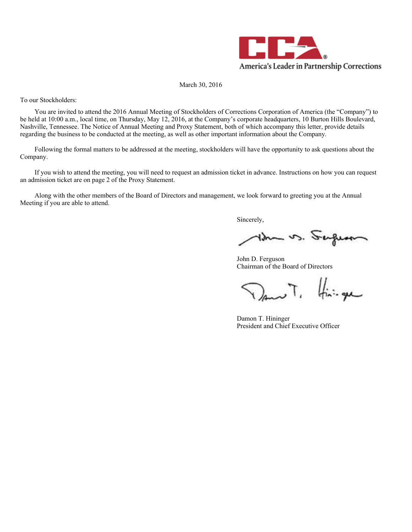

# March 30, 2016

To our Stockholders:

You are invited to attend the 2016 Annual Meeting of Stockholders of Corrections Corporation of America (the "Company") to be held at 10:00 a.m., local time, on Thursday, May 12, 2016, at the Company's corporate headquarters, 10 Burton Hills Boulevard, Nashville, Tennessee. The Notice of Annual Meeting and Proxy Statement, both of which accompany this letter, provide details regarding the business to be conducted at the meeting, as well as other important information about the Company.

Following the formal matters to be addressed at the meeting, stockholders will have the opportunity to ask questions about the Company.

If you wish to attend the meeting, you will need to request an admission ticket in advance. Instructions on how you can request an admission ticket are on page 2 of the Proxy Statement.

Along with the other members of the Board of Directors and management, we look forward to greeting you at the Annual Meeting if you are able to attend.

Sincerely,

Im vs. Super

John D. Ferguson Chairman of the Board of Directors

 $\nabla$ ano T.  $\lim_{n \to \infty}$ 

Damon T. Hininger President and Chief Executive Officer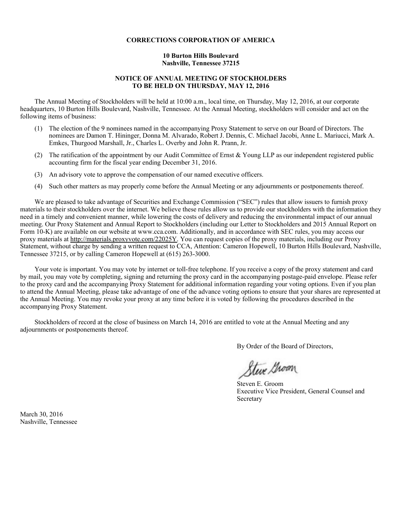# **CORRECTIONS CORPORATION OF AMERICA**

## **10 Burton Hills Boulevard Nashville, Tennessee 37215**

# **NOTICE OF ANNUAL MEETING OF STOCKHOLDERS TO BE HELD ON THURSDAY, MAY 12, 2016**

The Annual Meeting of Stockholders will be held at 10:00 a.m., local time, on Thursday, May 12, 2016, at our corporate headquarters, 10 Burton Hills Boulevard, Nashville, Tennessee. At the Annual Meeting, stockholders will consider and act on the following items of business:

- (1) The election of the 9 nominees named in the accompanying Proxy Statement to serve on our Board of Directors. The nominees are Damon T. Hininger, Donna M. Alvarado, Robert J. Dennis, C. Michael Jacobi, Anne L. Mariucci, Mark A. Emkes, Thurgood Marshall, Jr., Charles L. Overby and John R. Prann, Jr.
- (2) The ratification of the appointment by our Audit Committee of Ernst & Young LLP as our independent registered public accounting firm for the fiscal year ending December 31, 2016.
- (3) An advisory vote to approve the compensation of our named executive officers.
- (4) Such other matters as may properly come before the Annual Meeting or any adjournments or postponements thereof.

We are pleased to take advantage of Securities and Exchange Commission ("SEC") rules that allow issuers to furnish proxy materials to their stockholders over the internet. We believe these rules allow us to provide our stockholders with the information they need in a timely and convenient manner, while lowering the costs of delivery and reducing the environmental impact of our annual meeting. Our Proxy Statement and Annual Report to Stockholders (including our Letter to Stockholders and 2015 Annual Report on Form 10-K) are available on our website at www.cca.com. Additionally, and in accordance with SEC rules, you may access our proxy materials at http://materials.proxyvote.com/22025Y. You can request copies of the proxy materials, including our Proxy Statement, without charge by sending a written request to CCA, Attention: Cameron Hopewell, 10 Burton Hills Boulevard, Nashville, Tennessee 37215, or by calling Cameron Hopewell at (615) 263-3000.

Your vote is important. You may vote by internet or toll-free telephone. If you receive a copy of the proxy statement and card by mail, you may vote by completing, signing and returning the proxy card in the accompanying postage-paid envelope. Please refer to the proxy card and the accompanying Proxy Statement for additional information regarding your voting options. Even if you plan to attend the Annual Meeting, please take advantage of one of the advance voting options to ensure that your shares are represented at the Annual Meeting. You may revoke your proxy at any time before it is voted by following the procedures described in the accompanying Proxy Statement.

Stockholders of record at the close of business on March 14, 2016 are entitled to vote at the Annual Meeting and any adjournments or postponements thereof.

By Order of the Board of Directors,

Steve Groom

Steven E. Groom Executive Vice President, General Counsel and Secretary

March 30, 2016 Nashville, Tennessee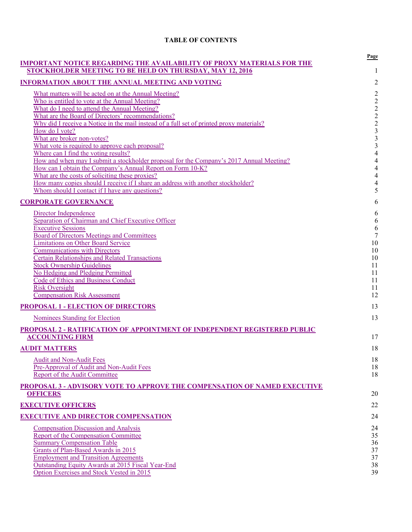# **TABLE OF CONTENTS**

| <b>IMPORTANT NOTICE REGARDING THE AVAILABILITY OF PROXY MATERIALS FOR THE</b><br>STOCKHOLDER MEETING TO BE HELD ON THURSDAY, MAY 12, 2016                                                                                                                                                                                                                                                                                                 | Page<br>1                                                                                                          |
|-------------------------------------------------------------------------------------------------------------------------------------------------------------------------------------------------------------------------------------------------------------------------------------------------------------------------------------------------------------------------------------------------------------------------------------------|--------------------------------------------------------------------------------------------------------------------|
| <b>INFORMATION ABOUT THE ANNUAL MEETING AND VOTING</b>                                                                                                                                                                                                                                                                                                                                                                                    | $\overline{2}$                                                                                                     |
| What matters will be acted on at the Annual Meeting?<br>Who is entitled to vote at the Annual Meeting?<br>What do I need to attend the Annual Meeting?<br>What are the Board of Directors' recommendations?<br>Why did I receive a Notice in the mail instead of a full set of printed proxy materials?<br>How do I vote?<br>What are broker non-votes?                                                                                   | $\overline{2}$<br>$\sqrt{2}$<br>$\begin{array}{c} 2 \\ 2 \\ 2 \\ 3 \end{array}$                                    |
| What vote is required to approve each proposal?<br>Where can I find the voting results?<br>How and when may I submit a stockholder proposal for the Company's 2017 Annual Meeting?<br>How can I obtain the Company's Annual Report on Form 10-K?<br>What are the costs of soliciting these proxies?<br>How many copies should I receive if I share an address with another stockholder?<br>Whom should I contact if I have any questions? | $\frac{3}{3}$<br>$\overline{4}$<br>$\overline{4}$<br>$\overline{\mathcal{A}}$<br>$\overline{\mathbf{4}}$<br>4<br>5 |
| <b>CORPORATE GOVERNANCE</b>                                                                                                                                                                                                                                                                                                                                                                                                               | 6                                                                                                                  |
| Director Independence<br>Separation of Chairman and Chief Executive Officer<br><b>Executive Sessions</b><br><b>Board of Directors Meetings and Committees</b><br><b>Limitations on Other Board Service</b><br><b>Communications with Directors</b><br><b>Certain Relationships and Related Transactions</b><br><b>Stock Ownership Guidelines</b><br>No Hedging and Pledging Permitted<br><b>Code of Ethics and Business Conduct</b>       | 6<br>$\sqrt{6}$<br>$\boldsymbol{6}$<br>$\tau$<br>10<br>10<br>10<br>11<br>11<br>11                                  |
| <b>Risk Oversight</b><br><b>Compensation Risk Assessment</b>                                                                                                                                                                                                                                                                                                                                                                              | 11<br>12                                                                                                           |
| <b>PROPOSAL 1 - ELECTION OF DIRECTORS</b>                                                                                                                                                                                                                                                                                                                                                                                                 | 13                                                                                                                 |
| <b>Nominees Standing for Election</b>                                                                                                                                                                                                                                                                                                                                                                                                     | 13                                                                                                                 |
| PROPOSAL 2 - RATIFICATION OF APPOINTMENT OF INDEPENDENT REGISTERED PUBLIC<br><b>ACCOUNTING FIRM</b>                                                                                                                                                                                                                                                                                                                                       | 17                                                                                                                 |
| <b>AUDIT MATTERS</b>                                                                                                                                                                                                                                                                                                                                                                                                                      | 18                                                                                                                 |
| <b>Audit and Non-Audit Fees</b><br>Pre-Approval of Audit and Non-Audit Fees<br>Report of the Audit Committee                                                                                                                                                                                                                                                                                                                              | 18<br>18<br>18                                                                                                     |
| <b>PROPOSAL 3 - ADVISORY VOTE TO APPROVE THE COMPENSATION OF NAMED EXECUTIVE</b><br><b>OFFICERS</b>                                                                                                                                                                                                                                                                                                                                       | 20                                                                                                                 |
| <b>EXECUTIVE OFFICERS</b>                                                                                                                                                                                                                                                                                                                                                                                                                 | 22                                                                                                                 |
| <b>EXECUTIVE AND DIRECTOR COMPENSATION</b>                                                                                                                                                                                                                                                                                                                                                                                                | 24                                                                                                                 |
| <b>Compensation Discussion and Analysis</b><br><b>Report of the Compensation Committee</b><br><b>Summary Compensation Table</b><br>Grants of Plan-Based Awards in 2015<br><b>Employment and Transition Agreements</b><br>Outstanding Equity Awards at 2015 Fiscal Year-End<br>Option Exercises and Stock Vested in 2015                                                                                                                   | 24<br>35<br>36<br>37<br>37<br>38<br>39                                                                             |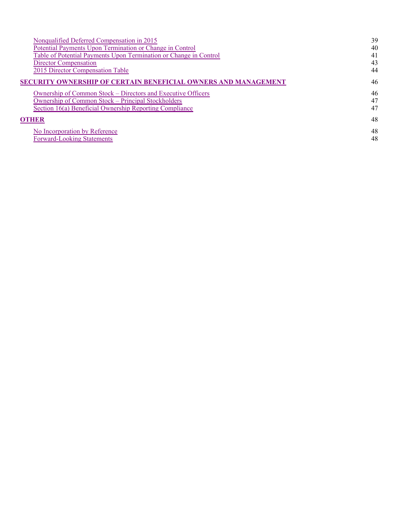| Nonqualified Deferred Compensation in 2015                        | 39 |
|-------------------------------------------------------------------|----|
| Potential Payments Upon Termination or Change in Control          | 40 |
| Table of Potential Payments Upon Termination or Change in Control | 41 |
| Director Compensation                                             | 43 |
| 2015 Director Compensation Table                                  | 44 |
| SECURITY OWNERSHIP OF CERTAIN BENEFICIAL OWNERS AND MANAGEMENT    | 46 |
| Ownership of Common Stock – Directors and Executive Officers      | 46 |
| Ownership of Common Stock – Principal Stockholders                | 47 |
| Section 16(a) Beneficial Ownership Reporting Compliance           | 47 |
| OTHER                                                             | 48 |
| No Incorporation by Reference                                     | 48 |
| <b>Forward-Looking Statements</b>                                 | 48 |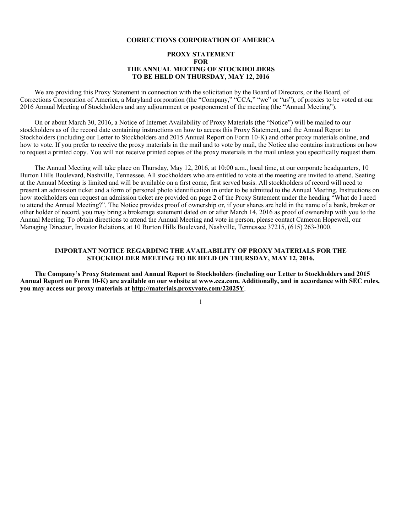# **CORRECTIONS CORPORATION OF AMERICA**

# **PROXY STATEMENT FOR THE ANNUAL MEETING OF STOCKHOLDERS TO BE HELD ON THURSDAY, MAY 12, 2016**

We are providing this Proxy Statement in connection with the solicitation by the Board of Directors, or the Board, of Corrections Corporation of America, a Maryland corporation (the "Company," "CCA," "we" or "us"), of proxies to be voted at our 2016 Annual Meeting of Stockholders and any adjournment or postponement of the meeting (the "Annual Meeting").

On or about March 30, 2016, a Notice of Internet Availability of Proxy Materials (the "Notice") will be mailed to our stockholders as of the record date containing instructions on how to access this Proxy Statement, and the Annual Report to Stockholders (including our Letter to Stockholders and 2015 Annual Report on Form 10-K) and other proxy materials online, and how to vote. If you prefer to receive the proxy materials in the mail and to vote by mail, the Notice also contains instructions on how to request a printed copy. You will not receive printed copies of the proxy materials in the mail unless you specifically request them.

The Annual Meeting will take place on Thursday, May 12, 2016, at 10:00 a.m., local time, at our corporate headquarters, 10 Burton Hills Boulevard, Nashville, Tennessee. All stockholders who are entitled to vote at the meeting are invited to attend. Seating at the Annual Meeting is limited and will be available on a first come, first served basis. All stockholders of record will need to present an admission ticket and a form of personal photo identification in order to be admitted to the Annual Meeting. Instructions on how stockholders can request an admission ticket are provided on page 2 of the Proxy Statement under the heading "What do I need to attend the Annual Meeting?". The Notice provides proof of ownership or, if your shares are held in the name of a bank, broker or other holder of record, you may bring a brokerage statement dated on or after March 14, 2016 as proof of ownership with you to the Annual Meeting. To obtain directions to attend the Annual Meeting and vote in person, please contact Cameron Hopewell, our Managing Director, Investor Relations, at 10 Burton Hills Boulevard, Nashville, Tennessee 37215, (615) 263-3000.

# **IMPORTANT NOTICE REGARDING THE AVAILABILITY OF PROXY MATERIALS FOR THE STOCKHOLDER MEETING TO BE HELD ON THURSDAY, MAY 12, 2016.**

**The Company's Proxy Statement and Annual Report to Stockholders (including our Letter to Stockholders and 2015 Annual Report on Form 10-K) are available on our website at www.cca.com. Additionally, and in accordance with SEC rules, you may access our proxy materials at http://materials.proxyvote.com/22025Y**.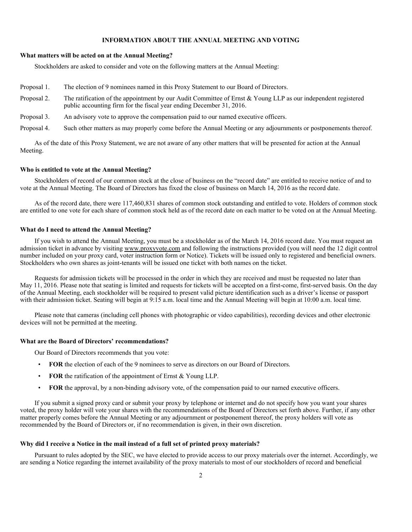# **INFORMATION ABOUT THE ANNUAL MEETING AND VOTING**

#### **What matters will be acted on at the Annual Meeting?**

Stockholders are asked to consider and vote on the following matters at the Annual Meeting:

- Proposal 1. The election of 9 nominees named in this Proxy Statement to our Board of Directors.
- Proposal 2. The ratification of the appointment by our Audit Committee of Ernst & Young LLP as our independent registered public accounting firm for the fiscal year ending December 31, 2016.
- Proposal 3. An advisory vote to approve the compensation paid to our named executive officers.
- Proposal 4. Such other matters as may properly come before the Annual Meeting or any adjournments or postponements thereof.

As of the date of this Proxy Statement, we are not aware of any other matters that will be presented for action at the Annual Meeting.

#### **Who is entitled to vote at the Annual Meeting?**

Stockholders of record of our common stock at the close of business on the "record date" are entitled to receive notice of and to vote at the Annual Meeting. The Board of Directors has fixed the close of business on March 14, 2016 as the record date.

As of the record date, there were 117,460,831 shares of common stock outstanding and entitled to vote. Holders of common stock are entitled to one vote for each share of common stock held as of the record date on each matter to be voted on at the Annual Meeting.

#### **What do I need to attend the Annual Meeting?**

If you wish to attend the Annual Meeting, you must be a stockholder as of the March 14, 2016 record date. You must request an admission ticket in advance by visiting www.proxyvote.com and following the instructions provided (you will need the 12 digit control number included on your proxy card, voter instruction form or Notice). Tickets will be issued only to registered and beneficial owners. Stockholders who own shares as joint-tenants will be issued one ticket with both names on the ticket.

Requests for admission tickets will be processed in the order in which they are received and must be requested no later than May 11, 2016. Please note that seating is limited and requests for tickets will be accepted on a first-come, first-served basis. On the day of the Annual Meeting, each stockholder will be required to present valid picture identification such as a driver's license or passport with their admission ticket. Seating will begin at 9:15 a.m. local time and the Annual Meeting will begin at 10:00 a.m. local time.

Please note that cameras (including cell phones with photographic or video capabilities), recording devices and other electronic devices will not be permitted at the meeting.

#### **What are the Board of Directors' recommendations?**

Our Board of Directors recommends that you vote:

- **FOR** the election of each of the 9 nominees to serve as directors on our Board of Directors.
- **FOR** the ratification of the appointment of Ernst & Young LLP.
- **FOR** the approval, by a non-binding advisory vote, of the compensation paid to our named executive officers.

If you submit a signed proxy card or submit your proxy by telephone or internet and do not specify how you want your shares voted, the proxy holder will vote your shares with the recommendations of the Board of Directors set forth above. Further, if any other matter properly comes before the Annual Meeting or any adjournment or postponement thereof, the proxy holders will vote as recommended by the Board of Directors or, if no recommendation is given, in their own discretion.

# **Why did I receive a Notice in the mail instead of a full set of printed proxy materials?**

Pursuant to rules adopted by the SEC, we have elected to provide access to our proxy materials over the internet. Accordingly, we are sending a Notice regarding the internet availability of the proxy materials to most of our stockholders of record and beneficial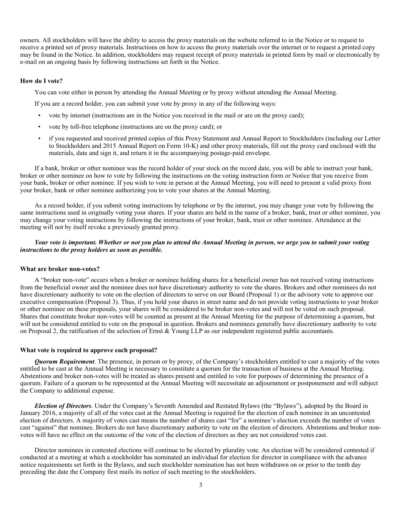owners. All stockholders will have the ability to access the proxy materials on the website referred to in the Notice or to request to receive a printed set of proxy materials. Instructions on how to access the proxy materials over the internet or to request a printed copy may be found in the Notice. In addition, stockholders may request receipt of proxy materials in printed form by mail or electronically by e-mail on an ongoing basis by following instructions set forth in the Notice.

# **How do I vote?**

You can vote either in person by attending the Annual Meeting or by proxy without attending the Annual Meeting.

If you are a record holder, you can submit your vote by proxy in any of the following ways:

- vote by internet (instructions are in the Notice you received in the mail or are on the proxy card);
- vote by toll-free telephone (instructions are on the proxy card); or
- if you requested and received printed copies of this Proxy Statement and Annual Report to Stockholders (including our Letter to Stockholders and 2015 Annual Report on Form 10-K) and other proxy materials, fill out the proxy card enclosed with the materials, date and sign it, and return it in the accompanying postage-paid envelope.

If a bank, broker or other nominee was the record holder of your stock on the record date, you will be able to instruct your bank, broker or other nominee on how to vote by following the instructions on the voting instruction form or Notice that you receive from your bank, broker or other nominee. If you wish to vote in person at the Annual Meeting, you will need to present a valid proxy from your broker, bank or other nominee authorizing you to vote your shares at the Annual Meeting.

As a record holder, if you submit voting instructions by telephone or by the internet, you may change your vote by following the same instructions used in originally voting your shares. If your shares are held in the name of a broker, bank, trust or other nominee, you may change your voting instructions by following the instructions of your broker, bank, trust or other nominee. Attendance at the meeting will not by itself revoke a previously granted proxy.

# *Your vote is important. Whether or not you plan to attend the Annual Meeting in person, we urge you to submit your voting instructions to the proxy holders as soon as possible.*

# **What are broker non-votes?**

A "broker non-vote" occurs when a broker or nominee holding shares for a beneficial owner has not received voting instructions from the beneficial owner and the nominee does not have discretionary authority to vote the shares. Brokers and other nominees do not have discretionary authority to vote on the election of directors to serve on our Board (Proposal 1) or the advisory vote to approve our executive compensation (Proposal 3). Thus, if you hold your shares in street name and do not provide voting instructions to your broker or other nominee on these proposals, your shares will be considered to be broker non-votes and will not be voted on such proposal. Shares that constitute broker non-votes will be counted as present at the Annual Meeting for the purpose of determining a quorum, but will not be considered entitled to vote on the proposal in question. Brokers and nominees generally have discretionary authority to vote on Proposal 2, the ratification of the selection of Ernst & Young LLP as our independent registered public accountants.

#### **What vote is required to approve each proposal?**

*Quorum Requirement*. The presence, in person or by proxy, of the Company's stockholders entitled to cast a majority of the votes entitled to be cast at the Annual Meeting is necessary to constitute a quorum for the transaction of business at the Annual Meeting. Abstentions and broker non-votes will be treated as shares present and entitled to vote for purposes of determining the presence of a quorum. Failure of a quorum to be represented at the Annual Meeting will necessitate an adjournment or postponement and will subject the Company to additional expense.

*Election of Directors*. Under the Company's Seventh Amended and Restated Bylaws (the "Bylaws"), adopted by the Board in January 2016, a majority of all of the votes cast at the Annual Meeting is required for the election of each nominee in an uncontested election of directors. A majority of votes cast means the number of shares cast "for" a nominee's election exceeds the number of votes cast "against" that nominee. Brokers do not have discretionary authority to vote on the election of directors. Abstentions and broker nonvotes will have no effect on the outcome of the vote of the election of directors as they are not considered votes cast.

Director nominees in contested elections will continue to be elected by plurality vote. An election will be considered contested if conducted at a meeting at which a stockholder has nominated an individual for election for director in compliance with the advance notice requirements set forth in the Bylaws, and such stockholder nomination has not been withdrawn on or prior to the tenth day preceding the date the Company first mails its notice of such meeting to the stockholders.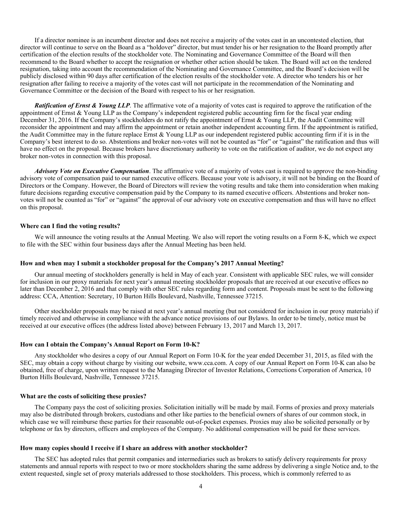If a director nominee is an incumbent director and does not receive a majority of the votes cast in an uncontested election, that director will continue to serve on the Board as a "holdover" director, but must tender his or her resignation to the Board promptly after certification of the election results of the stockholder vote. The Nominating and Governance Committee of the Board will then recommend to the Board whether to accept the resignation or whether other action should be taken. The Board will act on the tendered resignation, taking into account the recommendation of the Nominating and Governance Committee, and the Board's decision will be publicly disclosed within 90 days after certification of the election results of the stockholder vote. A director who tenders his or her resignation after failing to receive a majority of the votes cast will not participate in the recommendation of the Nominating and Governance Committee or the decision of the Board with respect to his or her resignation.

*Ratification of Ernst & Young LLP*. The affirmative vote of a majority of votes cast is required to approve the ratification of the appointment of Ernst  $&$  Young LLP as the Company's independent registered public accounting firm for the fiscal year ending December 31, 2016. If the Company's stockholders do not ratify the appointment of Ernst & Young LLP, the Audit Committee will reconsider the appointment and may affirm the appointment or retain another independent accounting firm. If the appointment is ratified, the Audit Committee may in the future replace Ernst & Young LLP as our independent registered public accounting firm if it is in the Company's best interest to do so. Abstentions and broker non-votes will not be counted as "for" or "against" the ratification and thus will have no effect on the proposal. Because brokers have discretionary authority to vote on the ratification of auditor, we do not expect any broker non-votes in connection with this proposal.

*Advisory Vote on Executive Compensation*. The affirmative vote of a majority of votes cast is required to approve the non-binding advisory vote of compensation paid to our named executive officers. Because your vote is advisory, it will not be binding on the Board of Directors or the Company. However, the Board of Directors will review the voting results and take them into consideration when making future decisions regarding executive compensation paid by the Company to its named executive officers. Abstentions and broker nonvotes will not be counted as "for" or "against" the approval of our advisory vote on executive compensation and thus will have no effect on this proposal.

## **Where can I find the voting results?**

We will announce the voting results at the Annual Meeting. We also will report the voting results on a Form 8-K, which we expect to file with the SEC within four business days after the Annual Meeting has been held.

## **How and when may I submit a stockholder proposal for the Company's 2017 Annual Meeting?**

Our annual meeting of stockholders generally is held in May of each year. Consistent with applicable SEC rules, we will consider for inclusion in our proxy materials for next year's annual meeting stockholder proposals that are received at our executive offices no later than December 2, 2016 and that comply with other SEC rules regarding form and content. Proposals must be sent to the following address: CCA, Attention: Secretary, 10 Burton Hills Boulevard, Nashville, Tennessee 37215.

Other stockholder proposals may be raised at next year's annual meeting (but not considered for inclusion in our proxy materials) if timely received and otherwise in compliance with the advance notice provisions of our Bylaws. In order to be timely, notice must be received at our executive offices (the address listed above) between February 13, 2017 and March 13, 2017.

# **How can I obtain the Company's Annual Report on Form 10-K?**

Any stockholder who desires a copy of our Annual Report on Form 10-K for the year ended December 31, 2015, as filed with the SEC, may obtain a copy without charge by visiting our website, www.cca.com. A copy of our Annual Report on Form 10-K can also be obtained, free of charge, upon written request to the Managing Director of Investor Relations, Corrections Corporation of America, 10 Burton Hills Boulevard, Nashville, Tennessee 37215.

## **What are the costs of soliciting these proxies?**

The Company pays the cost of soliciting proxies. Solicitation initially will be made by mail. Forms of proxies and proxy materials may also be distributed through brokers, custodians and other like parties to the beneficial owners of shares of our common stock, in which case we will reimburse these parties for their reasonable out-of-pocket expenses. Proxies may also be solicited personally or by telephone or fax by directors, officers and employees of the Company. No additional compensation will be paid for these services.

## **How many copies should I receive if I share an address with another stockholder?**

The SEC has adopted rules that permit companies and intermediaries such as brokers to satisfy delivery requirements for proxy statements and annual reports with respect to two or more stockholders sharing the same address by delivering a single Notice and, to the extent requested, single set of proxy materials addressed to those stockholders. This process, which is commonly referred to as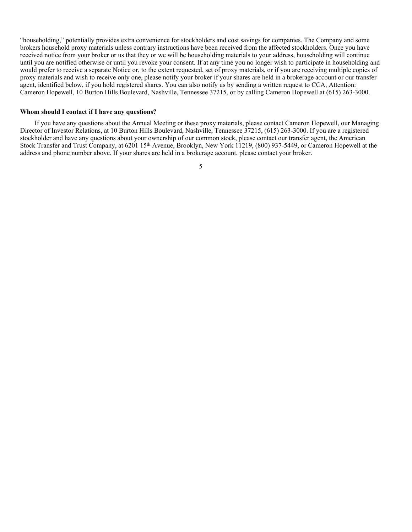"householding," potentially provides extra convenience for stockholders and cost savings for companies. The Company and some brokers household proxy materials unless contrary instructions have been received from the affected stockholders. Once you have received notice from your broker or us that they or we will be householding materials to your address, householding will continue until you are notified otherwise or until you revoke your consent. If at any time you no longer wish to participate in householding and would prefer to receive a separate Notice or, to the extent requested, set of proxy materials, or if you are receiving multiple copies of proxy materials and wish to receive only one, please notify your broker if your shares are held in a brokerage account or our transfer agent, identified below, if you hold registered shares. You can also notify us by sending a written request to CCA, Attention: Cameron Hopewell, 10 Burton Hills Boulevard, Nashville, Tennessee 37215, or by calling Cameron Hopewell at (615) 263-3000.

## **Whom should I contact if I have any questions?**

If you have any questions about the Annual Meeting or these proxy materials, please contact Cameron Hopewell, our Managing Director of Investor Relations, at 10 Burton Hills Boulevard, Nashville, Tennessee 37215, (615) 263-3000. If you are a registered stockholder and have any questions about your ownership of our common stock, please contact our transfer agent, the American Stock Transfer and Trust Company, at 6201 15th Avenue, Brooklyn, New York 11219, (800) 937-5449, or Cameron Hopewell at the address and phone number above. If your shares are held in a brokerage account, please contact your broker.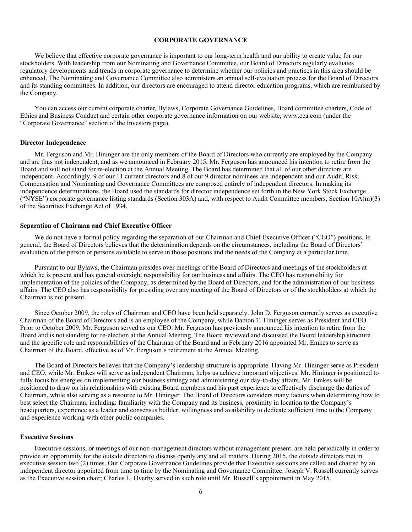# **CORPORATE GOVERNANCE**

We believe that effective corporate governance is important to our long-term health and our ability to create value for our stockholders. With leadership from our Nominating and Governance Committee, our Board of Directors regularly evaluates regulatory developments and trends in corporate governance to determine whether our policies and practices in this area should be enhanced. The Nominating and Governance Committee also administers an annual self-evaluation process for the Board of Directors and its standing committees. In addition, our directors are encouraged to attend director education programs, which are reimbursed by the Company.

You can access our current corporate charter, Bylaws, Corporate Governance Guidelines, Board committee charters, Code of Ethics and Business Conduct and certain other corporate governance information on our website, www.cca.com (under the "Corporate Governance" section of the Investors page).

#### **Director Independence**

Mr. Ferguson and Mr. Hininger are the only members of the Board of Directors who currently are employed by the Company and are thus not independent, and as we announced in February 2015, Mr. Ferguson has announced his intention to retire from the Board and will not stand for re-election at the Annual Meeting. The Board has determined that all of our other directors are independent. Accordingly, 9 of our 11 current directors and 8 of our 9 director nominees are independent and our Audit, Risk, Compensation and Nominating and Governance Committees are composed entirely of independent directors. In making its independence determinations, the Board used the standards for director independence set forth in the New York Stock Exchange ("NYSE") corporate governance listing standards (Section 303A) and, with respect to Audit Committee members, Section  $10\text{A}(m)(3)$ of the Securities Exchange Act of 1934.

## **Separation of Chairman and Chief Executive Officer**

We do not have a formal policy regarding the separation of our Chairman and Chief Executive Officer ("CEO") positions. In general, the Board of Directors believes that the determination depends on the circumstances, including the Board of Directors' evaluation of the person or persons available to serve in those positions and the needs of the Company at a particular time.

Pursuant to our Bylaws, the Chairman presides over meetings of the Board of Directors and meetings of the stockholders at which he is present and has general oversight responsibility for our business and affairs. The CEO has responsibility for implementation of the policies of the Company, as determined by the Board of Directors, and for the administration of our business affairs. The CEO also has responsibility for presiding over any meeting of the Board of Directors or of the stockholders at which the Chairman is not present.

Since October 2009, the roles of Chairman and CEO have been held separately. John D. Ferguson currently serves as executive Chairman of the Board of Directors and is an employee of the Company, while Damon T. Hininger serves as President and CEO. Prior to October 2009, Mr. Ferguson served as our CEO. Mr. Ferguson has previously announced his intention to retire from the Board and is not standing for re-election at the Annual Meeting. The Board reviewed and discussed the Board leadership structure and the specific role and responsibilities of the Chairman of the Board and in February 2016 appointed Mr. Emkes to serve as Chairman of the Board, effective as of Mr. Ferguson's retirement at the Annual Meeting.

The Board of Directors believes that the Company's leadership structure is appropriate. Having Mr. Hininger serve as President and CEO, while Mr. Emkes will serve as independent Chairman, helps us achieve important objectives. Mr. Hininger is positioned to fully focus his energies on implementing our business strategy and administering our day-to-day affairs. Mr. Emkes will be positioned to draw on his relationships with existing Board members and his past experience to effectively discharge the duties of Chairman, while also serving as a resource to Mr. Hininger. The Board of Directors considers many factors when determining how to best select the Chairman, including: familiarity with the Company and its business, proximity in location to the Company's headquarters, experience as a leader and consensus builder, willingness and availability to dedicate sufficient time to the Company and experience working with other public companies.

## **Executive Sessions**

Executive sessions, or meetings of our non-management directors without management present, are held periodically in order to provide an opportunity for the outside directors to discuss openly any and all matters. During 2015, the outside directors met in executive session two (2) times. Our Corporate Governance Guidelines provide that Executive sessions are called and chaired by an independent director appointed from time to time by the Nominating and Governance Committee. Joseph V. Russell currently serves as the Executive session chair; Charles L. Overby served in such role until Mr. Russell's appointment in May 2015.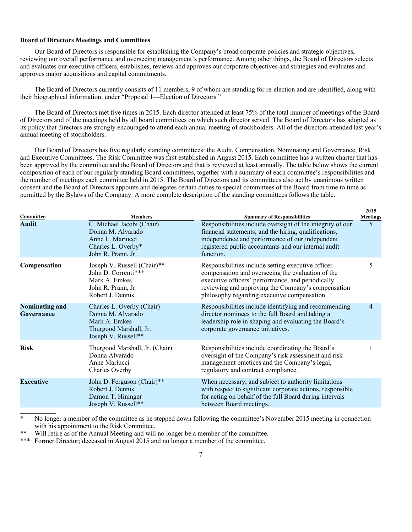# **Board of Directors Meetings and Committees**

Our Board of Directors is responsible for establishing the Company's broad corporate policies and strategic objectives, reviewing our overall performance and overseeing management's performance. Among other things, the Board of Directors selects and evaluates our executive officers, establishes, reviews and approves our corporate objectives and strategies and evaluates and approves major acquisitions and capital commitments.

The Board of Directors currently consists of 11 members, 9 of whom are standing for re-election and are identified, along with their biographical information, under "Proposal 1—Election of Directors."

The Board of Directors met five times in 2015. Each director attended at least 75% of the total number of meetings of the Board of Directors and of the meetings held by all board committees on which such director served. The Board of Directors has adopted as its policy that directors are strongly encouraged to attend each annual meeting of stockholders. All of the directors attended last year's annual meeting of stockholders.

Our Board of Directors has five regularly standing committees: the Audit, Compensation, Nominating and Governance, Risk and Executive Committees. The Risk Committee was first established in August 2015. Each committee has a written charter that has been approved by the committee and the Board of Directors and that is reviewed at least annually. The table below shows the current composition of each of our regularly standing Board committees, together with a summary of each committee's responsibilities and the number of meetings each committee held in 2015. The Board of Directors and its committees also act by unanimous written consent and the Board of Directors appoints and delegates certain duties to special committees of the Board from time to time as permitted by the Bylaws of the Company. A more complete description of the standing committees follows the table.

| Committee                           | <b>Members</b>                                                                                                   | <b>Summary of Responsibilities</b>                                                                                                                                                                                                                                 | 2015<br><b>Meetings</b> |
|-------------------------------------|------------------------------------------------------------------------------------------------------------------|--------------------------------------------------------------------------------------------------------------------------------------------------------------------------------------------------------------------------------------------------------------------|-------------------------|
| <b>Audit</b>                        | C. Michael Jacobi (Chair)<br>Donna M. Alvarado<br>Anne L. Mariucci<br>Charles L. Overby*<br>John R. Prann, Jr.   | Responsibilities include oversight of the integrity of our<br>financial statements; and the hiring, qualifications,<br>independence and performance of our independent<br>registered public accountants and our internal audit<br>function.                        | 5                       |
| Compensation                        | Joseph V. Russell (Chair)**<br>John D. Correnti***<br>Mark A. Emkes<br>John R. Prann, Jr.<br>Robert J. Dennis    | Responsibilities include setting executive officer<br>compensation and overseeing the evaluation of the<br>executive officers' performance, and periodically<br>reviewing and approving the Company's compensation<br>philosophy regarding executive compensation. | 5                       |
| <b>Nominating and</b><br>Governance | Charles L. Overby (Chair)<br>Donna M. Alvarado<br>Mark A. Emkes<br>Thurgood Marshall, Jr.<br>Joseph V. Russell** | Responsibilities include identifying and recommending<br>director nominees to the full Board and taking a<br>leadership role in shaping and evaluating the Board's<br>corporate governance initiatives.                                                            | 4                       |
| <b>Risk</b>                         | Thurgood Marshall, Jr. (Chair)<br>Donna Alvarado<br>Anne Mariucci<br>Charles Overby                              | Responsibilities include coordinating the Board's<br>oversight of the Company's risk assessment and risk<br>management practices and the Company's legal,<br>regulatory and contract compliance.                                                                   |                         |
| <b>Executive</b>                    | John D. Ferguson (Chair)**<br>Robert J. Dennis<br>Damon T. Hininger<br>Joseph V. Russell**                       | When necessary, and subject to authority limitations<br>with respect to significant corporate actions, responsible<br>for acting on behalf of the full Board during intervals<br>between Board meetings.                                                           |                         |

No longer a member of the committee as he stepped down following the committee's November 2015 meeting in connection with his appointment to the Risk Committee.

Will retire as of the Annual Meeting and will no longer be a member of the committee.

\*\*\* Former Director; deceased in August 2015 and no longer a member of the committee.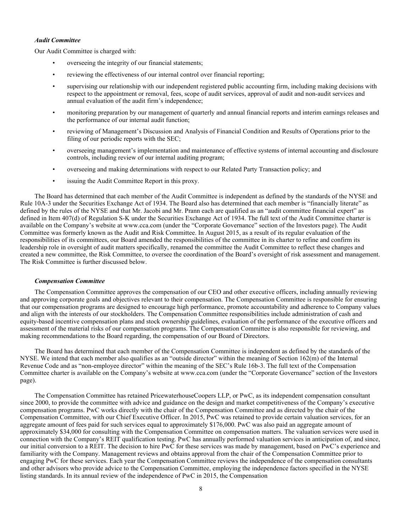# *Audit Committee*

Our Audit Committee is charged with:

- overseeing the integrity of our financial statements;
- reviewing the effectiveness of our internal control over financial reporting;
- supervising our relationship with our independent registered public accounting firm, including making decisions with respect to the appointment or removal, fees, scope of audit services, approval of audit and non-audit services and annual evaluation of the audit firm's independence;
- monitoring preparation by our management of quarterly and annual financial reports and interim earnings releases and the performance of our internal audit function;
- reviewing of Management's Discussion and Analysis of Financial Condition and Results of Operations prior to the filing of our periodic reports with the SEC;
- overseeing management's implementation and maintenance of effective systems of internal accounting and disclosure controls, including review of our internal auditing program;
- overseeing and making determinations with respect to our Related Party Transaction policy; and
- issuing the Audit Committee Report in this proxy.

The Board has determined that each member of the Audit Committee is independent as defined by the standards of the NYSE and Rule 10A-3 under the Securities Exchange Act of 1934. The Board also has determined that each member is "financially literate" as defined by the rules of the NYSE and that Mr. Jacobi and Mr. Prann each are qualified as an "audit committee financial expert" as defined in Item 407(d) of Regulation S-K under the Securities Exchange Act of 1934. The full text of the Audit Committee charter is available on the Company's website at www.cca.com (under the "Corporate Governance" section of the Investors page). The Audit Committee was formerly known as the Audit and Risk Committee. In August 2015, as a result of its regular evaluation of the responsibilities of its committees, our Board amended the responsibilities of the committee in its charter to refine and confirm its leadership role in oversight of audit matters specifically, renamed the committee the Audit Committee to reflect these changes and created a new committee, the Risk Committee, to oversee the coordination of the Board's oversight of risk assessment and management. The Risk Committee is further discussed below.

# *Compensation Committee*

The Compensation Committee approves the compensation of our CEO and other executive officers, including annually reviewing and approving corporate goals and objectives relevant to their compensation. The Compensation Committee is responsible for ensuring that our compensation programs are designed to encourage high performance, promote accountability and adherence to Company values and align with the interests of our stockholders. The Compensation Committee responsibilities include administration of cash and equity-based incentive compensation plans and stock ownership guidelines, evaluation of the performance of the executive officers and assessment of the material risks of our compensation programs. The Compensation Committee is also responsible for reviewing, and making recommendations to the Board regarding, the compensation of our Board of Directors.

The Board has determined that each member of the Compensation Committee is independent as defined by the standards of the NYSE. We intend that each member also qualifies as an "outside director" within the meaning of Section 162(m) of the Internal Revenue Code and as "non-employee director" within the meaning of the SEC's Rule 16b-3. The full text of the Compensation Committee charter is available on the Company's website at www.cca.com (under the "Corporate Governance" section of the Investors page).

The Compensation Committee has retained PricewaterhouseCoopers LLP, or PwC, as its independent compensation consultant since 2000, to provide the committee with advice and guidance on the design and market competitiveness of the Company's executive compensation programs. PwC works directly with the chair of the Compensation Committee and as directed by the chair of the Compensation Committee, with our Chief Executive Officer. In 2015, PwC was retained to provide certain valuation services, for an aggregate amount of fees paid for such services equal to approximately \$176,000. PwC was also paid an aggregate amount of approximately \$34,000 for consulting with the Compensation Committee on compensation matters. The valuation services were used in connection with the Company's REIT qualification testing. PwC has annually performed valuation services in anticipation of, and since, our initial conversion to a REIT. The decision to hire PwC for these services was made by management, based on  $PwC$ 's experience and familiarity with the Company. Management reviews and obtains approval from the chair of the Compensation Committee prior to engaging PwC for these services. Each year the Compensation Committee reviews the independence of the compensation consultants and other advisors who provide advice to the Compensation Committee, employing the independence factors specified in the NYSE listing standards. In its annual review of the independence of PwC in 2015, the Compensation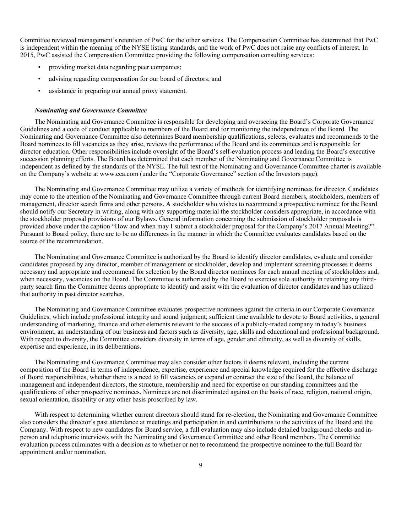Committee reviewed management's retention of PwC for the other services. The Compensation Committee has determined that PwC is independent within the meaning of the NYSE listing standards, and the work of PwC does not raise any conflicts of interest. In 2015, PwC assisted the Compensation Committee providing the following compensation consulting services:

- providing market data regarding peer companies;
- advising regarding compensation for our board of directors; and
- assistance in preparing our annual proxy statement.

## *Nominating and Governance Committee*

The Nominating and Governance Committee is responsible for developing and overseeing the Board's Corporate Governance Guidelines and a code of conduct applicable to members of the Board and for monitoring the independence of the Board. The Nominating and Governance Committee also determines Board membership qualifications, selects, evaluates and recommends to the Board nominees to fill vacancies as they arise, reviews the performance of the Board and its committees and is responsible for director education. Other responsibilities include oversight of the Board's self-evaluation process and leading the Board's executive succession planning efforts. The Board has determined that each member of the Nominating and Governance Committee is independent as defined by the standards of the NYSE. The full text of the Nominating and Governance Committee charter is available on the Company's website at www.cca.com (under the "Corporate Governance" section of the Investors page).

The Nominating and Governance Committee may utilize a variety of methods for identifying nominees for director. Candidates may come to the attention of the Nominating and Governance Committee through current Board members, stockholders, members of management, director search firms and other persons. A stockholder who wishes to recommend a prospective nominee for the Board should notify our Secretary in writing, along with any supporting material the stockholder considers appropriate, in accordance with the stockholder proposal provisions of our Bylaws. General information concerning the submission of stockholder proposals is provided above under the caption "How and when may I submit a stockholder proposal for the Company's 2017 Annual Meeting?". Pursuant to Board policy, there are to be no differences in the manner in which the Committee evaluates candidates based on the source of the recommendation.

The Nominating and Governance Committee is authorized by the Board to identify director candidates, evaluate and consider candidates proposed by any director, member of management or stockholder, develop and implement screening processes it deems necessary and appropriate and recommend for selection by the Board director nominees for each annual meeting of stockholders and, when necessary, vacancies on the Board. The Committee is authorized by the Board to exercise sole authority in retaining any thirdparty search firm the Committee deems appropriate to identify and assist with the evaluation of director candidates and has utilized that authority in past director searches.

The Nominating and Governance Committee evaluates prospective nominees against the criteria in our Corporate Governance Guidelines, which include professional integrity and sound judgment, sufficient time available to devote to Board activities, a general understanding of marketing, finance and other elements relevant to the success of a publicly-traded company in today's business environment, an understanding of our business and factors such as diversity, age, skills and educational and professional background. With respect to diversity, the Committee considers diversity in terms of age, gender and ethnicity, as well as diversity of skills, expertise and experience, in its deliberations.

The Nominating and Governance Committee may also consider other factors it deems relevant, including the current composition of the Board in terms of independence, expertise, experience and special knowledge required for the effective discharge of Board responsibilities, whether there is a need to fill vacancies or expand or contract the size of the Board, the balance of management and independent directors, the structure, membership and need for expertise on our standing committees and the qualifications of other prospective nominees. Nominees are not discriminated against on the basis of race, religion, national origin, sexual orientation, disability or any other basis proscribed by law.

With respect to determining whether current directors should stand for re-election, the Nominating and Governance Committee also considers the director's past attendance at meetings and participation in and contributions to the activities of the Board and the Company. With respect to new candidates for Board service, a full evaluation may also include detailed background checks and inperson and telephonic interviews with the Nominating and Governance Committee and other Board members. The Committee evaluation process culminates with a decision as to whether or not to recommend the prospective nominee to the full Board for appointment and/or nomination.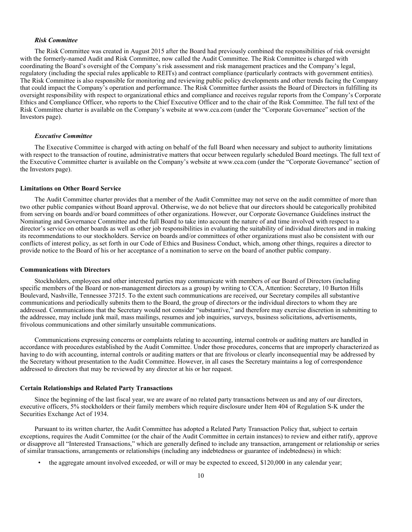## *Risk Committee*

The Risk Committee was created in August 2015 after the Board had previously combined the responsibilities of risk oversight with the formerly-named Audit and Risk Committee, now called the Audit Committee. The Risk Committee is charged with coordinating the Board's oversight of the Company's risk assessment and risk management practices and the Company's legal, regulatory (including the special rules applicable to REITs) and contract compliance (particularly contracts with government entities). The Risk Committee is also responsible for monitoring and reviewing public policy developments and other trends facing the Company that could impact the Company's operation and performance. The Risk Committee further assists the Board of Directors in fulfilling its oversight responsibility with respect to organizational ethics and compliance and receives regular reports from the Company's Corporate Ethics and Compliance Officer, who reports to the Chief Executive Officer and to the chair of the Risk Committee. The full text of the Risk Committee charter is available on the Company's website at www.cca.com (under the "Corporate Governance" section of the Investors page).

#### *Executive Committee*

The Executive Committee is charged with acting on behalf of the full Board when necessary and subject to authority limitations with respect to the transaction of routine, administrative matters that occur between regularly scheduled Board meetings. The full text of the Executive Committee charter is available on the Company's website at www.cca.com (under the "Corporate Governance" section of the Investors page).

## **Limitations on Other Board Service**

The Audit Committee charter provides that a member of the Audit Committee may not serve on the audit committee of more than two other public companies without Board approval. Otherwise, we do not believe that our directors should be categorically prohibited from serving on boards and/or board committees of other organizations. However, our Corporate Governance Guidelines instruct the Nominating and Governance Committee and the full Board to take into account the nature of and time involved with respect to a director's service on other boards as well as other job responsibilities in evaluating the suitability of individual directors and in making its recommendations to our stockholders. Service on boards and/or committees of other organizations must also be consistent with our conflicts of interest policy, as set forth in our Code of Ethics and Business Conduct, which, among other things, requires a director to provide notice to the Board of his or her acceptance of a nomination to serve on the board of another public company.

## **Communications with Directors**

Stockholders, employees and other interested parties may communicate with members of our Board of Directors (including specific members of the Board or non-management directors as a group) by writing to CCA, Attention: Secretary, 10 Burton Hills Boulevard, Nashville, Tennessee 37215. To the extent such communications are received, our Secretary compiles all substantive communications and periodically submits them to the Board, the group of directors or the individual directors to whom they are addressed. Communications that the Secretary would not consider "substantive," and therefore may exercise discretion in submitting to the addressee, may include junk mail, mass mailings, resumes and job inquiries, surveys, business solicitations, advertisements, frivolous communications and other similarly unsuitable communications.

Communications expressing concerns or complaints relating to accounting, internal controls or auditing matters are handled in accordance with procedures established by the Audit Committee. Under those procedures, concerns that are improperly characterized as having to do with accounting, internal controls or auditing matters or that are frivolous or clearly inconsequential may be addressed by the Secretary without presentation to the Audit Committee. However, in all cases the Secretary maintains a log of correspondence addressed to directors that may be reviewed by any director at his or her request.

#### **Certain Relationships and Related Party Transactions**

Since the beginning of the last fiscal year, we are aware of no related party transactions between us and any of our directors, executive officers, 5% stockholders or their family members which require disclosure under Item 404 of Regulation S-K under the Securities Exchange Act of 1934.

Pursuant to its written charter, the Audit Committee has adopted a Related Party Transaction Policy that, subject to certain exceptions, requires the Audit Committee (or the chair of the Audit Committee in certain instances) to review and either ratify, approve or disapprove all "Interested Transactions," which are generally defined to include any transaction, arrangement or relationship or series of similar transactions, arrangements or relationships (including any indebtedness or guarantee of indebtedness) in which:

• the aggregate amount involved exceeded, or will or may be expected to exceed, \$120,000 in any calendar year;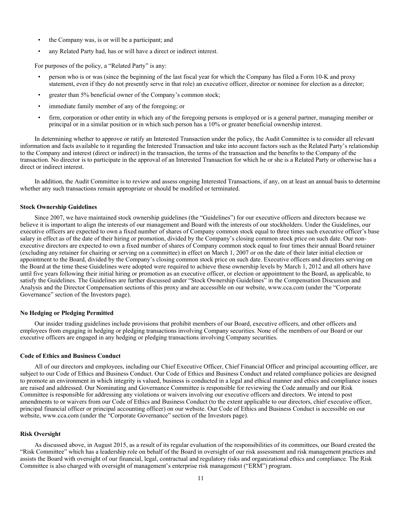- the Company was, is or will be a participant; and
- any Related Party had, has or will have a direct or indirect interest.

For purposes of the policy, a "Related Party" is any:

- person who is or was (since the beginning of the last fiscal year for which the Company has filed a Form 10-K and proxy statement, even if they do not presently serve in that role) an executive officer, director or nominee for election as a director;
- greater than 5% beneficial owner of the Company's common stock;
- immediate family member of any of the foregoing; or
- firm, corporation or other entity in which any of the foregoing persons is employed or is a general partner, managing member or principal or in a similar position or in which such person has a 10% or greater beneficial ownership interest.

In determining whether to approve or ratify an Interested Transaction under the policy, the Audit Committee is to consider all relevant information and facts available to it regarding the Interested Transaction and take into account factors such as the Related Party's relationship to the Company and interest (direct or indirect) in the transaction, the terms of the transaction and the benefits to the Company of the transaction. No director is to participate in the approval of an Interested Transaction for which he or she is a Related Party or otherwise has a direct or indirect interest.

In addition, the Audit Committee is to review and assess ongoing Interested Transactions, if any, on at least an annual basis to determine whether any such transactions remain appropriate or should be modified or terminated.

#### **Stock Ownership Guidelines**

Since 2007, we have maintained stock ownership guidelines (the "Guidelines") for our executive officers and directors because we believe it is important to align the interests of our management and Board with the interests of our stockholders. Under the Guidelines, our executive officers are expected to own a fixed number of shares of Company common stock equal to three times such executive officer's base salary in effect as of the date of their hiring or promotion, divided by the Company's closing common stock price on such date. Our nonexecutive directors are expected to own a fixed number of shares of Company common stock equal to four times their annual Board retainer (excluding any retainer for chairing or serving on a committee) in effect on March 1, 2007 or on the date of their later initial election or appointment to the Board, divided by the Company's closing common stock price on such date. Executive officers and directors serving on the Board at the time these Guidelines were adopted were required to achieve these ownership levels by March 1, 2012 and all others have until five years following their initial hiring or promotion as an executive officer, or election or appointment to the Board, as applicable, to satisfy the Guidelines. The Guidelines are further discussed under "Stock Ownership Guidelines" in the Compensation Discussion and Analysis and the Director Compensation sections of this proxy and are accessible on our website, www.cca.com (under the "Corporate Governance" section of the Investors page).

## **No Hedging or Pledging Permitted**

Our insider trading guidelines include provisions that prohibit members of our Board, executive officers, and other officers and employees from engaging in hedging or pledging transactions involving Company securities. None of the members of our Board or our executive officers are engaged in any hedging or pledging transactions involving Company securities.

#### **Code of Ethics and Business Conduct**

All of our directors and employees, including our Chief Executive Officer, Chief Financial Officer and principal accounting officer, are subject to our Code of Ethics and Business Conduct. Our Code of Ethics and Business Conduct and related compliance policies are designed to promote an environment in which integrity is valued, business is conducted in a legal and ethical manner and ethics and compliance issues are raised and addressed. Our Nominating and Governance Committee is responsible for reviewing the Code annually and our Risk Committee is responsible for addressing any violations or waivers involving our executive officers and directors. We intend to post amendments to or waivers from our Code of Ethics and Business Conduct (to the extent applicable to our directors, chief executive officer, principal financial officer or principal accounting officer) on our website. Our Code of Ethics and Business Conduct is accessible on our website, www.cca.com (under the "Corporate Governance" section of the Investors page).

#### **Risk Oversight**

As discussed above, in August 2015, as a result of its regular evaluation of the responsibilities of its committees, our Board created the "Risk Committee" which has a leadership role on behalf of the Board in oversight of our risk assessment and risk management practices and assists the Board with oversight of our financial, legal, contractual and regulatory risks and organizational ethics and compliance. The Risk Committee is also charged with oversight of management's enterprise risk management ("ERM") program.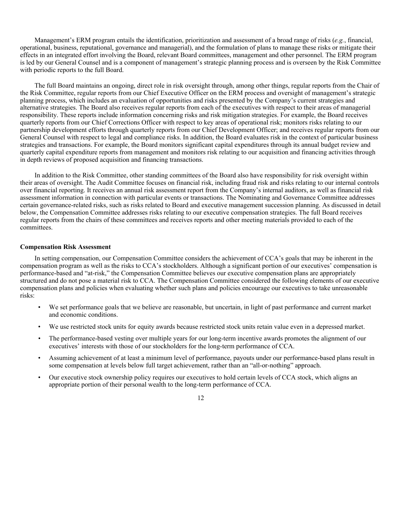Management's ERM program entails the identification, prioritization and assessment of a broad range of risks (*e.g.*, financial, operational, business, reputational, governance and managerial), and the formulation of plans to manage these risks or mitigate their effects in an integrated effort involving the Board, relevant Board committees, management and other personnel. The ERM program is led by our General Counsel and is a component of management's strategic planning process and is overseen by the Risk Committee with periodic reports to the full Board.

The full Board maintains an ongoing, direct role in risk oversight through, among other things, regular reports from the Chair of the Risk Committee, regular reports from our Chief Executive Officer on the ERM process and oversight of management's strategic planning process, which includes an evaluation of opportunities and risks presented by the Company's current strategies and alternative strategies. The Board also receives regular reports from each of the executives with respect to their areas of managerial responsibility. These reports include information concerning risks and risk mitigation strategies. For example, the Board receives quarterly reports from our Chief Corrections Officer with respect to key areas of operational risk; monitors risks relating to our partnership development efforts through quarterly reports from our Chief Development Officer; and receives regular reports from our General Counsel with respect to legal and compliance risks. In addition, the Board evaluates risk in the context of particular business strategies and transactions. For example, the Board monitors significant capital expenditures through its annual budget review and quarterly capital expenditure reports from management and monitors risk relating to our acquisition and financing activities through in depth reviews of proposed acquisition and financing transactions.

In addition to the Risk Committee, other standing committees of the Board also have responsibility for risk oversight within their areas of oversight. The Audit Committee focuses on financial risk, including fraud risk and risks relating to our internal controls over financial reporting. It receives an annual risk assessment report from the Company's internal auditors, as well as financial risk assessment information in connection with particular events or transactions. The Nominating and Governance Committee addresses certain governance-related risks, such as risks related to Board and executive management succession planning. As discussed in detail below, the Compensation Committee addresses risks relating to our executive compensation strategies. The full Board receives regular reports from the chairs of these committees and receives reports and other meeting materials provided to each of the committees.

## **Compensation Risk Assessment**

In setting compensation, our Compensation Committee considers the achievement of CCA's goals that may be inherent in the compensation program as well as the risks to CCA's stockholders. Although a significant portion of our executives' compensation is performance-based and "at-risk," the Compensation Committee believes our executive compensation plans are appropriately structured and do not pose a material risk to CCA. The Compensation Committee considered the following elements of our executive compensation plans and policies when evaluating whether such plans and policies encourage our executives to take unreasonable risks:

- We set performance goals that we believe are reasonable, but uncertain, in light of past performance and current market and economic conditions.
- We use restricted stock units for equity awards because restricted stock units retain value even in a depressed market.
- The performance-based vesting over multiple years for our long-term incentive awards promotes the alignment of our executives' interests with those of our stockholders for the long-term performance of CCA.
- Assuming achievement of at least a minimum level of performance, payouts under our performance-based plans result in some compensation at levels below full target achievement, rather than an "all-or-nothing" approach.
- Our executive stock ownership policy requires our executives to hold certain levels of CCA stock, which aligns an appropriate portion of their personal wealth to the long-term performance of CCA.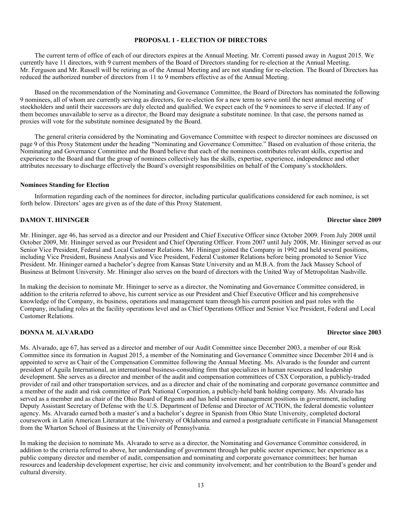# **PROPOSAL 1 - ELECTION OF DIRECTORS**

The current term of office of each of our directors expires at the Annual Meeting. Mr. Correnti passed away in August 2015. We currently have 11 directors, with 9 current members of the Board of Directors standing for re-election at the Annual Meeting. Mr. Ferguson and Mr. Russell will be retiring as of the Annual Meeting and are not standing for re-election. The Board of Directors has reduced the authorized number of directors from 11 to 9 members effective as of the Annual Meeting.

Based on the recommendation of the Nominating and Governance Committee, the Board of Directors has nominated the following 9 nominees, all of whom are currently serving as directors, for re-election for a new term to serve until the next annual meeting of stockholders and until their successors are duly elected and qualified. We expect each of the 9 nominees to serve if elected. If any of them becomes unavailable to serve as a director, the Board may designate a substitute nominee. In that case, the persons named as proxies will vote for the substitute nominee designated by the Board.

The general criteria considered by the Nominating and Governance Committee with respect to director nominees are discussed on page 9 of this Proxy Statement under the heading "Nominating and Governance Committee." Based on evaluation of those criteria, the Nominating and Governance Committee and the Board believe that each of the nominees contributes relevant skills, expertise and experience to the Board and that the group of nominees collectively has the skills, expertise, experience, independence and other attributes necessary to discharge effectively the Board's oversight responsibilities on behalf of the Company's stockholders.

# **Nominees Standing for Election**

Information regarding each of the nominees for director, including particular qualifications considered for each nominee, is set forth below. Directors' ages are given as of the date of this Proxy Statement.

## **DAMON T. HININGER Director since 2009**

Mr. Hininger, age 46, has served as a director and our President and Chief Executive Officer since October 2009. From July 2008 until October 2009, Mr. Hininger served as our President and Chief Operating Officer. From 2007 until July 2008, Mr. Hininger served as our Senior Vice President, Federal and Local Customer Relations. Mr. Hininger joined the Company in 1992 and held several positions, including Vice President, Business Analysis and Vice President, Federal Customer Relations before being promoted to Senior Vice President. Mr. Hininger earned a bachelor's degree from Kansas State University and an M.B.A. from the Jack Massey School of Business at Belmont University. Mr. Hininger also serves on the board of directors with the United Way of Metropolitan Nashville.

In making the decision to nominate Mr. Hininger to serve as a director, the Nominating and Governance Committee considered, in addition to the criteria referred to above, his current service as our President and Chief Executive Officer and his comprehensive knowledge of the Company, its business, operations and management team through his current position and past roles with the Company, including roles at the facility operations level and as Chief Operations Officer and Senior Vice President, Federal and Local Customer Relations.

# **DONNA M. ALVARADO Director since 2003**

Ms. Alvarado, age 67, has served as a director and member of our Audit Committee since December 2003, a member of our Risk Committee since its formation in August 2015, a member of the Nominating and Governance Committee since December 2014 and is appointed to serve as Chair of the Compensation Committee following the Annual Meeting. Ms. Alvarado is the founder and current president of Aguila International, an international business-consulting firm that specializes in human resources and leadership development. She serves as a director and member of the audit and compensation committees of CSX Corporation, a publicly-traded provider of rail and other transportation services, and as a director and chair of the nominating and corporate governance committee and a member of the audit and risk committee of Park National Corporation, a publicly-held bank holding company. Ms. Alvarado has served as a member and as chair of the Ohio Board of Regents and has held senior management positions in government, including Deputy Assistant Secretary of Defense with the U.S. Department of Defense and Director of ACTION, the federal domestic volunteer agency. Ms. Alvarado earned both a master's and a bachelor's degree in Spanish from Ohio State University, completed doctoral coursework in Latin American Literature at the University of Oklahoma and earned a postgraduate certificate in Financial Management from the Wharton School of Business at the University of Pennsylvania.

In making the decision to nominate Ms. Alvarado to serve as a director, the Nominating and Governance Committee considered, in addition to the criteria referred to above, her understanding of government through her public sector experience; her experience as a public company director and member of audit, compensation and nominating and corporate governance committees; her human resources and leadership development expertise; her civic and community involvement; and her contribution to the Board's gender and cultural diversity.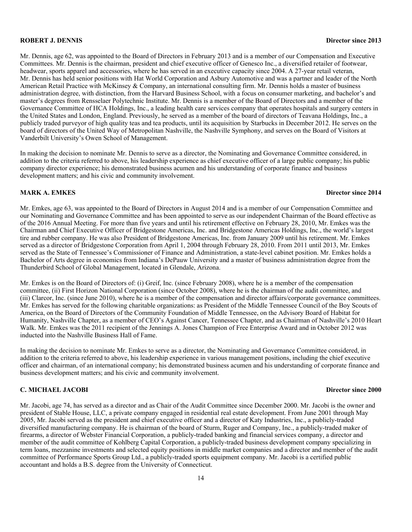### **ROBERT J. DENNIS Director since 2013**

Mr. Dennis, age 62, was appointed to the Board of Directors in February 2013 and is a member of our Compensation and Executive Committees. Mr. Dennis is the chairman, president and chief executive officer of Genesco Inc., a diversified retailer of footwear, headwear, sports apparel and accessories, where he has served in an executive capacity since 2004. A 27-year retail veteran, Mr. Dennis has held senior positions with Hat World Corporation and Asbury Automotive and was a partner and leader of the North American Retail Practice with McKinsey & Company, an international consulting firm. Mr. Dennis holds a master of business administration degree, with distinction, from the Harvard Business School, with a focus on consumer marketing, and bachelor's and master's degrees from Rensselaer Polytechnic Institute. Mr. Dennis is a member of the Board of Directors and a member of the Governance Committee of HCA Holdings, Inc., a leading health care services company that operates hospitals and surgery centers in the United States and London, England. Previously, he served as a member of the board of directors of Teavana Holdings, Inc., a publicly traded purveyor of high quality teas and tea products, until its acquisition by Starbucks in December 2012. He serves on the board of directors of the United Way of Metropolitan Nashville, the Nashville Symphony, and serves on the Board of Visitors at Vanderbilt University's Owen School of Management.

In making the decision to nominate Mr. Dennis to serve as a director, the Nominating and Governance Committee considered, in addition to the criteria referred to above, his leadership experience as chief executive officer of a large public company; his public company director experience; his demonstrated business acumen and his understanding of corporate finance and business development matters; and his civic and community involvement.

# **MARK A. EMKES Director since 2014**

Mr. Emkes, age 63, was appointed to the Board of Directors in August 2014 and is a member of our Compensation Committee and our Nominating and Governance Committee and has been appointed to serve as our independent Chairman of the Board effective as of the 2016 Annual Meeting. For more than five years and until his retirement effective on February 28, 2010, Mr. Emkes was the Chairman and Chief Executive Officer of Bridgestone Americas, Inc. and Bridgestone Americas Holdings, Inc., the world's largest tire and rubber company. He was also President of Bridgestone Americas, Inc. from January 2009 until his retirement. Mr. Emkes served as a director of Bridgestone Corporation from April 1, 2004 through February 28, 2010. From 2011 until 2013, Mr. Emkes served as the State of Tennessee's Commissioner of Finance and Administration, a state-level cabinet position. Mr. Emkes holds a Bachelor of Arts degree in economics from Indiana's DePauw University and a master of business administration degree from the Thunderbird School of Global Management, located in Glendale, Arizona.

Mr. Emkes is on the Board of Directors of: (i) Greif, Inc. (since February 2008), where he is a member of the compensation committee, (ii) First Horizon National Corporation (since October 2008), where he is the chairman of the audit committee, and (iii) Clarcor, Inc. (since June 2010), where he is a member of the compensation and director affairs/corporate governance committees. Mr. Emkes has served for the following charitable organizations: as President of the Middle Tennessee Council of the Boy Scouts of America, on the Board of Directors of the Community Foundation of Middle Tennessee, on the Advisory Board of Habitat for Humanity, Nashville Chapter, as a member of CEO's Against Cancer, Tennessee Chapter, and as Chairman of Nashville's 2010 Heart Walk. Mr. Emkes was the 2011 recipient of the Jennings A. Jones Champion of Free Enterprise Award and in October 2012 was inducted into the Nashville Business Hall of Fame.

In making the decision to nominate Mr. Emkes to serve as a director, the Nominating and Governance Committee considered, in addition to the criteria referred to above, his leadership experience in various management positions, including the chief executive officer and chairman, of an international company; his demonstrated business acumen and his understanding of corporate finance and business development matters; and his civic and community involvement.

# **C. MICHAEL JACOBI Director since 2000**

Mr. Jacobi, age 74, has served as a director and as Chair of the Audit Committee since December 2000. Mr. Jacobi is the owner and president of Stable House, LLC, a private company engaged in residential real estate development. From June 2001 through May 2005, Mr. Jacobi served as the president and chief executive officer and a director of Katy Industries, Inc., a publicly-traded diversified manufacturing company. He is chairman of the board of Sturm, Ruger and Company, Inc., a publicly-traded maker of firearms, a director of Webster Financial Corporation, a publicly-traded banking and financial services company, a director and member of the audit committee of Kohlberg Capital Corporation, a publicly-traded business development company specializing in term loans, mezzanine investments and selected equity positions in middle market companies and a director and member of the audit committee of Performance Sports Group Ltd., a publicly-traded sports equipment company. Mr. Jacobi is a certified public accountant and holds a B.S. degree from the University of Connecticut.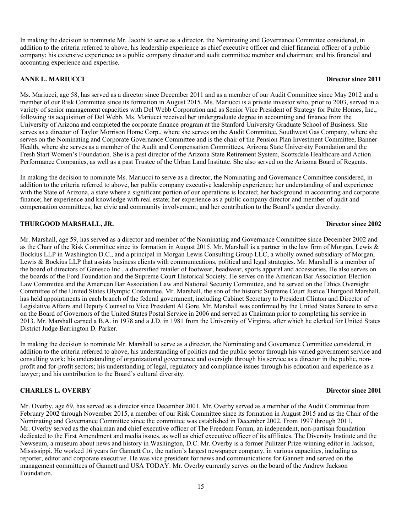In making the decision to nominate Mr. Jacobi to serve as a director, the Nominating and Governance Committee considered, in addition to the criteria referred to above, his leadership experience as chief executive officer and chief financial officer of a public company; his extensive experience as a public company director and audit committee member and chairman; and his financial and accounting experience and expertise.

# **ANNE L. MARIUCCI Director since 2011**

Ms. Mariucci, age 58, has served as a director since December 2011 and as a member of our Audit Committee since May 2012 and a member of our Risk Committee since its formation in August 2015. Ms. Mariucci is a private investor who, prior to 2003, served in a variety of senior management capacities with Del Webb Corporation and as Senior Vice President of Strategy for Pulte Homes, Inc., following its acquisition of Del Webb. Ms. Mariucci received her undergraduate degree in accounting and finance from the University of Arizona and completed the corporate finance program at the Stanford University Graduate School of Business. She serves as a director of Taylor Morrison Home Corp., where she serves on the Audit Committee, Southwest Gas Company, where she serves on the Nominating and Corporate Governance Committee and is the chair of the Pension Plan Investment Committee, Banner Health, where she serves as a member of the Audit and Compensation Committees, Arizona State University Foundation and the Fresh Start Women's Foundation. She is a past director of the Arizona State Retirement System, Scottsdale Healthcare and Action Performance Companies, as well as a past Trustee of the Urban Land Institute. She also served on the Arizona Board of Regents.

In making the decision to nominate Ms. Mariucci to serve as a director, the Nominating and Governance Committee considered, in addition to the criteria referred to above, her public company executive leadership experience; her understanding of and experience with the State of Arizona, a state where a significant portion of our operations is located; her background in accounting and corporate finance; her experience and knowledge with real estate; her experience as a public company director and member of audit and compensation committees; her civic and community involvement; and her contribution to the Board's gender diversity.

# **THURGOOD MARSHALL, JR. Director since 2002**

District Judge Barrington D. Parker.

# Mr. Marshall, age 59, has served as a director and member of the Nominating and Governance Committee since December 2002 and as the Chair of the Risk Committee since its formation in August 2015. Mr. Marshall is a partner in the law firm of Morgan, Lewis & Bockius LLP in Washington D.C., and a principal in Morgan Lewis Consulting Group LLC, a wholly owned subsidiary of Morgan, Lewis & Bockius LLP that assists business clients with communications, political and legal strategies. Mr. Marshall is a member of the board of directors of Genesco Inc., a diversified retailer of footwear, headwear, sports apparel and accessories. He also serves on the boards of the Ford Foundation and the Supreme Court Historical Society. He serves on the American Bar Association Election Law Committee and the American Bar Association Law and National Security Committee, and he served on the Ethics Oversight Committee of the United States Olympic Committee. Mr. Marshall, the son of the historic Supreme Court Justice Thurgood Marshall, has held appointments in each branch of the federal government, including Cabinet Secretary to President Clinton and Director of Legislative Affairs and Deputy Counsel to Vice President Al Gore. Mr. Marshall was confirmed by the United States Senate to serve on the Board of Governors of the United States Postal Service in 2006 and served as Chairman prior to completing his service in 2013. Mr. Marshall earned a B.A. in 1978 and a J.D. in 1981 from the University of Virginia, after which he clerked for United States

In making the decision to nominate Mr. Marshall to serve as a director, the Nominating and Governance Committee considered, in addition to the criteria referred to above, his understanding of politics and the public sector through his varied government service and consulting work; his understanding of organizational governance and oversight through his service as a director in the public, nonprofit and for-profit sectors; his understanding of legal, regulatory and compliance issues through his education and experience as a lawyer; and his contribution to the Board's cultural diversity.

# **CHARLES L. OVERBY Director since 2001**

Mr. Overby, age 69, has served as a director since December 2001. Mr. Overby served as a member of the Audit Committee from February 2002 through November 2015, a member of our Risk Committee since its formation in August 2015 and as the Chair of the Nominating and Governance Committee since the committee was established in December 2002. From 1997 through 2011, Mr. Overby served as the chairman and chief executive officer of The Freedom Forum, an independent, non-partisan foundation dedicated to the First Amendment and media issues, as well as chief executive officer of its affiliates, The Diversity Institute and the Newseum, a museum about news and history in Washington, D.C. Mr. Overby is a former Pulitzer Prize-winning editor in Jackson, Mississippi. He worked 16 years for Gannett Co., the nation's largest newspaper company, in various capacities, including as reporter, editor and corporate executive. He was vice president for news and communications for Gannett and served on the management committees of Gannett and USA TODAY. Mr. Overby currently serves on the board of the Andrew Jackson Foundation.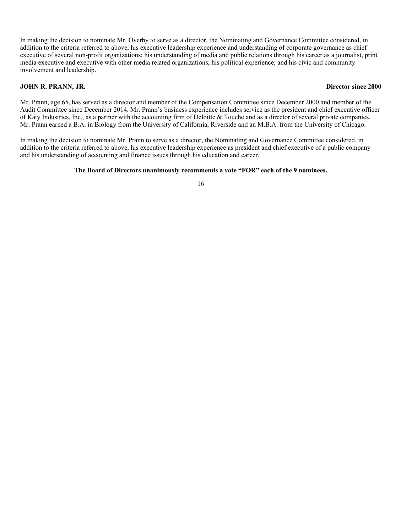In making the decision to nominate Mr. Overby to serve as a director, the Nominating and Governance Committee considered, in addition to the criteria referred to above, his executive leadership experience and understanding of corporate governance as chief executive of several non-profit organizations; his understanding of media and public relations through his career as a journalist, print media executive and executive with other media related organizations; his political experience; and his civic and community involvement and leadership.

# **JOHN R. PRANN, JR. Director since 2000**

Mr. Prann, age 65, has served as a director and member of the Compensation Committee since December 2000 and member of the Audit Committee since December 2014. Mr. Prann's business experience includes service as the president and chief executive officer of Katy Industries, Inc., as a partner with the accounting firm of Deloitte & Touche and as a director of several private companies. Mr. Prann earned a B.A. in Biology from the University of California, Riverside and an M.B.A. from the University of Chicago.

In making the decision to nominate Mr. Prann to serve as a director, the Nominating and Governance Committee considered, in addition to the criteria referred to above, his executive leadership experience as president and chief executive of a public company and his understanding of accounting and finance issues through his education and career.

# **The Board of Directors unanimously recommends a vote "FOR" each of the 9 nominees.**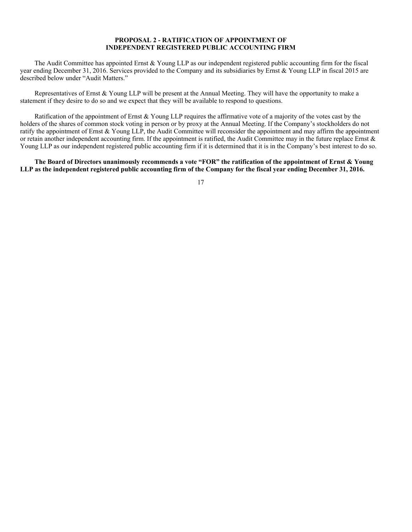# **PROPOSAL 2 - RATIFICATION OF APPOINTMENT OF INDEPENDENT REGISTERED PUBLIC ACCOUNTING FIRM**

The Audit Committee has appointed Ernst & Young LLP as our independent registered public accounting firm for the fiscal year ending December 31, 2016. Services provided to the Company and its subsidiaries by Ernst & Young LLP in fiscal 2015 are described below under "Audit Matters."

Representatives of Ernst & Young LLP will be present at the Annual Meeting. They will have the opportunity to make a statement if they desire to do so and we expect that they will be available to respond to questions.

Ratification of the appointment of Ernst & Young LLP requires the affirmative vote of a majority of the votes cast by the holders of the shares of common stock voting in person or by proxy at the Annual Meeting. If the Company's stockholders do not ratify the appointment of Ernst & Young LLP, the Audit Committee will reconsider the appointment and may affirm the appointment or retain another independent accounting firm. If the appointment is ratified, the Audit Committee may in the future replace Ernst & Young LLP as our independent registered public accounting firm if it is determined that it is in the Company's best interest to do so.

**The Board of Directors unanimously recommends a vote "FOR" the ratification of the appointment of Ernst & Young LLP as the independent registered public accounting firm of the Company for the fiscal year ending December 31, 2016.**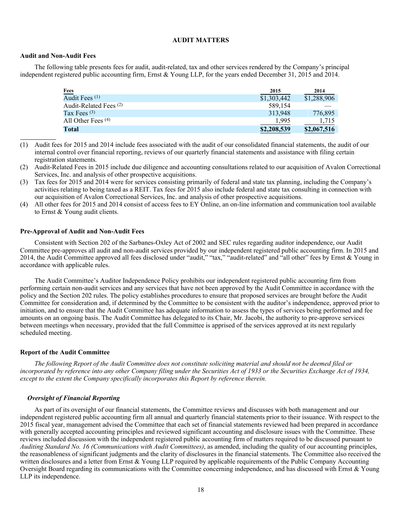# **AUDIT MATTERS**

## **Audit and Non-Audit Fees**

The following table presents fees for audit, audit-related, tax and other services rendered by the Company's principal independent registered public accounting firm, Ernst & Young LLP, for the years ended December 31, 2015 and 2014.

| <b>Fees</b>               | 2015        | 2014        |
|---------------------------|-------------|-------------|
| Audit Fees <sup>(1)</sup> | \$1,303,442 | \$1,288,906 |
| Audit-Related Fees (2)    | 589,154     |             |
| Tax Fees $(3)$            | 313,948     | 776,895     |
| All Other Fees $(4)$      | 1.995       | 1.715       |
| Total                     | \$2,208,539 | \$2,067,516 |

- (1) Audit fees for 2015 and 2014 include fees associated with the audit of our consolidated financial statements, the audit of our internal control over financial reporting, reviews of our quarterly financial statements and assistance with filing certain registration statements.
- (2) Audit-Related Fees in 2015 include due diligence and accounting consultations related to our acquisition of Avalon Correctional Services, Inc. and analysis of other prospective acquisitions.
- (3) Tax fees for 2015 and 2014 were for services consisting primarily of federal and state tax planning, including the Company's activities relating to being taxed as a REIT. Tax fees for 2015 also include federal and state tax consulting in connection with our acquisition of Avalon Correctional Services, Inc. and analysis of other prospective acquisitions.
- (4) All other fees for 2015 and 2014 consist of access fees to EY Online, an on-line information and communication tool available to Ernst & Young audit clients.

## **Pre-Approval of Audit and Non-Audit Fees**

Consistent with Section 202 of the Sarbanes-Oxley Act of 2002 and SEC rules regarding auditor independence, our Audit Committee pre-approves all audit and non-audit services provided by our independent registered public accounting firm. In 2015 and 2014, the Audit Committee approved all fees disclosed under "audit," "tax," "audit-related" and "all other" fees by Ernst & Young in accordance with applicable rules.

The Audit Committee's Auditor Independence Policy prohibits our independent registered public accounting firm from performing certain non-audit services and any services that have not been approved by the Audit Committee in accordance with the policy and the Section 202 rules. The policy establishes procedures to ensure that proposed services are brought before the Audit Committee for consideration and, if determined by the Committee to be consistent with the auditor's independence, approved prior to initiation, and to ensure that the Audit Committee has adequate information to assess the types of services being performed and fee amounts on an ongoing basis. The Audit Committee has delegated to its Chair, Mr. Jacobi, the authority to pre-approve services between meetings when necessary, provided that the full Committee is apprised of the services approved at its next regularly scheduled meeting.

### **Report of the Audit Committee**

*The following Report of the Audit Committee does not constitute soliciting material and should not be deemed filed or incorporated by reference into any other Company filing under the Securities Act of 1933 or the Securities Exchange Act of 1934, except to the extent the Company specifically incorporates this Report by reference therein.* 

# *Oversight of Financial Reporting*

As part of its oversight of our financial statements, the Committee reviews and discusses with both management and our independent registered public accounting firm all annual and quarterly financial statements prior to their issuance. With respect to the 2015 fiscal year, management advised the Committee that each set of financial statements reviewed had been prepared in accordance with generally accepted accounting principles and reviewed significant accounting and disclosure issues with the Committee. These reviews included discussion with the independent registered public accounting firm of matters required to be discussed pursuant to *Auditing Standard No. 16 (Communications with Audit Committees)*, as amended, including the quality of our accounting principles, the reasonableness of significant judgments and the clarity of disclosures in the financial statements. The Committee also received the written disclosures and a letter from Ernst & Young LLP required by applicable requirements of the Public Company Accounting Oversight Board regarding its communications with the Committee concerning independence, and has discussed with Ernst & Young LLP its independence.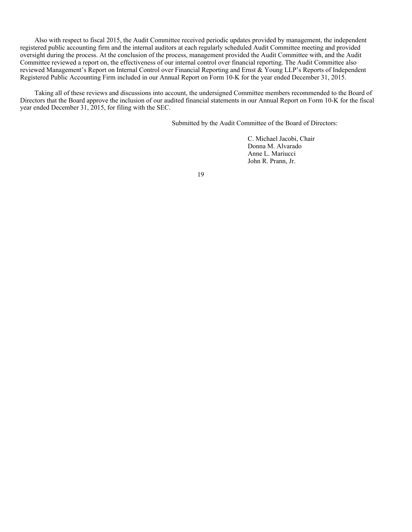Also with respect to fiscal 2015, the Audit Committee received periodic updates provided by management, the independent registered public accounting firm and the internal auditors at each regularly scheduled Audit Committee meeting and provided oversight during the process. At the conclusion of the process, management provided the Audit Committee with, and the Audit Committee reviewed a report on, the effectiveness of our internal control over financial reporting. The Audit Committee also reviewed Management's Report on Internal Control over Financial Reporting and Ernst & Young LLP's Reports of Independent Registered Public Accounting Firm included in our Annual Report on Form 10-K for the year ended December 31, 2015.

Taking all of these reviews and discussions into account, the undersigned Committee members recommended to the Board of Directors that the Board approve the inclusion of our audited financial statements in our Annual Report on Form 10-K for the fiscal year ended December 31, 2015, for filing with the SEC.

Submitted by the Audit Committee of the Board of Directors:

C. Michael Jacobi, Chair Donna M. Alvarado Anne L. Mariucci John R. Prann, Jr.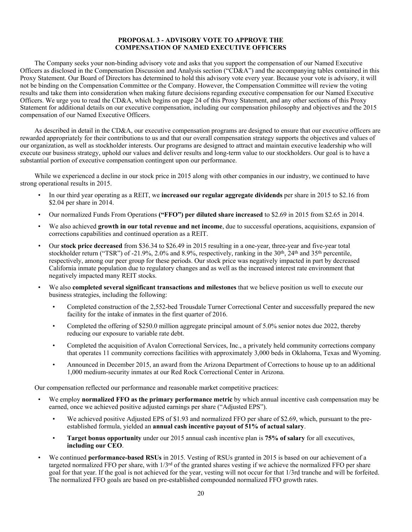# **PROPOSAL 3 - ADVISORY VOTE TO APPROVE THE COMPENSATION OF NAMED EXECUTIVE OFFICERS**

The Company seeks your non-binding advisory vote and asks that you support the compensation of our Named Executive Officers as disclosed in the Compensation Discussion and Analysis section ("CD&A") and the accompanying tables contained in this Proxy Statement. Our Board of Directors has determined to hold this advisory vote every year. Because your vote is advisory, it will not be binding on the Compensation Committee or the Company. However, the Compensation Committee will review the voting results and take them into consideration when making future decisions regarding executive compensation for our Named Executive Officers. We urge you to read the CD&A, which begins on page 24 of this Proxy Statement, and any other sections of this Proxy Statement for additional details on our executive compensation, including our compensation philosophy and objectives and the 2015 compensation of our Named Executive Officers.

As described in detail in the CD&A, our executive compensation programs are designed to ensure that our executive officers are rewarded appropriately for their contributions to us and that our overall compensation strategy supports the objectives and values of our organization, as well as stockholder interests. Our programs are designed to attract and maintain executive leadership who will execute our business strategy, uphold our values and deliver results and long-term value to our stockholders. Our goal is to have a substantial portion of executive compensation contingent upon our performance.

While we experienced a decline in our stock price in 2015 along with other companies in our industry, we continued to have strong operational results in 2015.

- In our third year operating as a REIT, we **increased our regular aggregate dividends** per share in 2015 to \$2.16 from \$2.04 per share in 2014.
- Our normalized Funds From Operations **("FFO") per diluted share increased** to \$2.69 in 2015 from \$2.65 in 2014.
- We also achieved **growth in our total revenue and net income**, due to successful operations, acquisitions, expansion of corrections capabilities and continued operation as a REIT.
- Our **stock price decreased** from \$36.34 to \$26.49 in 2015 resulting in a one-year, three-year and five-year total stockholder return ("TSR") of -21.9%, 2.0% and 8.9%, respectively, ranking in the  $30<sup>th</sup>$ ,  $24<sup>th</sup>$  and  $35<sup>th</sup>$  percentile, respectively, among our peer group for these periods. Our stock price was negatively impacted in part by decreased California inmate population due to regulatory changes and as well as the increased interest rate environment that negatively impacted many REIT stocks.
- We also **completed several significant transactions and milestones** that we believe position us well to execute our business strategies, including the following:
	- Completed construction of the 2,552-bed Trousdale Turner Correctional Center and successfully prepared the new facility for the intake of inmates in the first quarter of 2016.
	- Completed the offering of \$250.0 million aggregate principal amount of 5.0% senior notes due 2022, thereby reducing our exposure to variable rate debt.
	- Completed the acquisition of Avalon Correctional Services, Inc., a privately held community corrections company that operates 11 community corrections facilities with approximately 3,000 beds in Oklahoma, Texas and Wyoming.
	- Announced in December 2015, an award from the Arizona Department of Corrections to house up to an additional 1,000 medium-security inmates at our Red Rock Correctional Center in Arizona.

Our compensation reflected our performance and reasonable market competitive practices:

- We employ **normalized FFO as the primary performance metric** by which annual incentive cash compensation may be earned, once we achieved positive adjusted earnings per share ("Adjusted EPS").
	- We achieved positive Adjusted EPS of \$1.93 and normalized FFO per share of \$2.69, which, pursuant to the preestablished formula, yielded an **annual cash incentive payout of 51% of actual salary**.
	- **Target bonus opportunity** under our 2015 annual cash incentive plan is **75% of salary** for all executives, **including our CEO**.
- We continued **performance-based RSUs** in 2015. Vesting of RSUs granted in 2015 is based on our achievement of a targeted normalized FFO per share, with  $1/3^{rd}$  of the granted shares vesting if we achieve the normalized FFO per share goal for that year. If the goal is not achieved for the year, vesting will not occur for that 1/3rd tranche and will be forfeited. The normalized FFO goals are based on pre-established compounded normalized FFO growth rates.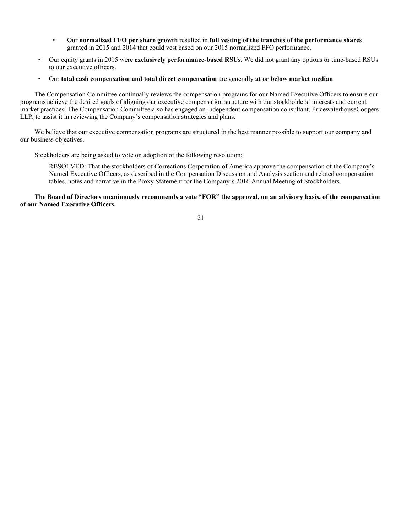- Our **normalized FFO per share growth** resulted in **full vesting of the tranches of the performance shares** granted in 2015 and 2014 that could vest based on our 2015 normalized FFO performance.
- Our equity grants in 2015 were **exclusively performance-based RSUs**. We did not grant any options or time-based RSUs to our executive officers.
- Our **total cash compensation and total direct compensation** are generally **at or below market median**.

The Compensation Committee continually reviews the compensation programs for our Named Executive Officers to ensure our programs achieve the desired goals of aligning our executive compensation structure with our stockholders' interests and current market practices. The Compensation Committee also has engaged an independent compensation consultant, PricewaterhouseCoopers LLP, to assist it in reviewing the Company's compensation strategies and plans.

We believe that our executive compensation programs are structured in the best manner possible to support our company and our business objectives.

Stockholders are being asked to vote on adoption of the following resolution:

RESOLVED: That the stockholders of Corrections Corporation of America approve the compensation of the Company's Named Executive Officers, as described in the Compensation Discussion and Analysis section and related compensation tables, notes and narrative in the Proxy Statement for the Company's 2016 Annual Meeting of Stockholders.

**The Board of Directors unanimously recommends a vote "FOR" the approval, on an advisory basis, of the compensation of our Named Executive Officers.**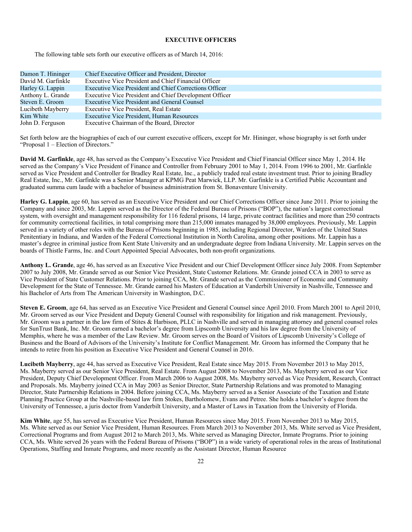### **EXECUTIVE OFFICERS**

The following table sets forth our executive officers as of March 14, 2016:

| Damon T. Hininger  | Chief Executive Officer and President, Director        |
|--------------------|--------------------------------------------------------|
| David M. Garfinkle | Executive Vice President and Chief Financial Officer   |
| Harley G. Lappin   | Executive Vice President and Chief Corrections Officer |
| Anthony L. Grande  | Executive Vice President and Chief Development Officer |
| Steven E. Groom    | Executive Vice President and General Counsel           |
| Lucibeth Mayberry  | Executive Vice President, Real Estate                  |
| Kim White          | Executive Vice President, Human Resources              |
| John D. Ferguson   | Executive Chairman of the Board, Director              |

Set forth below are the biographies of each of our current executive officers, except for Mr. Hininger, whose biography is set forth under "Proposal 1 – Election of Directors."

**David M. Garfinkle**, age 48, has served as the Company's Executive Vice President and Chief Financial Officer since May 1, 2014. He served as the Company's Vice President of Finance and Controller from February 2001 to May 1, 2014. From 1996 to 2001, Mr. Garfinkle served as Vice President and Controller for Bradley Real Estate, Inc., a publicly traded real estate investment trust. Prior to joining Bradley Real Estate, Inc., Mr. Garfinkle was a Senior Manager at KPMG Peat Marwick, LLP. Mr. Garfinkle is a Certified Public Accountant and graduated summa cum laude with a bachelor of business administration from St. Bonaventure University.

**Harley G. Lappin**, age 60, has served as an Executive Vice President and our Chief Corrections Officer since June 2011. Prior to joining the Company and since 2003, Mr. Lappin served as the Director of the Federal Bureau of Prisons ("BOP"), the nation's largest correctional system, with oversight and management responsibility for 116 federal prisons, 14 large, private contract facilities and more than 250 contracts for community correctional facilities, in total comprising more than 215,000 inmates managed by 38,000 employees. Previously, Mr. Lappin served in a variety of other roles with the Bureau of Prisons beginning in 1985, including Regional Director, Warden of the United States Penitentiary in Indiana, and Warden of the Federal Correctional Institution in North Carolina, among other positions. Mr. Lappin has a master's degree in criminal justice from Kent State University and an undergraduate degree from Indiana University. Mr. Lappin serves on the boards of Thistle Farms, Inc. and Court Appointed Special Advocates, both non-profit organizations.

**Anthony L. Grande**, age 46, has served as an Executive Vice President and our Chief Development Officer since July 2008. From September 2007 to July 2008, Mr. Grande served as our Senior Vice President, State Customer Relations. Mr. Grande joined CCA in 2003 to serve as Vice President of State Customer Relations. Prior to joining CCA, Mr. Grande served as the Commissioner of Economic and Community Development for the State of Tennessee. Mr. Grande earned his Masters of Education at Vanderbilt University in Nashville, Tennessee and his Bachelor of Arts from The American University in Washington, D.C.

**Steven E. Groom**, age 64, has served as an Executive Vice President and General Counsel since April 2010. From March 2001 to April 2010, Mr. Groom served as our Vice President and Deputy General Counsel with responsibility for litigation and risk management. Previously, Mr. Groom was a partner in the law firm of Stites & Harbison, PLLC in Nashville and served in managing attorney and general counsel roles for SunTrust Bank, Inc. Mr. Groom earned a bachelor's degree from Lipscomb University and his law degree from the University of Memphis, where he was a member of the Law Review. Mr. Groom serves on the Board of Visitors of Lipscomb University's College of Business and the Board of Advisors of the University's Institute for Conflict Management. Mr. Groom has informed the Company that he intends to retire from his position as Executive Vice President and General Counsel in 2016.

**Lucibeth Mayberry**, age 44, has served as Executive Vice President, Real Estate since May 2015. From November 2013 to May 2015, Ms. Mayberry served as our Senior Vice President, Real Estate. From August 2008 to November 2013, Ms. Mayberry served as our Vice President, Deputy Chief Development Officer. From March 2006 to August 2008, Ms. Mayberry served as Vice President, Research, Contract and Proposals. Ms. Mayberry joined CCA in May 2003 as Senior Director, State Partnership Relations and was promoted to Managing Director, State Partnership Relations in 2004. Before joining CCA, Ms. Mayberry served as a Senior Associate of the Taxation and Estate Planning Practice Group at the Nashville-based law firm Stokes, Bartholomew, Evans and Petree. She holds a bachelor's degree from the University of Tennessee, a juris doctor from Vanderbilt University, and a Master of Laws in Taxation from the University of Florida.

**Kim White**, age 55, has served as Executive Vice President, Human Resources since May 2015. From November 2013 to May 2015, Ms. White served as our Senior Vice President, Human Resources. From March 2013 to November 2013, Ms. White served as Vice President, Correctional Programs and from August 2012 to March 2013, Ms. White served as Managing Director, Inmate Programs. Prior to joining CCA, Ms. White served 26 years with the Federal Bureau of Prisons ("BOP") in a wide variety of operational roles in the areas of Institutional Operations, Staffing and Inmate Programs, and more recently as the Assistant Director, Human Resource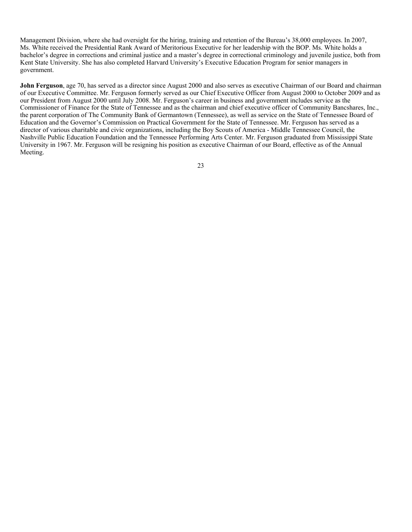Management Division, where she had oversight for the hiring, training and retention of the Bureau's 38,000 employees. In 2007, Ms. White received the Presidential Rank Award of Meritorious Executive for her leadership with the BOP. Ms. White holds a bachelor's degree in corrections and criminal justice and a master's degree in correctional criminology and juvenile justice, both from Kent State University. She has also completed Harvard University's Executive Education Program for senior managers in government.

**John Ferguson**, age 70, has served as a director since August 2000 and also serves as executive Chairman of our Board and chairman of our Executive Committee. Mr. Ferguson formerly served as our Chief Executive Officer from August 2000 to October 2009 and as our President from August 2000 until July 2008. Mr. Ferguson's career in business and government includes service as the Commissioner of Finance for the State of Tennessee and as the chairman and chief executive officer of Community Bancshares, Inc., the parent corporation of The Community Bank of Germantown (Tennessee), as well as service on the State of Tennessee Board of Education and the Governor's Commission on Practical Government for the State of Tennessee. Mr. Ferguson has served as a director of various charitable and civic organizations, including the Boy Scouts of America - Middle Tennessee Council, the Nashville Public Education Foundation and the Tennessee Performing Arts Center. Mr. Ferguson graduated from Mississippi State University in 1967. Mr. Ferguson will be resigning his position as executive Chairman of our Board, effective as of the Annual Meeting.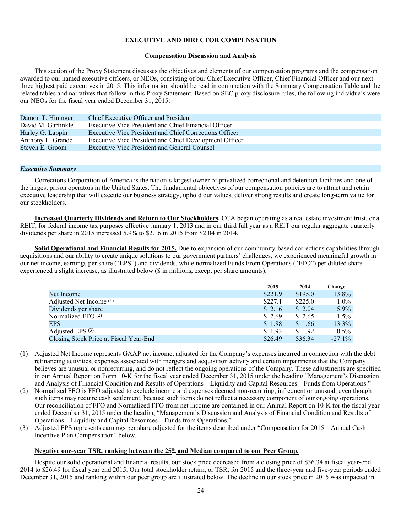# **EXECUTIVE AND DIRECTOR COMPENSATION**

## **Compensation Discussion and Analysis**

This section of the Proxy Statement discusses the objectives and elements of our compensation programs and the compensation awarded to our named executive officers, or NEOs, consisting of our Chief Executive Officer, Chief Financial Officer and our next three highest paid executives in 2015. This information should be read in conjunction with the Summary Compensation Table and the related tables and narratives that follow in this Proxy Statement. Based on SEC proxy disclosure rules, the following individuals were our NEOs for the fiscal year ended December 31, 2015:

| Damon T. Hininger  | Chief Executive Officer and President                  |
|--------------------|--------------------------------------------------------|
| David M. Garfinkle | Executive Vice President and Chief Financial Officer   |
| Harley G. Lappin   | Executive Vice President and Chief Corrections Officer |
| Anthony L. Grande  | Executive Vice President and Chief Development Officer |
| Steven E. Groom    | Executive Vice President and General Counsel           |

## *Executive Summary*

Corrections Corporation of America is the nation's largest owner of privatized correctional and detention facilities and one of the largest prison operators in the United States. The fundamental objectives of our compensation policies are to attract and retain executive leadership that will execute our business strategy, uphold our values, deliver strong results and create long-term value for our stockholders.

**Increased Quarterly Dividends and Return to Our Stockholders.** CCA began operating as a real estate investment trust, or a REIT, for federal income tax purposes effective January 1, 2013 and in our third full year as a REIT our regular aggregate quarterly dividends per share in 2015 increased 5.9% to \$2.16 in 2015 from \$2.04 in 2014.

**Solid Operational and Financial Results for 2015.** Due to expansion of our community-based corrections capabilities through acquisitions and our ability to create unique solutions to our government partners' challenges, we experienced meaningful growth in our net income, earnings per share ("EPS") and dividends, while normalized Funds From Operations ("FFO") per diluted share experienced a slight increase, as illustrated below (\$ in millions, except per share amounts).

|                                        | 2015    | 2014    | Change    |
|----------------------------------------|---------|---------|-----------|
| Net Income                             | \$221.9 | \$195.0 | 13.8%     |
| Adjusted Net Income (1)                | \$227.1 | \$225.0 | $1.0\%$   |
| Dividends per share                    | \$2.16  | \$2.04  | $5.9\%$   |
| Normalized FFO $(2)$                   | \$2.69  | \$2.65  | $1.5\%$   |
| <b>EPS</b>                             | \$1.88  | \$1.66  | $13.3\%$  |
| Adjusted EPS <sup>(3)</sup>            | \$1.93  | \$1.92  | $0.5\%$   |
| Closing Stock Price at Fiscal Year-End | \$26.49 | \$36.34 | $-27.1\%$ |

(1) Adjusted Net Income represents GAAP net income, adjusted for the Company's expenses incurred in connection with the debt refinancing activities, expenses associated with mergers and acquisition activity and certain impairments that the Company believes are unusual or nonrecurring, and do not reflect the ongoing operations of the Company. These adjustments are specified in our Annual Report on Form 10-K for the fiscal year ended December 31, 2015 under the heading "Management's Discussion and Analysis of Financial Condition and Results of Operations—Liquidity and Capital Resources—Funds from Operations."

- (2) Normalized FFO is FFO adjusted to exclude income and expenses deemed non-recurring, infrequent or unusual, even though such items may require cash settlement, because such items do not reflect a necessary component of our ongoing operations. Our reconciliation of FFO and Normalized FFO from net income are contained in our Annual Report on 10-K for the fiscal year ended December 31, 2015 under the heading "Management's Discussion and Analysis of Financial Condition and Results of Operations—Liquidity and Capital Resources—Funds from Operations."
- (3) Adjusted EPS represents earnings per share adjusted for the items described under "Compensation for 2015—Annual Cash Incentive Plan Compensation" below.

# **Negative one-year TSR, ranking between the 25th and Median compared to our Peer Group.**

Despite our solid operational and financial results, our stock price decreased from a closing price of \$36.34 at fiscal year-end 2014 to \$26.49 for fiscal year end 2015. Our total stockholder return, or TSR, for 2015 and the three-year and five-year periods ended December 31, 2015 and ranking within our peer group are illustrated below. The decline in our stock price in 2015 was impacted in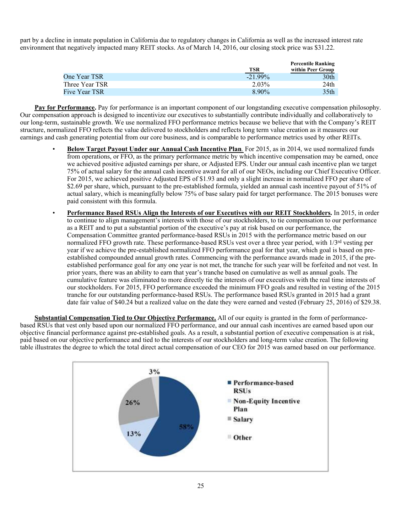part by a decline in inmate population in California due to regulatory changes in California as well as the increased interest rate environment that negatively impacted many REIT stocks. As of March 14, 2016, our closing stock price was \$31.22.

|                |            | <b>Percentile Ranking</b> |
|----------------|------------|---------------------------|
|                | TSR        | within Peer Group         |
| One Year TSR   | $-21.99\%$ | 30th                      |
| Three Year TSR | 2.03%      | 24th                      |
| Five Year TSR  | $8.90\%$   | 35th                      |

**Pay for Performance.** Pay for performance is an important component of our longstanding executive compensation philosophy. Our compensation approach is designed to incentivize our executives to substantially contribute individually and collaboratively to our long-term, sustainable growth. We use normalized FFO performance metrics because we believe that with the Company's REIT structure, normalized FFO reflects the value delivered to stockholders and reflects long term value creation as it measures our earnings and cash generating potential from our core business, and is comparable to performance metrics used by other REITs.

- **Below Target Payout Under our Annual Cash Incentive Plan***.* For 2015, as in 2014, we used normalized funds from operations, or FFO, as the primary performance metric by which incentive compensation may be earned, once we achieved positive adjusted earnings per share, or Adjusted EPS. Under our annual cash incentive plan we target 75% of actual salary for the annual cash incentive award for all of our NEOs, including our Chief Executive Officer. For 2015, we achieved positive Adjusted EPS of \$1.93 and only a slight increase in normalized FFO per share of \$2.69 per share, which, pursuant to the pre-established formula, yielded an annual cash incentive payout of 51% of actual salary, which is meaningfully below 75% of base salary paid for target performance. The 2015 bonuses were paid consistent with this formula.
- **Performance Based RSUs Align the Interests of our Executives with our REIT Stockholders.** In 2015, in order to continue to align management's interests with those of our stockholders, to tie compensation to our performance as a REIT and to put a substantial portion of the executive's pay at risk based on our performance, the Compensation Committee granted performance-based RSUs in 2015 with the performance metric based on our normalized FFO growth rate. These performance-based RSUs vest over a three year period, with  $1/3<sup>rd</sup>$  vesting per year if we achieve the pre-established normalized FFO performance goal for that year, which goal is based on preestablished compounded annual growth rates. Commencing with the performance awards made in 2015, if the preestablished performance goal for any one year is not met, the tranche for such year will be forfeited and not vest. In prior years, there was an ability to earn that year's tranche based on cumulative as well as annual goals. The cumulative feature was eliminated to more directly tie the interests of our executives with the real time interests of our stockholders. For 2015, FFO performance exceeded the minimum FFO goals and resulted in vesting of the 2015 tranche for our outstanding performance-based RSUs. The performance based RSUs granted in 2015 had a grant date fair value of \$40.24 but a realized value on the date they were earned and vested (February 25, 2016) of \$29.38.

**Substantial Compensation Tied to Our Objective Performance.** All of our equity is granted in the form of performancebased RSUs that vest only based upon our normalized FFO performance, and our annual cash incentives are earned based upon our objective financial performance against pre-established goals. As a result, a substantial portion of executive compensation is at risk, paid based on our objective performance and tied to the interests of our stockholders and long-term value creation. The following table illustrates the degree to which the total direct actual compensation of our CEO for 2015 was earned based on our performance.

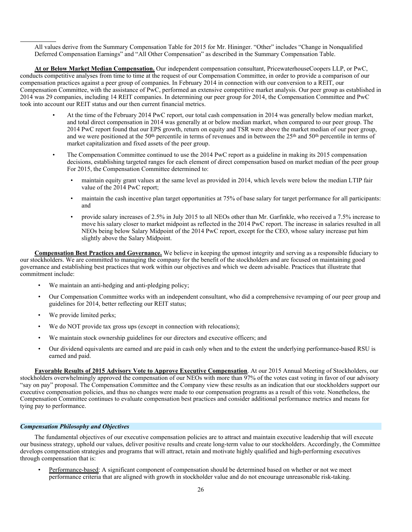All values derive from the Summary Compensation Table for 2015 for Mr. Hininger. "Other" includes "Change in Nonqualified Deferred Compensation Earnings" and "All Other Compensation" as described in the Summary Compensation Table.

**At or Below Market Median Compensation.** Our independent compensation consultant, PricewaterhouseCoopers LLP, or PwC, conducts competitive analyses from time to time at the request of our Compensation Committee, in order to provide a comparison of our compensation practices against a peer group of companies. In February 2014 in connection with our conversion to a REIT, our Compensation Committee, with the assistance of PwC, performed an extensive competitive market analysis. Our peer group as established in 2014 was 29 companies, including 14 REIT companies. In determining our peer group for 2014, the Compensation Committee and PwC took into account our REIT status and our then current financial metrics.

- At the time of the February 2014 PwC report, our total cash compensation in 2014 was generally below median market, and total direct compensation in 2014 was generally at or below median market, when compared to our peer group. The 2014 PwC report found that our EPS growth, return on equity and TSR were above the market median of our peer group, and we were positioned at the 50th percentile in terms of revenues and in between the 25th and 50th percentile in terms of market capitalization and fixed assets of the peer group.
- The Compensation Committee continued to use the 2014 PwC report as a guideline in making its 2015 compensation decisions, establishing targeted ranges for each element of direct compensation based on market median of the peer group For 2015, the Compensation Committee determined to:
	- maintain equity grant values at the same level as provided in 2014, which levels were below the median LTIP fair value of the 2014 PwC report;
	- maintain the cash incentive plan target opportunities at 75% of base salary for target performance for all participants: and
	- provide salary increases of 2.5% in July 2015 to all NEOs other than Mr. Garfinkle, who received a 7.5% increase to move his salary closer to market midpoint as reflected in the 2014 PwC report. The increase in salaries resulted in all NEOs being below Salary Midpoint of the 2014 PwC report, except for the CEO, whose salary increase put him slightly above the Salary Midpoint.

**Compensation Best Practices and Governance.** We believe in keeping the upmost integrity and serving as a responsible fiduciary to our stockholders. We are committed to managing the company for the benefit of the stockholders and are focused on maintaining good governance and establishing best practices that work within our objectives and which we deem advisable. Practices that illustrate that commitment include:

- We maintain an anti-hedging and anti-pledging policy;
- Our Compensation Committee works with an independent consultant, who did a comprehensive revamping of our peer group and guidelines for 2014, better reflecting our REIT status;
- We provide limited perks;
- We do NOT provide tax gross ups (except in connection with relocations):
- We maintain stock ownership guidelines for our directors and executive officers; and
- Our dividend equivalents are earned and are paid in cash only when and to the extent the underlying performance-based RSU is earned and paid.

**Favorable Results of 2015 Advisory Vote to Approve Executive Compensation**. At our 2015 Annual Meeting of Stockholders, our stockholders overwhelmingly approved the compensation of our NEOs with more than 97% of the votes cast voting in favor of our advisory "say on pay" proposal. The Compensation Committee and the Company view these results as an indication that our stockholders support our executive compensation policies, and thus no changes were made to our compensation programs as a result of this vote. Nonetheless, the Compensation Committee continues to evaluate compensation best practices and consider additional performance metrics and means for tying pay to performance.

### *Compensation Philosophy and Objectives*

The fundamental objectives of our executive compensation policies are to attract and maintain executive leadership that will execute our business strategy, uphold our values, deliver positive results and create long-term value to our stockholders. Accordingly, the Committee develops compensation strategies and programs that will attract, retain and motivate highly qualified and high-performing executives through compensation that is:

• Performance-based: A significant component of compensation should be determined based on whether or not we meet performance criteria that are aligned with growth in stockholder value and do not encourage unreasonable risk-taking.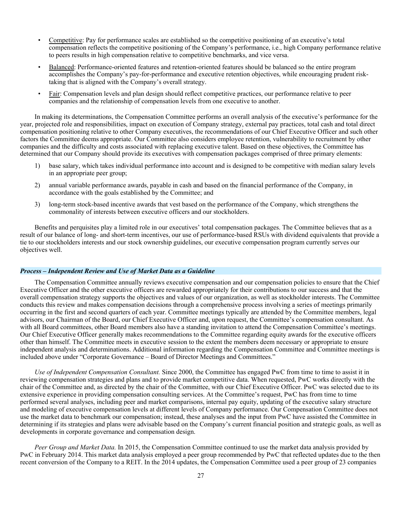- Competitive: Pay for performance scales are established so the competitive positioning of an executive's total compensation reflects the competitive positioning of the Company's performance, i.e., high Company performance relative to peers results in high compensation relative to competitive benchmarks, and vice versa.
- Balanced: Performance-oriented features and retention-oriented features should be balanced so the entire program accomplishes the Company's pay-for-performance and executive retention objectives, while encouraging prudent risktaking that is aligned with the Company's overall strategy.
- Fair: Compensation levels and plan design should reflect competitive practices, our performance relative to peer companies and the relationship of compensation levels from one executive to another.

In making its determinations, the Compensation Committee performs an overall analysis of the executive's performance for the year, projected role and responsibilities, impact on execution of Company strategy, external pay practices, total cash and total direct compensation positioning relative to other Company executives, the recommendations of our Chief Executive Officer and such other factors the Committee deems appropriate. Our Committee also considers employee retention, vulnerability to recruitment by other companies and the difficulty and costs associated with replacing executive talent. Based on these objectives, the Committee has determined that our Company should provide its executives with compensation packages comprised of three primary elements:

- 1) base salary, which takes individual performance into account and is designed to be competitive with median salary levels in an appropriate peer group;
- 2) annual variable performance awards, payable in cash and based on the financial performance of the Company, in accordance with the goals established by the Committee; and
- 3) long-term stock-based incentive awards that vest based on the performance of the Company, which strengthens the commonality of interests between executive officers and our stockholders.

Benefits and perquisites play a limited role in our executives' total compensation packages. The Committee believes that as a result of our balance of long- and short-term incentives, our use of performance-based RSUs with dividend equivalents that provide a tie to our stockholders interests and our stock ownership guidelines, our executive compensation program currently serves our objectives well.

# *Process – Independent Review and Use of Market Data as a Guideline*

The Compensation Committee annually reviews executive compensation and our compensation policies to ensure that the Chief Executive Officer and the other executive officers are rewarded appropriately for their contributions to our success and that the overall compensation strategy supports the objectives and values of our organization, as well as stockholder interests. The Committee conducts this review and makes compensation decisions through a comprehensive process involving a series of meetings primarily occurring in the first and second quarters of each year. Committee meetings typically are attended by the Committee members, legal advisors, our Chairman of the Board, our Chief Executive Officer and, upon request, the Committee's compensation consultant. As with all Board committees, other Board members also have a standing invitation to attend the Compensation Committee's meetings. Our Chief Executive Officer generally makes recommendations to the Committee regarding equity awards for the executive officers other than himself. The Committee meets in executive session to the extent the members deem necessary or appropriate to ensure independent analysis and determinations. Additional information regarding the Compensation Committee and Committee meetings is included above under "Corporate Governance – Board of Director Meetings and Committees."

*Use of Independent Compensation Consultant.* Since 2000, the Committee has engaged PwC from time to time to assist it in reviewing compensation strategies and plans and to provide market competitive data. When requested, PwC works directly with the chair of the Committee and, as directed by the chair of the Committee, with our Chief Executive Officer. PwC was selected due to its extensive experience in providing compensation consulting services. At the Committee's request, PwC has from time to time performed several analyses, including peer and market comparisons, internal pay equity, updating of the executive salary structure and modeling of executive compensation levels at different levels of Company performance. Our Compensation Committee does not use the market data to benchmark our compensation; instead, these analyses and the input from PwC have assisted the Committee in determining if its strategies and plans were advisable based on the Company's current financial position and strategic goals, as well as developments in corporate governance and compensation design.

*Peer Group and Market Data.* In 2015, the Compensation Committee continued to use the market data analysis provided by PwC in February 2014. This market data analysis employed a peer group recommended by PwC that reflected updates due to the then recent conversion of the Company to a REIT. In the 2014 updates, the Compensation Committee used a peer group of 23 companies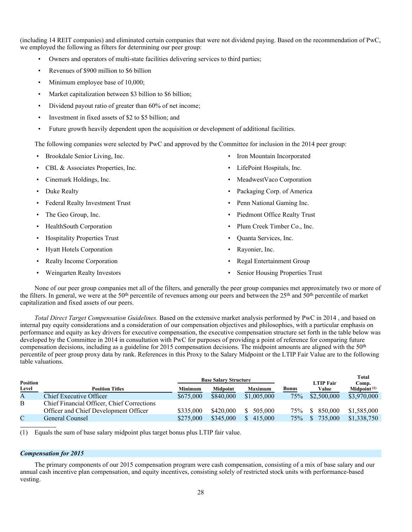(including 14 REIT companies) and eliminated certain companies that were not dividend paying. Based on the recommendation of PwC, we employed the following as filters for determining our peer group:

- Owners and operators of multi-state facilities delivering services to third parties;
- Revenues of \$900 million to \$6 billion
- Minimum employee base of 10,000;
- Market capitalization between \$3 billion to \$6 billion;
- Dividend payout ratio of greater than 60% of net income;
- Investment in fixed assets of \$2 to \$5 billion; and
- Future growth heavily dependent upon the acquisition or development of additional facilities.

The following companies were selected by PwC and approved by the Committee for inclusion in the 2014 peer group:

- Brookdale Senior Living, Inc.
- CBL & Associates Properties, Inc.
- Cinemark Holdings, Inc.
- Duke Realty
- Federal Realty Investment Trust
- The Geo Group, Inc.
- HealthSouth Corporation
- Hospitality Properties Trust
- Hyatt Hotels Corporation
- Realty Income Corporation
- Weingarten Realty Investors
- Iron Mountain Incorporated
- LifePoint Hospitals, Inc.
- MeadwestVaco Corporation
- Packaging Corp. of America
- Penn National Gaming Inc.
- Piedmont Office Realty Trust
- Plum Creek Timber Co., Inc.
- Quanta Services, Inc.
- Rayonier, Inc.
- Regal Entertainment Group
- Senior Housing Properties Trust

None of our peer group companies met all of the filters, and generally the peer group companies met approximately two or more of the filters. In general, we were at the 50th percentile of revenues among our peers and between the 25th and 50th percentile of market capitalization and fixed assets of our peers.

*Total Direct Target Compensation Guidelines.* Based on the extensive market analysis performed by PwC in 2014 , and based on internal pay equity considerations and a consideration of our compensation objectives and philosophies, with a particular emphasis on performance and equity as key drivers for executive compensation, the executive compensation structure set forth in the table below was developed by the Committee in 2014 in consultation with PwC for purposes of providing a point of reference for comparing future compensation decisions, including as a guideline for 2015 compensation decisions. The midpoint amounts are aligned with the 50th percentile of peer group proxy data by rank. References in this Proxy to the Salary Midpoint or the LTIP Fair Value are to the following table valuations.

| <b>Position</b> |                                            |           | <b>Base Salary Structure</b> |                |              | <b>LTIP Fair</b>        | <b>Total</b><br>Comp. |
|-----------------|--------------------------------------------|-----------|------------------------------|----------------|--------------|-------------------------|-----------------------|
| Level           | <b>Position Titles</b>                     | Minimum   | <b>Midpoint</b>              | <b>Maximum</b> | <b>Bonus</b> | Value                   | Midpoint $(1)$        |
| A               | Chief Executive Officer                    | \$675,000 | \$840,000                    | \$1,005,000    | 75%          | \$2,500,000             | \$3,970,000           |
| B               | Chief Financial Officer, Chief Corrections |           |                              |                |              |                         |                       |
|                 | Officer and Chief Development Officer      | \$335,000 | \$420,000                    | 505,000        | 75%          | 850,000<br><sup>S</sup> | \$1,585,000           |
|                 | General Counsel                            | \$275,000 | \$345,000                    | 415,000        | 75%          | 735,000                 | \$1,338,750           |

(1) Equals the sum of base salary midpoint plus target bonus plus LTIP fair value.

### *Compensation for 2015*

The primary components of our 2015 compensation program were cash compensation, consisting of a mix of base salary and our annual cash incentive plan compensation, and equity incentives, consisting solely of restricted stock units with performance-based vesting.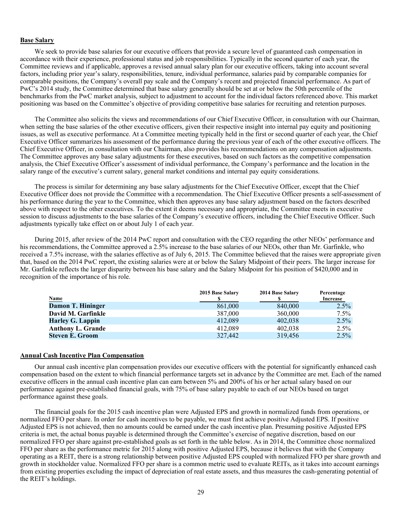# **Base Salary**

We seek to provide base salaries for our executive officers that provide a secure level of guaranteed cash compensation in accordance with their experience, professional status and job responsibilities. Typically in the second quarter of each year, the Committee reviews and if applicable, approves a revised annual salary plan for our executive officers, taking into account several factors, including prior year's salary, responsibilities, tenure, individual performance, salaries paid by comparable companies for comparable positions, the Company's overall pay scale and the Company's recent and projected financial performance. As part of PwC's 2014 study, the Committee determined that base salary generally should be set at or below the 50th percentile of the benchmarks from the PwC market analysis, subject to adjustment to account for the individual factors referenced above. This market positioning was based on the Committee's objective of providing competitive base salaries for recruiting and retention purposes.

The Committee also solicits the views and recommendations of our Chief Executive Officer, in consultation with our Chairman, when setting the base salaries of the other executive officers, given their respective insight into internal pay equity and positioning issues, as well as executive performance. At a Committee meeting typically held in the first or second quarter of each year, the Chief Executive Officer summarizes his assessment of the performance during the previous year of each of the other executive officers. The Chief Executive Officer, in consultation with our Chairman, also provides his recommendations on any compensation adjustments. The Committee approves any base salary adjustments for these executives, based on such factors as the competitive compensation analysis, the Chief Executive Officer's assessment of individual performance, the Company's performance and the location in the salary range of the executive's current salary, general market conditions and internal pay equity considerations.

The process is similar for determining any base salary adjustments for the Chief Executive Officer, except that the Chief Executive Officer does not provide the Committee with a recommendation. The Chief Executive Officer presents a self-assessment of his performance during the year to the Committee, which then approves any base salary adjustment based on the factors described above with respect to the other executives. To the extent it deems necessary and appropriate, the Committee meets in executive session to discuss adjustments to the base salaries of the Company's executive officers, including the Chief Executive Officer. Such adjustments typically take effect on or about July 1 of each year.

During 2015, after review of the 2014 PwC report and consultation with the CEO regarding the other NEOs' performance and his recommendations, the Committee approved a 2.5% increase to the base salaries of our NEOs, other than Mr. Garfinkle, who received a 7.5% increase, with the salaries effective as of July 6, 2015. The Committee believed that the raises were appropriate given that, based on the 2014 PwC report, the existing salaries were at or below the Salary Midpoint of their peers. The larger increase for Mr. Garfinkle reflects the larger disparity between his base salary and the Salary Midpoint for his position of \$420,000 and in recognition of the importance of his role.

|                          | 2015 Base Salary | 2014 Base Salary | Percentage |
|--------------------------|------------------|------------------|------------|
| <b>Name</b>              |                  |                  | Increase   |
| <b>Damon T. Hininger</b> | 861,000          | 840,000          | $2.5\%$    |
| David M. Garfinkle       | 387,000          | 360,000          | $7.5\%$    |
| <b>Harley G. Lappin</b>  | 412.089          | 402.038          | $2.5\%$    |
| <b>Anthony L. Grande</b> | 412.089          | 402,038          | $2.5\%$    |
| <b>Steven E. Groom</b>   | 327,442          | 319,456          | $2.5\%$    |

# **Annual Cash Incentive Plan Compensation**

Our annual cash incentive plan compensation provides our executive officers with the potential for significantly enhanced cash compensation based on the extent to which financial performance targets set in advance by the Committee are met. Each of the named executive officers in the annual cash incentive plan can earn between 5% and 200% of his or her actual salary based on our performance against pre-established financial goals, with 75% of base salary payable to each of our NEOs based on target performance against these goals.

The financial goals for the 2015 cash incentive plan were Adjusted EPS and growth in normalized funds from operations, or normalized FFO per share. In order for cash incentives to be payable, we must first achieve positive Adjusted EPS. If positive Adjusted EPS is not achieved, then no amounts could be earned under the cash incentive plan. Presuming positive Adjusted EPS criteria is met, the actual bonus payable is determined through the Committee's exercise of negative discretion, based on our normalized FFO per share against pre-established goals as set forth in the table below. As in 2014, the Committee chose normalized FFO per share as the performance metric for 2015 along with positive Adjusted EPS, because it believes that with the Company operating as a REIT, there is a strong relationship between positive Adjusted EPS coupled with normalized FFO per share growth and growth in stockholder value. Normalized FFO per share is a common metric used to evaluate REITs, as it takes into account earnings from existing properties excluding the impact of depreciation of real estate assets, and thus measures the cash-generating potential of the REIT's holdings.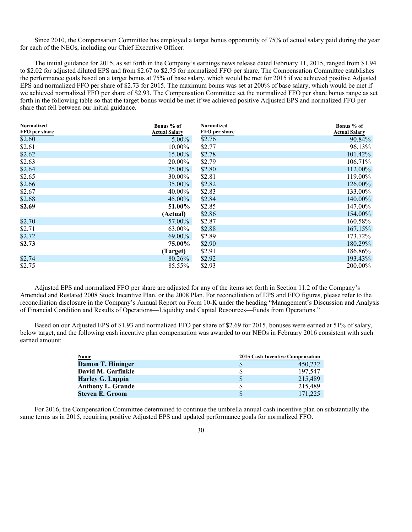Since 2010, the Compensation Committee has employed a target bonus opportunity of 75% of actual salary paid during the year for each of the NEOs, including our Chief Executive Officer.

The initial guidance for 2015, as set forth in the Company's earnings news release dated February 11, 2015, ranged from \$1.94 to \$2.02 for adjusted diluted EPS and from \$2.67 to \$2.75 for normalized FFO per share. The Compensation Committee establishes the performance goals based on a target bonus at 75% of base salary, which would be met for 2015 if we achieved positive Adjusted EPS and normalized FFO per share of \$2.73 for 2015. The maximum bonus was set at 200% of base salary, which would be met if we achieved normalized FFO per share of \$2.93. The Compensation Committee set the normalized FFO per share bonus range as set forth in the following table so that the target bonus would be met if we achieved positive Adjusted EPS and normalized FFO per share that fell between our initial guidance.

| <b>Normalized</b> | Bonus % of           | <b>Normalized</b> | Bonus % of           |
|-------------------|----------------------|-------------------|----------------------|
| FFO per share     | <b>Actual Salary</b> | FFO per share     | <b>Actual Salary</b> |
| \$2.60            | 5.00%                | \$2.76            | 90.84%               |
| \$2.61            | 10.00%               | \$2.77            | 96.13%               |
| \$2.62            | 15.00%               | \$2.78            | 101.42%              |
| \$2.63            | 20.00%               | \$2.79            | 106.71%              |
| \$2.64            | 25.00%               | \$2.80            | 112.00%              |
| \$2.65            | 30.00%               | \$2.81            | 119.00%              |
| \$2.66            | 35.00%               | \$2.82            | 126.00%              |
| \$2.67            | 40.00%               | \$2.83            | 133.00%              |
| \$2.68            | 45.00%               | \$2.84            | 140.00%              |
| \$2.69            | 51.00%               | \$2.85            | 147.00%              |
|                   | (Actual)             | \$2.86            | 154.00%              |
| \$2.70            | 57.00%               | \$2.87            | 160.58%              |
| \$2.71            | 63.00%               | \$2.88            | 167.15%              |
| \$2.72            | 69.00%               | \$2.89            | 173.72%              |
| \$2.73            | 75.00%               | \$2.90            | 180.29%              |
|                   | (Target)             | \$2.91            | 186.86%              |
| \$2.74            | 80.26%               | \$2.92            | 193.43%              |
| \$2.75            | 85.55%               | \$2.93            | 200.00%              |

 Adjusted EPS and normalized FFO per share are adjusted for any of the items set forth in Section 11.2 of the Company's Amended and Restated 2008 Stock Incentive Plan, or the 2008 Plan. For reconciliation of EPS and FFO figures, please refer to the reconciliation disclosure in the Company's Annual Report on Form 10-K under the heading "Management's Discussion and Analysis of Financial Condition and Results of Operations—Liquidity and Capital Resources—Funds from Operations."

Based on our Adjusted EPS of \$1.93 and normalized FFO per share of \$2.69 for 2015, bonuses were earned at 51% of salary, below target, and the following cash incentive plan compensation was awarded to our NEOs in February 2016 consistent with such earned amount:

| <b>Name</b>              | 2015 Cash Incentive Compensation |         |
|--------------------------|----------------------------------|---------|
| Damon T. Hininger        |                                  | 450.232 |
| David M. Garfinkle       |                                  | 197.547 |
| Harley G. Lappin         |                                  | 215.489 |
| <b>Anthony L. Grande</b> | S                                | 215.489 |
| <b>Steven E. Groom</b>   |                                  | 171,225 |

For 2016, the Compensation Committee determined to continue the umbrella annual cash incentive plan on substantially the same terms as in 2015, requiring positive Adjusted EPS and updated performance goals for normalized FFO.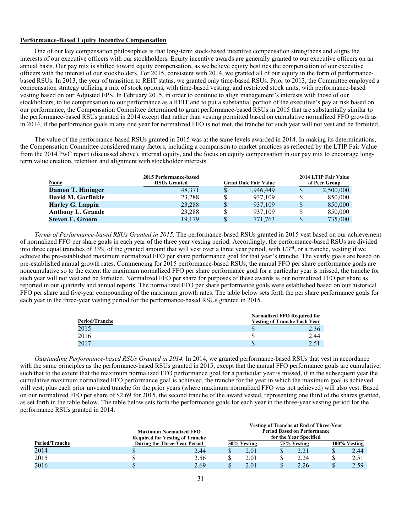# **Performance-Based Equity Incentive Compensation**

One of our key compensation philosophies is that long-term stock-based incentive compensation strengthens and aligns the interests of our executive officers with our stockholders. Equity incentive awards are generally granted to our executive officers on an annual basis. Our pay mix is shifted toward equity compensation, as we believe equity best ties the compensation of our executive officers with the interest of our stockholders. For 2015, consistent with 2014, we granted all of our equity in the form of performancebased RSUs. In 2013, the year of transition to REIT status, we granted only time-based RSUs. Prior to 2013, the Committee employed a compensation strategy utilizing a mix of stock options, with time-based vesting, and restricted stock units, with performance-based vesting based on our Adjusted EPS. In February 2015, in order to continue to align management's interests with those of our stockholders, to tie compensation to our performance as a REIT and to put a substantial portion of the executive's pay at risk based on our performance, the Compensation Committee determined to grant performance-based RSUs in 2015 that are substantially similar to the performance-based RSUs granted in 2014 except that rather than vesting permitted based on cumulative normalized FFO growth as in 2014, if the performance goals in any one year for normalized FFO is not met, the tranche for such year will not vest and be forfeited.

The value of the performance-based RSUs granted in 2015 was at the same levels awarded in 2014. In making its determinations, the Compensation Committee considered many factors, including a comparison to market practices as reflected by the LTIP Fair Value from the 2014 PwC report (discussed above), internal equity, and the focus on equity compensation in our pay mix to encourage longterm value creation, retention and alignment with stockholder interests.

| <b>Name</b>              | 2015 Performance-based<br><b>RSUs Granted</b> | <b>Grant Date Fair Value</b> |   | 2014 LTIP Fair Value<br>of Peer Group |
|--------------------------|-----------------------------------------------|------------------------------|---|---------------------------------------|
| Damon T. Hininger        | 48,371                                        | 1.946.449                    | S | 2,500,000                             |
| David M. Garfinkle       | 23.288                                        | 937.109                      |   | 850,000                               |
| Harley G. Lappin         | 23,288                                        | 937.109                      | S | 850,000                               |
| <b>Anthony L. Grande</b> | 23.288                                        | 937.109                      |   | 850,000                               |
| <b>Steven E. Groom</b>   | 19.179                                        | 771.763                      |   | 735,000                               |

*Terms of Performance-based RSUs Granted in 2015.* The performance-based RSUs granted in 2015 vest based on our achievement of normalized FFO per share goals in each year of the three year vesting period. Accordingly, the performance-based RSUs are divided into three equal tranches of 33% of the granted amount that will vest over a three year period, with 1/3rd, or a tranche, vesting if we achieve the pre-established maximum normalized FFO per share performance goal for that year's tranche. The yearly goals are based on pre-established annual growth rates. Commencing for 2015 performance-based RSUs, the annual FFO per share performance goals are noncumulative so to the extent the maximum normalized FFO per share performance goal for a particular year is missed, the tranche for such year will not vest and be forfeited. Normalized FFO per share for purposes of these awards is our normalized FFO per share as reported in our quarterly and annual reports. The normalized FFO per share performance goals were established based on our historical FFO per share and five-year compounding of the maximum growth rates. The table below sets forth the per share performance goals for each year in the three-year vesting period for the performance-based RSUs granted in 2015.

|                |                                     | <b>Normalized FFO Required for</b> |  |  |  |  |  |
|----------------|-------------------------------------|------------------------------------|--|--|--|--|--|
| Period/Tranche | <b>Vesting of Tranche Each Year</b> |                                    |  |  |  |  |  |
| 2015           |                                     | 2.36                               |  |  |  |  |  |
| 2016           |                                     | 2.44                               |  |  |  |  |  |
| 2017           |                                     | 251                                |  |  |  |  |  |

*Outstanding Performance-based RSUs Granted in 2014.* In 2014, we granted performance-based RSUs that vest in accordance with the same principles as the performance-based RSUs granted in 2015, except that the annual FFO performance goals are cumulative, such that to the extent that the maximum normalized FFO performance goal for a particular year is missed, if in the subsequent year the cumulative maximum normalized FFO performance goal is achieved, the tranche for the year in which the maximum goal is achieved will vest, plus each prior unvested tranche for the prior years (where maximum normalized FFO was not achieved) will also vest. Based on our normalized FFO per share of \$2.69 for 2015, the second tranche of the award vested, representing one third of the shares granted, as set forth in the table below. The table below sets forth the performance goals for each year in the three-year vesting period for the performance RSUs granted in 2014.

|                                        |                               |      | Vesting of Tranche at End of Three-Year |                        |  |             |  |              |  |  |  |
|----------------------------------------|-------------------------------|------|-----------------------------------------|------------------------|--|-------------|--|--------------|--|--|--|
|                                        | <b>Maximum Normalized FFO</b> |      | <b>Period Based on Performance</b>      |                        |  |             |  |              |  |  |  |
| <b>Required for Vesting of Tranche</b> |                               |      |                                         | for the Year Specified |  |             |  |              |  |  |  |
| Period/Tranche                         | During the Three-Year Period  |      |                                         | 50% Vesting            |  | 75% Vesting |  | 100% Vesting |  |  |  |
| 2014                                   |                               | 2.44 | ъ                                       | 2.01                   |  |             |  | 2.44         |  |  |  |
| 2015                                   |                               | 2.56 |                                         | 2.01                   |  | 2.24        |  | 2.51         |  |  |  |
| 2016                                   |                               | 2.69 |                                         | 2.01                   |  | 2.26        |  | 2.59         |  |  |  |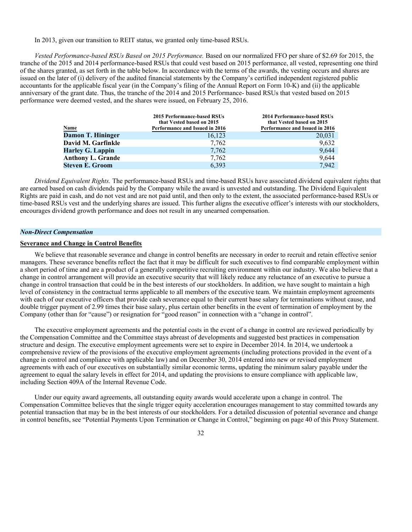# In 2013, given our transition to REIT status, we granted only time-based RSUs.

*Vested Performance-based RSUs Based on 2015 Performance.* Based on our normalized FFO per share of \$2.69 for 2015, the tranche of the 2015 and 2014 performance-based RSUs that could vest based on 2015 performance, all vested, representing one third of the shares granted, as set forth in the table below. In accordance with the terms of the awards, the vesting occurs and shares are issued on the later of (i) delivery of the audited financial statements by the Company's certified independent registered public accountants for the applicable fiscal year (in the Company's filing of the Annual Report on Form 10-K) and (ii) the applicable anniversary of the grant date. Thus, the tranche of the 2014 and 2015 Performance- based RSUs that vested based on 2015 performance were deemed vested, and the shares were issued, on February 25, 2016.

| Name                     | <b>2015 Performance-based RSUs</b><br>that Vested based on 2015<br>Performance and Issued in 2016 | <b>2014 Performance-based RSUs</b><br>that Vested based on 2015<br>Performance and Issued in 2016 |
|--------------------------|---------------------------------------------------------------------------------------------------|---------------------------------------------------------------------------------------------------|
| Damon T. Hininger        | 16,123                                                                                            | 20,031                                                                                            |
| David M. Garfinkle       | 7.762                                                                                             | 9,632                                                                                             |
| <b>Harley G. Lappin</b>  | 7.762                                                                                             | 9.644                                                                                             |
| <b>Anthony L. Grande</b> | 7.762                                                                                             | 9.644                                                                                             |
| <b>Steven E. Groom</b>   | 6.393                                                                                             | 7.942                                                                                             |

*Dividend Equivalent Rights.* The performance-based RSUs and time-based RSUs have associated dividend equivalent rights that are earned based on cash dividends paid by the Company while the award is unvested and outstanding. The Dividend Equivalent Rights are paid in cash, and do not vest and are not paid until, and then only to the extent, the associated performance-based RSUs or time-based RSUs vest and the underlying shares are issued. This further aligns the executive officer's interests with our stockholders, encourages dividend growth performance and does not result in any unearned compensation.

## *Non-Direct Compensation*

# **Severance and Change in Control Benefits**

We believe that reasonable severance and change in control benefits are necessary in order to recruit and retain effective senior managers. These severance benefits reflect the fact that it may be difficult for such executives to find comparable employment within a short period of time and are a product of a generally competitive recruiting environment within our industry. We also believe that a change in control arrangement will provide an executive security that will likely reduce any reluctance of an executive to pursue a change in control transaction that could be in the best interests of our stockholders. In addition, we have sought to maintain a high level of consistency in the contractual terms applicable to all members of the executive team. We maintain employment agreements with each of our executive officers that provide cash severance equal to their current base salary for terminations without cause, and double trigger payment of 2.99 times their base salary, plus certain other benefits in the event of termination of employment by the Company (other than for "cause") or resignation for "good reason" in connection with a "change in control".

The executive employment agreements and the potential costs in the event of a change in control are reviewed periodically by the Compensation Committee and the Committee stays abreast of developments and suggested best practices in compensation structure and design. The executive employment agreements were set to expire in December 2014. In 2014, we undertook a comprehensive review of the provisions of the executive employment agreements (including protections provided in the event of a change in control and compliance with applicable law) and on December 30, 2014 entered into new or revised employment agreements with each of our executives on substantially similar economic terms, updating the minimum salary payable under the agreement to equal the salary levels in effect for 2014, and updating the provisions to ensure compliance with applicable law, including Section 409A of the Internal Revenue Code.

Under our equity award agreements, all outstanding equity awards would accelerate upon a change in control. The Compensation Committee believes that the single trigger equity acceleration encourages management to stay committed towards any potential transaction that may be in the best interests of our stockholders. For a detailed discussion of potential severance and change in control benefits, see "Potential Payments Upon Termination or Change in Control," beginning on page 40 of this Proxy Statement.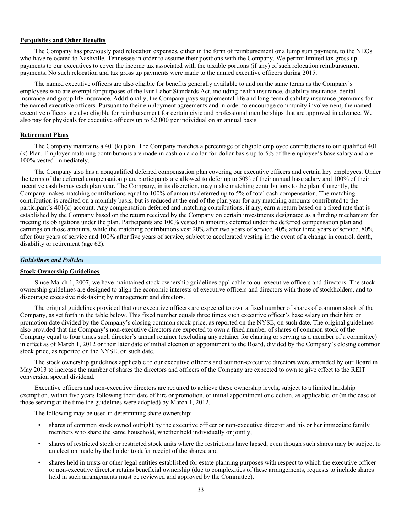# **Perquisites and Other Benefits**

The Company has previously paid relocation expenses, either in the form of reimbursement or a lump sum payment, to the NEOs who have relocated to Nashville, Tennessee in order to assume their positions with the Company. We permit limited tax gross up payments to our executives to cover the income tax associated with the taxable portions (if any) of such relocation reimbursement payments. No such relocation and tax gross up payments were made to the named executive officers during 2015.

The named executive officers are also eligible for benefits generally available to and on the same terms as the Company's employees who are exempt for purposes of the Fair Labor Standards Act, including health insurance, disability insurance, dental insurance and group life insurance. Additionally, the Company pays supplemental life and long-term disability insurance premiums for the named executive officers. Pursuant to their employment agreements and in order to encourage community involvement, the named executive officers are also eligible for reimbursement for certain civic and professional memberships that are approved in advance. We also pay for physicals for executive officers up to \$2,000 per individual on an annual basis.

# **Retirement Plans**

The Company maintains a 401(k) plan. The Company matches a percentage of eligible employee contributions to our qualified 401 (k) Plan. Employer matching contributions are made in cash on a dollar-for-dollar basis up to 5% of the employee's base salary and are 100% vested immediately.

The Company also has a nonqualified deferred compensation plan covering our executive officers and certain key employees. Under the terms of the deferred compensation plan, participants are allowed to defer up to 50% of their annual base salary and 100% of their incentive cash bonus each plan year. The Company, in its discretion, may make matching contributions to the plan. Currently, the Company makes matching contributions equal to 100% of amounts deferred up to 5% of total cash compensation. The matching contribution is credited on a monthly basis, but is reduced at the end of the plan year for any matching amounts contributed to the participant's 401(k) account. Any compensation deferred and matching contributions, if any, earn a return based on a fixed rate that is established by the Company based on the return received by the Company on certain investments designated as a funding mechanism for meeting its obligations under the plan. Participants are 100% vested in amounts deferred under the deferred compensation plan and earnings on those amounts, while the matching contributions vest 20% after two years of service, 40% after three years of service, 80% after four years of service and 100% after five years of service, subject to accelerated vesting in the event of a change in control, death, disability or retirement (age 62).

#### *Guidelines and Policies*

# **Stock Ownership Guidelines**

Since March 1, 2007, we have maintained stock ownership guidelines applicable to our executive officers and directors. The stock ownership guidelines are designed to align the economic interests of executive officers and directors with those of stockholders, and to discourage excessive risk-taking by management and directors.

The original guidelines provided that our executive officers are expected to own a fixed number of shares of common stock of the Company, as set forth in the table below. This fixed number equals three times such executive officer's base salary on their hire or promotion date divided by the Company's closing common stock price, as reported on the NYSE, on such date. The original guidelines also provided that the Company's non-executive directors are expected to own a fixed number of shares of common stock of the Company equal to four times such director's annual retainer (excluding any retainer for chairing or serving as a member of a committee) in effect as of March 1, 2012 or their later date of initial election or appointment to the Board, divided by the Company's closing common stock price, as reported on the NYSE, on such date.

The stock ownership guidelines applicable to our executive officers and our non-executive directors were amended by our Board in May 2013 to increase the number of shares the directors and officers of the Company are expected to own to give effect to the REIT conversion special dividend.

Executive officers and non-executive directors are required to achieve these ownership levels, subject to a limited hardship exemption, within five years following their date of hire or promotion, or initial appointment or election, as applicable, or (in the case of those serving at the time the guidelines were adopted) by March 1, 2012.

The following may be used in determining share ownership:

- shares of common stock owned outright by the executive officer or non-executive director and his or her immediate family members who share the same household, whether held individually or jointly;
- shares of restricted stock or restricted stock units where the restrictions have lapsed, even though such shares may be subject to an election made by the holder to defer receipt of the shares; and
- shares held in trusts or other legal entities established for estate planning purposes with respect to which the executive officer or non-executive director retains beneficial ownership (due to complexities of these arrangements, requests to include shares held in such arrangements must be reviewed and approved by the Committee).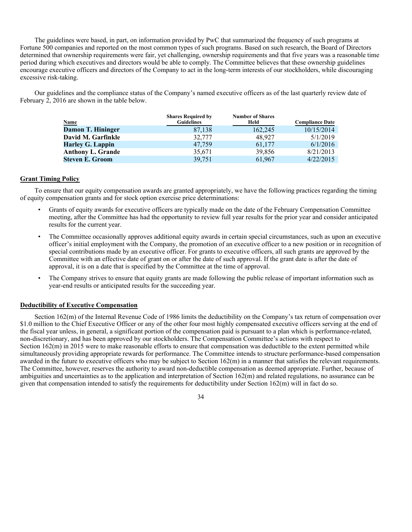The guidelines were based, in part, on information provided by PwC that summarized the frequency of such programs at Fortune 500 companies and reported on the most common types of such programs. Based on such research, the Board of Directors determined that ownership requirements were fair, yet challenging, ownership requirements and that five years was a reasonable time period during which executives and directors would be able to comply. The Committee believes that these ownership guidelines encourage executive officers and directors of the Company to act in the long-term interests of our stockholders, while discouraging excessive risk-taking.

Our guidelines and the compliance status of the Company's named executive officers as of the last quarterly review date of February 2, 2016 are shown in the table below.

|                          | <b>Shares Required by</b> | <b>Number of Shares</b> |                        |
|--------------------------|---------------------------|-------------------------|------------------------|
| Name                     | <b>Guidelines</b>         | Held                    | <b>Compliance Date</b> |
| <b>Damon T. Hininger</b> | 87,138                    | 162,245                 | 10/15/2014             |
| David M. Garfinkle       | 32,777                    | 48.927                  | 5/1/2019               |
| <b>Harley G. Lappin</b>  | 47,759                    | 61,177                  | 6/1/2016               |
| <b>Anthony L. Grande</b> | 35,671                    | 39,856                  | 8/21/2013              |
| <b>Steven E. Groom</b>   | 39,751                    | 61,967                  | 4/22/2015              |

# **Grant Timing Policy**

To ensure that our equity compensation awards are granted appropriately, we have the following practices regarding the timing of equity compensation grants and for stock option exercise price determinations:

- Grants of equity awards for executive officers are typically made on the date of the February Compensation Committee meeting, after the Committee has had the opportunity to review full year results for the prior year and consider anticipated results for the current year.
- The Committee occasionally approves additional equity awards in certain special circumstances, such as upon an executive officer's initial employment with the Company, the promotion of an executive officer to a new position or in recognition of special contributions made by an executive officer. For grants to executive officers, all such grants are approved by the Committee with an effective date of grant on or after the date of such approval. If the grant date is after the date of approval, it is on a date that is specified by the Committee at the time of approval.
- The Company strives to ensure that equity grants are made following the public release of important information such as year-end results or anticipated results for the succeeding year.

# **Deductibility of Executive Compensation**

Section 162(m) of the Internal Revenue Code of 1986 limits the deductibility on the Company's tax return of compensation over \$1.0 million to the Chief Executive Officer or any of the other four most highly compensated executive officers serving at the end of the fiscal year unless, in general, a significant portion of the compensation paid is pursuant to a plan which is performance-related, non-discretionary, and has been approved by our stockholders. The Compensation Committee's actions with respect to Section 162(m) in 2015 were to make reasonable efforts to ensure that compensation was deductible to the extent permitted while simultaneously providing appropriate rewards for performance. The Committee intends to structure performance-based compensation awarded in the future to executive officers who may be subject to Section 162(m) in a manner that satisfies the relevant requirements. The Committee, however, reserves the authority to award non-deductible compensation as deemed appropriate. Further, because of ambiguities and uncertainties as to the application and interpretation of Section 162(m) and related regulations, no assurance can be given that compensation intended to satisfy the requirements for deductibility under Section 162(m) will in fact do so.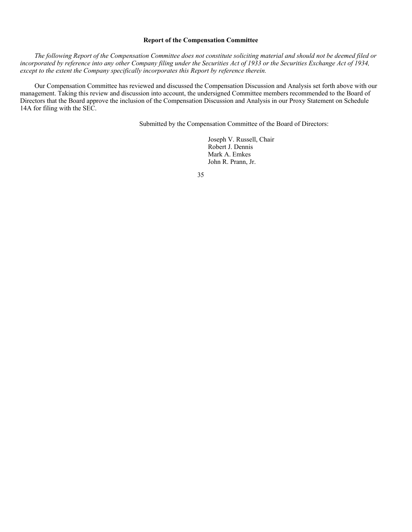# **Report of the Compensation Committee**

*The following Report of the Compensation Committee does not constitute soliciting material and should not be deemed filed or incorporated by reference into any other Company filing under the Securities Act of 1933 or the Securities Exchange Act of 1934, except to the extent the Company specifically incorporates this Report by reference therein.* 

Our Compensation Committee has reviewed and discussed the Compensation Discussion and Analysis set forth above with our management. Taking this review and discussion into account, the undersigned Committee members recommended to the Board of Directors that the Board approve the inclusion of the Compensation Discussion and Analysis in our Proxy Statement on Schedule 14A for filing with the SEC.

Submitted by the Compensation Committee of the Board of Directors:

Joseph V. Russell, Chair Robert J. Dennis Mark A. Emkes John R. Prann, Jr.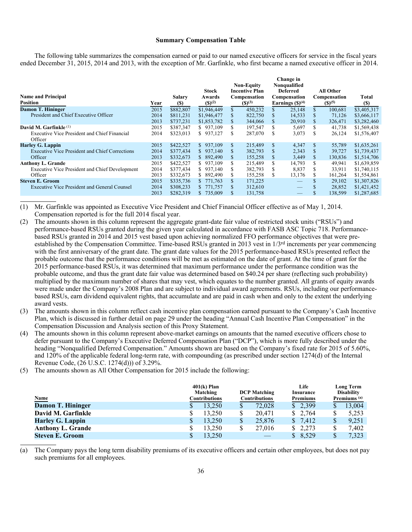#### **Summary Compensation Table**

The following table summarizes the compensation earned or paid to our named executive officers for service in the fiscal years ended December 31, 2015, 2014 and 2013, with the exception of Mr. Garfinkle, who first became a named executive officer in 2014.

| <b>Name and Principal</b><br><b>Position</b>            | Year | Salary<br><b>(S)</b> | Stock<br>Awards<br>(S)(2) |    | <b>Non-Equity</b><br><b>Incentive Plan</b><br>Compensation<br>$(S)^{(3)}$ |              | Change in<br>Nonqualified<br><b>Deferred</b><br>Compensation<br>Earnings $(\text{S})^{(4)}$ |    | All Other<br><b>Compensation</b><br>$(S)^{(5)}$ | Total<br><b>(S)</b> |
|---------------------------------------------------------|------|----------------------|---------------------------|----|---------------------------------------------------------------------------|--------------|---------------------------------------------------------------------------------------------|----|-------------------------------------------------|---------------------|
| <b>Damon T. Hininger</b>                                | 2015 | \$882,807            | \$1,946,449               | \$ | 450,232                                                                   |              | 25,148                                                                                      | \$ | 100,681                                         | \$3,405,317         |
| President and Chief Executive Officer                   | 2014 | \$811.231            | \$1,946,477               |    | 822,750                                                                   |              | 14,533                                                                                      | S  | 71.126                                          | \$3,666,117         |
|                                                         | 2013 | \$737,231            | \$1,853,782               | \$ | 344,066                                                                   |              | 20,910                                                                                      | S  | 326,471                                         | \$3,282,460         |
| David M. Garfinkle <sup>(1)</sup>                       | 2015 | \$387,347            | \$937,109                 | S  | 197,547                                                                   | S            | 5,697                                                                                       | S  | 41,738                                          | \$1,569,438         |
| Executive Vice President and Chief Financial<br>Officer | 2014 | \$323,013            | \$937,127                 | S  | 287,070                                                                   | S.           | 3,073                                                                                       | S  | 26,124                                          | \$1,576,407         |
| <b>Harley G. Lappin</b>                                 | 2015 | \$422,527            | \$937,109                 | S. | 215,489                                                                   | <b>S</b>     | 4,347                                                                                       | \$ | 55,789                                          | \$1,635,261         |
| <b>Executive Vice President and Chief Corrections</b>   | 2014 | \$377.434            | \$937,140                 |    | 382,793                                                                   |              | 2,343                                                                                       | \$ | 39.727                                          | \$1,739,437         |
| Officer                                                 | 2013 | \$332,673            | 892,490<br>S.             | S  | 155,258                                                                   | <sup>S</sup> | 3,449                                                                                       | \$ | 130,836                                         | \$1,514,706         |
| <b>Anthony L. Grande</b>                                | 2015 | \$422,527            | \$937,109                 | S  | 215,489                                                                   | S.           | 14,793                                                                                      | S  | 49,941                                          | \$1,639,859         |
| <b>Executive Vice President and Chief Development</b>   | 2014 | \$377,434            | \$937,140                 | S  | 382,793                                                                   |              | 8,837                                                                                       | \$ | 33,911                                          | \$1,740,115         |
| Officer                                                 | 2013 | \$332,673            | 892,490<br>S.             | S  | 155,258                                                                   | S            | 13,176                                                                                      | S  | 161,264                                         | \$1,554,861         |
| <b>Steven E. Groom</b>                                  | 2015 | \$335,736            | 771.763<br>S.             | \$ | 171,225                                                                   |              |                                                                                             |    | 29,102                                          | \$1,307,826         |
| Executive Vice President and General Counsel            | 2014 | \$308,233            | 771,757<br>S.             |    | 312,610                                                                   |              |                                                                                             |    | 28,852                                          | \$1,421,452         |
|                                                         | 2013 | \$282,319            | 735,009                   |    | 131,758                                                                   |              |                                                                                             |    | 138,599                                         | \$1,287,685         |

(1) Mr. Garfinkle was appointed as Executive Vice President and Chief Financial Officer effective as of May 1, 2014. Compensation reported is for the full 2014 fiscal year.

- (2) The amounts shown in this column represent the aggregate grant-date fair value of restricted stock units ("RSUs") and performance-based RSUs granted during the given year calculated in accordance with FASB ASC Topic 718. Performancebased RSUs granted in 2014 and 2015 vest based upon achieving normalized FFO performance objectives that were preestablished by the Compensation Committee. Time-based RSUs granted in 2013 vest in 1/3rd increments per year commencing with the first anniversary of the grant date. The grant date values for the 2015 performance-based RSUs presented reflect the probable outcome that the performance conditions will be met as estimated on the date of grant. At the time of grant for the 2015 performance-based RSUs, it was determined that maximum performance under the performance condition was the probable outcome, and thus the grant date fair value was determined based on \$40.24 per share (reflecting such probability) multiplied by the maximum number of shares that may vest, which equates to the number granted. All grants of equity awards were made under the Company's 2008 Plan and are subject to individual award agreements. RSUs, including our performancebased RSUs, earn dividend equivalent rights, that accumulate and are paid in cash when and only to the extent the underlying award vests.
- (3) The amounts shown in this column reflect cash incentive plan compensation earned pursuant to the Company's Cash Incentive Plan, which is discussed in further detail on page 29 under the heading "Annual Cash Incentive Plan Compensation" in the Compensation Discussion and Analysis section of this Proxy Statement.
- (4) The amounts shown in this column represent above-market earnings on amounts that the named executive officers chose to defer pursuant to the Company's Executive Deferred Compensation Plan ("DCP"), which is more fully described under the heading "Nonqualified Deferred Compensation." Amounts shown are based on the Company's fixed rate for 2015 of 5.60%, and 120% of the applicable federal long-term rate, with compounding (as prescribed under section 1274(d) of the Internal Revenue Code, (26 U.S.C. 1274(d))) of 3.29%.
- (5) The amounts shown as All Other Compensation for 2015 include the following:

| <b>Name</b>              | $401(k)$ Plan<br>Matching<br>Contributions |        | <b>DCP Matching</b><br><b>Contributions</b> | Life<br>Insurance<br>Premiums |       | <b>Long Term</b><br><b>Disability</b><br>Premiums <sup>(a)</sup> |        |
|--------------------------|--------------------------------------------|--------|---------------------------------------------|-------------------------------|-------|------------------------------------------------------------------|--------|
| Damon T. Hininger        |                                            | 13.250 | 72.028                                      | \$2,399                       |       |                                                                  | 13.004 |
| David M. Garfinkle       |                                            | 13.250 | 20.471                                      | \$                            | 2,764 |                                                                  | 5,253  |
| <b>Harley G. Lappin</b>  | \$                                         | 13,250 | 25,876                                      | <sup>S</sup>                  | 7,412 | \$                                                               | 9,251  |
| <b>Anthony L. Grande</b> |                                            | 13.250 | 27,016                                      | S.                            | 2,273 |                                                                  | 7.402  |
| <b>Steven E. Groom</b>   |                                            | 13.250 |                                             |                               | 8,529 |                                                                  | 7,323  |

(a) The Company pays the long term disability premiums of its executive officers and certain other employees, but does not pay such premiums for all employees.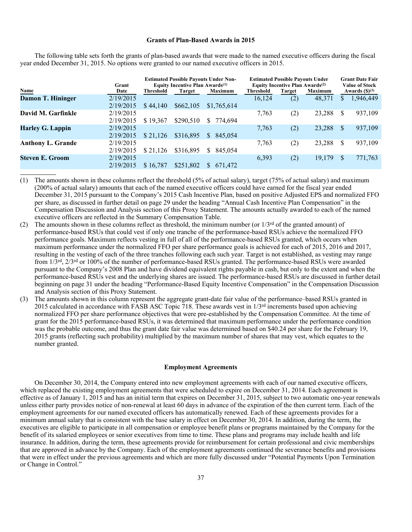#### **Grants of Plan-Based Awards in 2015**

|                          | Grant     | <b>Estimated Possible Payouts Under Non-</b><br>Equity Incentive Plan Awards <sup>(1)</sup> |           |                | <b>Estimated Possible Payouts Under</b><br>Equity Incentive Plan Awards <sup>(2)</sup> |        |                |  | <b>Grant Date Fair</b><br><b>Value of Stock</b> |  |
|--------------------------|-----------|---------------------------------------------------------------------------------------------|-----------|----------------|----------------------------------------------------------------------------------------|--------|----------------|--|-------------------------------------------------|--|
| Name                     | Date      | <b>Threshold</b>                                                                            | Target    | <b>Maximum</b> | <b>Threshold</b>                                                                       | Target | <b>Maximum</b> |  | Awards $(\text{\$})^{(3)}$                      |  |
| Damon T. Hininger        | 2/19/2015 |                                                                                             |           |                | 16.124                                                                                 | (2)    | 48,371         |  | 1,946,449                                       |  |
|                          | 2/19/2015 | \$44.140                                                                                    | \$662,105 | \$1,765,614    |                                                                                        |        |                |  |                                                 |  |
| David M. Garfinkle       | 2/19/2015 |                                                                                             |           |                | 7.763                                                                                  | (2)    | 23,288         |  | 937,109                                         |  |
|                          | 2/19/2015 | \$19.367                                                                                    | \$290.510 | 774.694<br>S.  |                                                                                        |        |                |  |                                                 |  |
| <b>Harley G. Lappin</b>  | 2/19/2015 |                                                                                             |           |                | 7.763                                                                                  | (2)    | 23,288         |  | 937,109                                         |  |
|                          | 2/19/2015 | \$21.126                                                                                    | \$316,895 | 845,054<br>\$  |                                                                                        |        |                |  |                                                 |  |
| <b>Anthony L. Grande</b> | 2/19/2015 |                                                                                             |           |                | 7.763                                                                                  | (2)    | 23,288         |  | 937,109                                         |  |
|                          | 2/19/2015 | \$21.126                                                                                    | \$316,895 | 845.054<br>S.  |                                                                                        |        |                |  |                                                 |  |
| Steven E. Groom          | 2/19/2015 |                                                                                             |           |                | 6,393                                                                                  | (2)    | 19,179         |  | 771,763                                         |  |
|                          | 2/19/2015 | \$16,787                                                                                    | \$251,802 | 671.472<br>S.  |                                                                                        |        |                |  |                                                 |  |

The following table sets forth the grants of plan-based awards that were made to the named executive officers during the fiscal year ended December 31, 2015. No options were granted to our named executive officers in 2015.

(1) The amounts shown in these columns reflect the threshold (5% of actual salary), target (75% of actual salary) and maximum (200% of actual salary) amounts that each of the named executive officers could have earned for the fiscal year ended December 31, 2015 pursuant to the Company's 2015 Cash Incentive Plan, based on positive Adjusted EPS and normalized FFO per share, as discussed in further detail on page 29 under the heading "Annual Cash Incentive Plan Compensation" in the Compensation Discussion and Analysis section of this Proxy Statement. The amounts actually awarded to each of the named executive officers are reflected in the Summary Compensation Table.

- (2) The amounts shown in these columns reflect as threshold, the minimum number (or  $1/3^{rd}$  of the granted amount) of performance-based RSUs that could vest if only one tranche of the performance-based RSUs achieve the normalized FFO performance goals. Maximum reflects vesting in full of all of the performance-based RSUs granted, which occurs when maximum performance under the normalized FFO per share performance goals is achieved for each of 2015, 2016 and 2017, resulting in the vesting of each of the three tranches following each such year. Target is not established, as vesting may range from 1/3rd, 2/3rd or 100% of the number of performance-based RSUs granted. The performance-based RSUs were awarded pursuant to the Company's 2008 Plan and have dividend equivalent rights payable in cash, but only to the extent and when the performance-based RSUs vest and the underlying shares are issued. The performance-based RSUs are discussed in further detail beginning on page 31 under the heading "Performance-Based Equity Incentive Compensation" in the Compensation Discussion and Analysis section of this Proxy Statement.
- (3) The amounts shown in this column represent the aggregate grant-date fair value of the performance–based RSUs granted in 2015 calculated in accordance with FASB ASC Topic 718. These awards vest in  $1/3<sup>rd</sup>$  increments based upon achieving normalized FFO per share performance objectives that were pre-established by the Compensation Committee. At the time of grant for the 2015 performance-based RSUs, it was determined that maximum performance under the performance condition was the probable outcome, and thus the grant date fair value was determined based on \$40.24 per share for the February 19, 2015 grants (reflecting such probability) multiplied by the maximum number of shares that may vest, which equates to the number granted.

## **Employment Agreements**

On December 30, 2014, the Company entered into new employment agreements with each of our named executive officers, which replaced the existing employment agreements that were scheduled to expire on December 31, 2014. Each agreement is effective as of January 1, 2015 and has an initial term that expires on December 31, 2015, subject to two automatic one-year renewals unless either party provides notice of non-renewal at least 60 days in advance of the expiration of the then current term. Each of the employment agreements for our named executed officers has automatically renewed. Each of these agreements provides for a minimum annual salary that is consistent with the base salary in effect on December 30, 2014. In addition, during the term, the executives are eligible to participate in all compensation or employee benefit plans or programs maintained by the Company for the benefit of its salaried employees or senior executives from time to time. These plans and programs may include health and life insurance. In addition, during the term, these agreements provide for reimbursement for certain professional and civic memberships that are approved in advance by the Company. Each of the employment agreements continued the severance benefits and provisions that were in effect under the previous agreements and which are more fully discussed under "Potential Payments Upon Termination or Change in Control."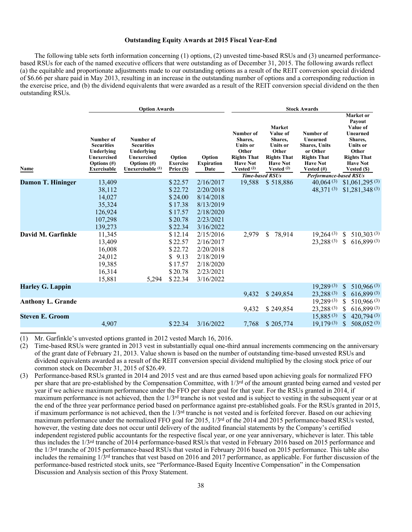# **Outstanding Equity Awards at 2015 Fiscal Year-End**

The following table sets forth information concerning (1) options, (2) unvested time-based RSUs and (3) unearned performancebased RSUs for each of the named executive officers that were outstanding as of December 31, 2015. The following awards reflect (a) the equitable and proportionate adjustments made to our outstanding options as a result of the REIT conversion special dividend of \$6.66 per share paid in May 2013, resulting in an increase in the outstanding number of options and a corresponding reduction in the exercise price, and (b) the dividend equivalents that were awarded as a result of the REIT conversion special dividend on the then outstanding RSUs.

|                          | <b>Option Awards</b>                                                                                |                                                                                                 |                                                                                                           |                                                                                                                                | <b>Stock Awards</b>                                                                                |                                                                                                                                              |                                                                                                                                                      |                                                                                                                                            |
|--------------------------|-----------------------------------------------------------------------------------------------------|-------------------------------------------------------------------------------------------------|-----------------------------------------------------------------------------------------------------------|--------------------------------------------------------------------------------------------------------------------------------|----------------------------------------------------------------------------------------------------|----------------------------------------------------------------------------------------------------------------------------------------------|------------------------------------------------------------------------------------------------------------------------------------------------------|--------------------------------------------------------------------------------------------------------------------------------------------|
| Name                     | Number of<br><b>Securities</b><br>Underlying<br>Unexercised<br>Options $(\#)$<br><b>Exercisable</b> | Number of<br><b>Securities</b><br>Underlying<br>Unexercised<br>Options (#)<br>Unexercisable (1) | Option<br><b>Exercise</b><br>Price (\$)                                                                   | Option<br><b>Expiration</b><br>Date                                                                                            | Number of<br>Shares,<br>Units or<br>Other<br><b>Rights That</b><br><b>Have Not</b><br>Vested $(2)$ | <b>Market</b><br>Value of<br>Shares,<br>Units or<br>Other<br><b>Rights That</b><br><b>Have Not</b><br>Vested $(2)$<br><b>Time-based RSUs</b> | Number of<br>Unearned<br><b>Shares, Units</b><br>or Other<br><b>Rights That</b><br><b>Have Not</b><br>Vested $(\#)$<br><b>Performance-based RSUs</b> | Market or<br>Payout<br>Value of<br>Unearned<br>Shares,<br><b>Units or</b><br>Other<br><b>Rights That</b><br><b>Have Not</b><br>Vested (\$) |
| <b>Damon T. Hininger</b> | 13,409                                                                                              |                                                                                                 | \$22.57                                                                                                   | 2/16/2017                                                                                                                      | 19,588                                                                                             | \$518,886                                                                                                                                    | 40,064(3)                                                                                                                                            | $$1,061,295^{(3)}$                                                                                                                         |
| David M. Garfinkle       | 38,112<br>14,027<br>35,324<br>126,924<br>107,298<br>139,273<br>11,345<br>13,409<br>16,008<br>24,012 |                                                                                                 | \$22.72<br>\$24.00<br>\$17.38<br>\$17.57<br>\$20.78<br>\$22.34<br>\$12.14<br>\$22.57<br>\$22.72<br>\$9.13 | 2/20/2018<br>8/14/2018<br>8/13/2019<br>2/18/2020<br>2/23/2021<br>3/16/2022<br>2/15/2016<br>2/16/2017<br>2/20/2018<br>2/18/2019 | 2,979                                                                                              | 78,914<br>\$                                                                                                                                 | 48,371(3)<br>19,264(3)<br>23,288(3)                                                                                                                  | $$1,281,348^{(3)}$<br>510,303(3)<br>S.<br>S.<br>616,899(3)                                                                                 |
|                          | 19,385<br>16,314<br>15,881                                                                          | 5,294                                                                                           | \$17.57<br>\$20.78<br>\$22.34                                                                             | 2/18/2020<br>2/23/2021<br>3/16/2022                                                                                            |                                                                                                    |                                                                                                                                              |                                                                                                                                                      |                                                                                                                                            |
| <b>Harley G. Lappin</b>  |                                                                                                     |                                                                                                 |                                                                                                           |                                                                                                                                | 9,432                                                                                              | \$249,854                                                                                                                                    | 19,289(3)<br>23,288(3)                                                                                                                               | $510,966^{(3)}$<br><sup>S</sup><br>616,899(3)<br>\$                                                                                        |
| <b>Anthony L. Grande</b> |                                                                                                     |                                                                                                 |                                                                                                           |                                                                                                                                | 9,432                                                                                              | \$249,854                                                                                                                                    | 19,289(3)<br>23,288(3)                                                                                                                               | \$.<br>$510,966^{(3)}$<br>616,899(3)<br>S                                                                                                  |
| <b>Steven E. Groom</b>   | 4,907                                                                                               |                                                                                                 | \$22.34                                                                                                   | 3/16/2022                                                                                                                      | 7,768                                                                                              | \$205,774                                                                                                                                    | 15,885(3)<br>19,179(3)                                                                                                                               | \$<br>420,794(3)<br>\$<br>508,052(3)                                                                                                       |
|                          |                                                                                                     |                                                                                                 |                                                                                                           |                                                                                                                                |                                                                                                    |                                                                                                                                              |                                                                                                                                                      |                                                                                                                                            |

(1) Mr. Garfinkle's unvested options granted in 2012 vested March 16, 2016.

(2) Time-based RSUs were granted in 2013 vest in substantially equal one-third annual increments commencing on the anniversary of the grant date of February 21, 2013. Value shown is based on the number of outstanding time-based unvested RSUs and dividend equivalents awarded as a result of the REIT conversion special dividend multiplied by the closing stock price of our common stock on December 31, 2015 of \$26.49.

(3) Performance-based RSUs granted in 2014 and 2015 vest and are thus earned based upon achieving goals for normalized FFO per share that are pre-established by the Compensation Committee, with  $1/3<sup>rd</sup>$  of the amount granted being earned and vested per year if we achieve maximum performance under the FFO per share goal for that year. For the RSUs granted in 2014, if maximum performance is not achieved, then the 1/3<sup>rd</sup> tranche is not vested and is subject to vesting in the subsequent year or at the end of the three year performance period based on performance against pre-established goals. For the RSUs granted in 2015, if maximum performance is not achieved, then the  $1/3<sup>rd</sup>$  tranche is not vested and is forfeited forever. Based on our achieving maximum performance under the normalized FFO goal for 2015,  $1/3<sup>rd</sup>$  of the 2014 and 2015 performance-based RSUs vested, however, the vesting date does not occur until delivery of the audited financial statements by the Company's certified independent registered public accountants for the respective fiscal year, or one year anniversary, whichever is later. This table thus includes the 1/3rd tranche of 2014 performance-based RSUs that vested in February 2016 based on 2015 performance and the 1/3rd tranche of 2015 performance-based RSUs that vested in February 2016 based on 2015 performance. This table also includes the remaining  $1/3<sup>rd</sup>$  tranches that vest based on 2016 and 2017 performance, as applicable. For further discussion of the performance-based restricted stock units, see "Performance-Based Equity Incentive Compensation" in the Compensation Discussion and Analysis section of this Proxy Statement.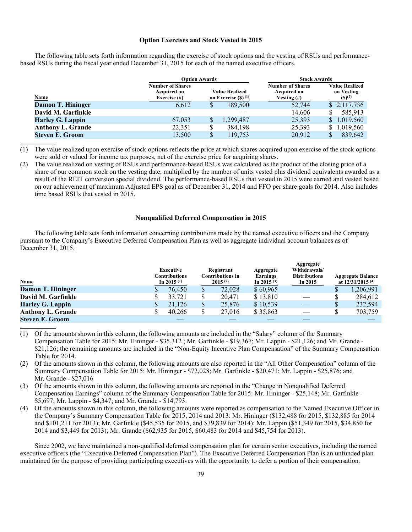### **Option Exercises and Stock Vested in 2015**

The following table sets forth information regarding the exercise of stock options and the vesting of RSUs and performancebased RSUs during the fiscal year ended December 31, 2015 for each of the named executive officers.

|                          | <b>Option Awards</b>                          |              |                                  | <b>Stock Awards</b>                           |                                     |  |  |
|--------------------------|-----------------------------------------------|--------------|----------------------------------|-----------------------------------------------|-------------------------------------|--|--|
|                          | <b>Number of Shares</b><br><b>Acquired on</b> |              | <b>Value Realized</b>            | <b>Number of Shares</b><br><b>Acquired on</b> | <b>Value Realized</b><br>on Vesting |  |  |
| <b>Name</b>              | Exercise (#)                                  |              | on Exercise $(S)$ <sup>(1)</sup> | Vesting $(\#)$                                | $(S)^{(2)}$                         |  |  |
| Damon T. Hininger        | 6.612                                         |              | 189,500                          | 52,744                                        | \$2,117,736                         |  |  |
| David M. Garfinkle       |                                               |              |                                  | 14,606                                        | 585,913                             |  |  |
| <b>Harley G. Lappin</b>  | 67,053                                        | $\mathbb{S}$ | 1,299,487                        | 25,393                                        | \$1,019,560                         |  |  |
| <b>Anthony L. Grande</b> | 22,351                                        | \$           | 384,198                          | 25,393                                        | 1,019,560                           |  |  |
| <b>Steven E. Groom</b>   | 13,500                                        |              | 119,753                          | 20,912                                        | 839,642                             |  |  |

(1) The value realized upon exercise of stock options reflects the price at which shares acquired upon exercise of the stock options were sold or valued for income tax purposes, net of the exercise price for acquiring shares.

(2) The value realized on vesting of RSUs and performance-based RSUs was calculated as the product of the closing price of a share of our common stock on the vesting date, multiplied by the number of units vested plus dividend equivalents awarded as a result of the REIT conversion special dividend. The performance-based RSUs that vested in 2015 were earned and vested based on our achievement of maximum Adjusted EPS goal as of December 31, 2014 and FFO per share goals for 2014. Also includes time based RSUs that vested in 2015.

## **Nonqualified Deferred Compensation in 2015**

The following table sets forth information concerning contributions made by the named executive officers and the Company pursuant to the Company's Executive Deferred Compensation Plan as well as aggregate individual account balances as of December 31, 2015.

| <b>Name</b>              | Executive<br>Contributions<br>In 2015 $(1)$ | Registrant<br><b>Contributions in</b><br>$2015^{(2)}$ | Aggregate<br>Earnings<br>In 2015 $(3)$ | Aggregate<br>Withdrawals/<br><b>Distributions</b><br>In $2015$ |              | <b>Aggregate Balance</b><br>at $12/31/2015$ <sup>(4)</sup> |
|--------------------------|---------------------------------------------|-------------------------------------------------------|----------------------------------------|----------------------------------------------------------------|--------------|------------------------------------------------------------|
| <b>Damon T. Hininger</b> | 76.450                                      | \$<br>72,028                                          | \$60,965                               |                                                                | P            | 1,206,991                                                  |
| David M. Garfinkle       | 33.721                                      | \$<br>20.471                                          | \$13,810                               |                                                                |              | 284,612                                                    |
| <b>Harley G. Lappin</b>  | 21.126                                      | \$<br>25,876                                          | \$10,539                               |                                                                | $\mathbb{S}$ | 232,594                                                    |
| <b>Anthony L. Grande</b> | 40.266                                      | \$<br>27,016                                          | \$35,863                               |                                                                |              | 703,759                                                    |
| <b>Steven E. Groom</b>   |                                             |                                                       |                                        |                                                                |              |                                                            |

- (1) Of the amounts shown in this column, the following amounts are included in the "Salary" column of the Summary Compensation Table for 2015: Mr. Hininger - \$35,312 ; Mr. Garfinkle - \$19,367; Mr. Lappin - \$21,126; and Mr. Grande - \$21,126; the remaining amounts are included in the "Non-Equity Incentive Plan Compensation" of the Summary Compensation Table for 2014.
- (2) Of the amounts shown in this column, the following amounts are also reported in the "All Other Compensation" column of the Summary Compensation Table for 2015: Mr. Hininger - \$72,028; Mr. Garfinkle - \$20,471; Mr. Lappin - \$25,876; and Mr. Grande - \$27,016
- (3) Of the amounts shown in this column, the following amounts are reported in the "Change in Nonqualified Deferred Compensation Earnings" column of the Summary Compensation Table for 2015: Mr. Hininger - \$25,148; Mr. Garfinkle - \$5,697; Mr. Lappin - \$4,347; and Mr. Grande - \$14,793.
- (4) Of the amounts shown in this column, the following amounts were reported as compensation to the Named Executive Officer in the Company's Summary Compensation Table for 2015, 2014 and 2013: Mr. Hininger (\$132,488 for 2015, \$132,885 for 2014 and \$101,211 for 2013); Mr. Garfinkle (\$45,535 for 2015, and \$39,839 for 2014); Mr. Lappin (\$51,349 for 2015, \$34,850 for 2014 and \$3,449 for 2013); Mr. Grande (\$62,935 for 2015, \$60,483 for 2014 and \$45,754 for 2013).

Since 2002, we have maintained a non-qualified deferred compensation plan for certain senior executives, including the named executive officers (the "Executive Deferred Compensation Plan"). The Executive Deferred Compensation Plan is an unfunded plan maintained for the purpose of providing participating executives with the opportunity to defer a portion of their compensation.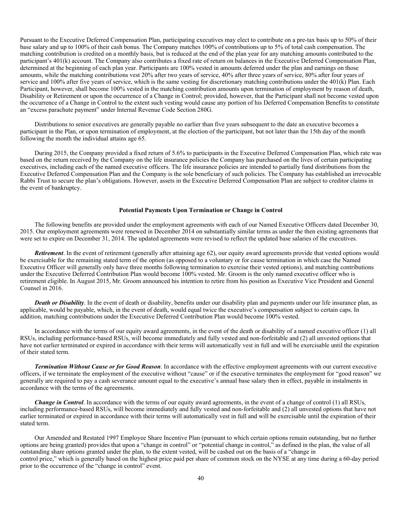Pursuant to the Executive Deferred Compensation Plan, participating executives may elect to contribute on a pre-tax basis up to 50% of their base salary and up to 100% of their cash bonus. The Company matches 100% of contributions up to 5% of total cash compensation. The matching contribution is credited on a monthly basis, but is reduced at the end of the plan year for any matching amounts contributed to the participant's 401(k) account. The Company also contributes a fixed rate of return on balances in the Executive Deferred Compensation Plan, determined at the beginning of each plan year. Participants are 100% vested in amounts deferred under the plan and earnings on those amounts, while the matching contributions vest 20% after two years of service, 40% after three years of service, 80% after four years of service and 100% after five years of service, which is the same vesting for discretionary matching contributions under the 401(k) Plan. Each Participant, however, shall become 100% vested in the matching contribution amounts upon termination of employment by reason of death, Disability or Retirement or upon the occurrence of a Change in Control; provided, however, that the Participant shall not become vested upon the occurrence of a Change in Control to the extent such vesting would cause any portion of his Deferred Compensation Benefits to constitute an "excess parachute payment" under Internal Revenue Code Section 280G.

Distributions to senior executives are generally payable no earlier than five years subsequent to the date an executive becomes a participant in the Plan, or upon termination of employment, at the election of the participant, but not later than the 15th day of the month following the month the individual attains age 65.

During 2015, the Company provided a fixed return of 5.6% to participants in the Executive Deferred Compensation Plan, which rate was based on the return received by the Company on the life insurance policies the Company has purchased on the lives of certain participating executives, including each of the named executive officers. The life insurance policies are intended to partially fund distributions from the Executive Deferred Compensation Plan and the Company is the sole beneficiary of such policies. The Company has established an irrevocable Rabbi Trust to secure the plan's obligations. However, assets in the Executive Deferred Compensation Plan are subject to creditor claims in the event of bankruptcy.

#### **Potential Payments Upon Termination or Change in Control**

The following benefits are provided under the employment agreements with each of our Named Executive Officers dated December 30, 2015. Our employment agreements were renewed in December 2014 on substantially similar terms as under the then existing agreements that were set to expire on December 31, 2014. The updated agreements were revised to reflect the updated base salaries of the executives.

*Retirement*. In the event of retirement (generally after attaining age 62), our equity award agreements provide that vested options would be exercisable for the remaining stated term of the option (as opposed to a voluntary or for cause termination in which case the Named Executive Officer will generally only have three months following termination to exercise their vested options), and matching contributions under the Executive Deferred Contribution Plan would become 100% vested. Mr. Groom is the only named executive officer who is retirement eligible. In August 2015, Mr. Groom announced his intention to retire from his position as Executive Vice President and General Counsel in 2016.

**Death or Disability**. In the event of death or disability, benefits under our disability plan and payments under our life insurance plan, as applicable, would be payable, which, in the event of death, would equal twice the executive's compensation subject to certain caps. In addition, matching contributions under the Executive Deferred Contribution Plan would become 100% vested.

In accordance with the terms of our equity award agreements, in the event of the death or disability of a named executive officer (1) all RSUs, including performance-based RSUs, will become immediately and fully vested and non-forfeitable and (2) all unvested options that have not earlier terminated or expired in accordance with their terms will automatically vest in full and will be exercisable until the expiration of their stated term.

*Termination Without Cause or for Good Reason*. In accordance with the effective employment agreements with our current executive officers, if we terminate the employment of the executive without "cause" or if the executive terminates the employment for "good reason" we generally are required to pay a cash severance amount equal to the executive's annual base salary then in effect, payable in instalments in accordance with the terms of the agreements.

*Change in Control.* In accordance with the terms of our equity award agreements, in the event of a change of control (1) all RSUs, including performance-based RSUs, will become immediately and fully vested and non-forfeitable and (2) all unvested options that have not earlier terminated or expired in accordance with their terms will automatically vest in full and will be exercisable until the expiration of their stated term.

Our Amended and Restated 1997 Employee Share Incentive Plan (pursuant to which certain options remain outstanding, but no further options are being granted) provides that upon a "change in control" or "potential change in control," as defined in the plan, the value of all outstanding share options granted under the plan, to the extent vested, will be cashed out on the basis of a "change in control price," which is generally based on the highest price paid per share of common stock on the NYSE at any time during a 60-day period prior to the occurrence of the "change in control" event.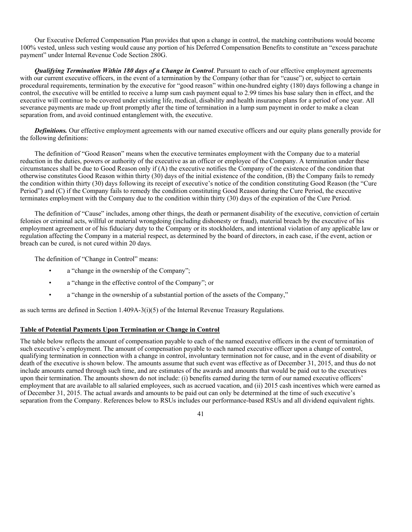Our Executive Deferred Compensation Plan provides that upon a change in control, the matching contributions would become 100% vested, unless such vesting would cause any portion of his Deferred Compensation Benefits to constitute an "excess parachute payment" under Internal Revenue Code Section 280G.

*Qualifying Termination Within 180 days of a Change in Control*. Pursuant to each of our effective employment agreements with our current executive officers, in the event of a termination by the Company (other than for "cause") or, subject to certain procedural requirements, termination by the executive for "good reason" within one-hundred eighty (180) days following a change in control, the executive will be entitled to receive a lump sum cash payment equal to 2.99 times his base salary then in effect, and the executive will continue to be covered under existing life, medical, disability and health insurance plans for a period of one year. All severance payments are made up front promptly after the time of termination in a lump sum payment in order to make a clean separation from, and avoid continued entanglement with, the executive.

*Definitions.* Our effective employment agreements with our named executive officers and our equity plans generally provide for the following definitions:

The definition of "Good Reason" means when the executive terminates employment with the Company due to a material reduction in the duties, powers or authority of the executive as an officer or employee of the Company. A termination under these circumstances shall be due to Good Reason only if (A) the executive notifies the Company of the existence of the condition that otherwise constitutes Good Reason within thirty (30) days of the initial existence of the condition, (B) the Company fails to remedy the condition within thirty (30) days following its receipt of executive's notice of the condition constituting Good Reason (the "Cure Period") and (C) if the Company fails to remedy the condition constituting Good Reason during the Cure Period, the executive terminates employment with the Company due to the condition within thirty (30) days of the expiration of the Cure Period.

The definition of "Cause" includes, among other things, the death or permanent disability of the executive, conviction of certain felonies or criminal acts, willful or material wrongdoing (including dishonesty or fraud), material breach by the executive of his employment agreement or of his fiduciary duty to the Company or its stockholders, and intentional violation of any applicable law or regulation affecting the Company in a material respect, as determined by the board of directors, in each case, if the event, action or breach can be cured, is not cured within 20 days.

The definition of "Change in Control" means:

- a "change in the ownership of the Company";
- a "change in the effective control of the Company"; or
- a "change in the ownership of a substantial portion of the assets of the Company,"

as such terms are defined in Section 1.409A-3(i)(5) of the Internal Revenue Treasury Regulations.

# **Table of Potential Payments Upon Termination or Change in Control**

The table below reflects the amount of compensation payable to each of the named executive officers in the event of termination of such executive's employment. The amount of compensation payable to each named executive officer upon a change of control, qualifying termination in connection with a change in control, involuntary termination not for cause, and in the event of disability or death of the executive is shown below. The amounts assume that such event was effective as of December 31, 2015, and thus do not include amounts earned through such time, and are estimates of the awards and amounts that would be paid out to the executives upon their termination. The amounts shown do not include: (i) benefits earned during the term of our named executive officers' employment that are available to all salaried employees, such as accrued vacation, and (ii) 2015 cash incentives which were earned as of December 31, 2015. The actual awards and amounts to be paid out can only be determined at the time of such executive's separation from the Company. References below to RSUs includes our performance-based RSUs and all dividend equivalent rights.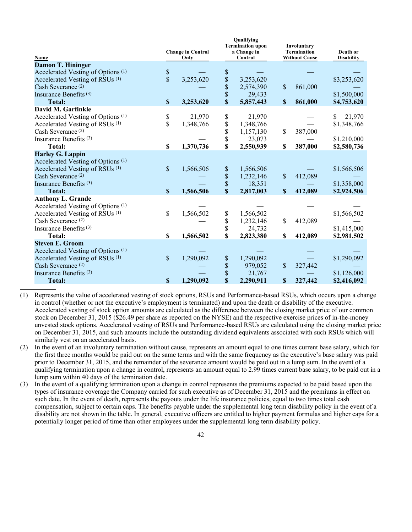|                                               |                           | <b>Change in Control</b> |    | Qualifying<br><b>Termination upon</b><br>a Change in |                           | Involuntary<br><b>Termination</b> | Death or          |
|-----------------------------------------------|---------------------------|--------------------------|----|------------------------------------------------------|---------------------------|-----------------------------------|-------------------|
| Name                                          |                           | Only                     |    | Control                                              |                           | <b>Without Cause</b>              | <b>Disability</b> |
| <b>Damon T. Hininger</b>                      |                           |                          |    |                                                      |                           |                                   |                   |
| Accelerated Vesting of Options <sup>(1)</sup> | \$                        |                          | \$ |                                                      |                           |                                   |                   |
| Accelerated Vesting of RSUs <sup>(1)</sup>    | $\overline{\$}$           | 3,253,620                | \$ | 3,253,620                                            |                           |                                   | \$3,253,620       |
| Cash Severance <sup>(2)</sup>                 |                           |                          |    | 2,574,390                                            | $\mathsf{\$}$             | 861,000                           |                   |
| Insurance Benefits <sup>(3)</sup>             |                           |                          | \$ | 29,433                                               |                           |                                   | \$1,500,000       |
| <b>Total:</b>                                 | \$                        | 3,253,620                | \$ | 5,857,443                                            | $\boldsymbol{\mathsf{S}}$ | 861,000                           | \$4,753,620       |
| David M. Garfinkle                            |                           |                          |    |                                                      |                           |                                   |                   |
| Accelerated Vesting of Options <sup>(1)</sup> | \$<br>\$                  | 21,970                   | \$ | 21,970                                               |                           |                                   | \$<br>21,970      |
| Accelerated Vesting of RSUs <sup>(1)</sup>    |                           | 1,348,766                | \$ | 1,348,766                                            |                           |                                   | \$1,348,766       |
| Cash Severance <sup>(2)</sup>                 |                           |                          | \$ | 1,157,130                                            | $\mathsf{\$}$             | 387,000                           |                   |
| Insurance Benefits <sup>(3)</sup>             |                           |                          | \$ | 23,073                                               |                           |                                   | \$1,210,000       |
| Total:                                        | \$                        | 1,370,736                | \$ | 2,550,939                                            | \$                        | 387,000                           | \$2,580,736       |
| <b>Harley G. Lappin</b>                       |                           |                          |    |                                                      |                           |                                   |                   |
| Accelerated Vesting of Options <sup>(1)</sup> |                           |                          |    |                                                      |                           |                                   |                   |
| Accelerated Vesting of RSUs <sup>(1)</sup>    | \$                        | 1,566,506                | \$ | 1,566,506                                            |                           |                                   | \$1,566,506       |
| Cash Severance <sup>(2)</sup>                 |                           |                          | \$ | 1,232,146                                            | \$                        | 412,089                           |                   |
| Insurance Benefits $(3)$                      |                           |                          | \$ | 18,351                                               |                           |                                   | \$1,358,000       |
| <b>Total:</b>                                 | $\boldsymbol{\mathsf{S}}$ | 1,566,506                | \$ | 2,817,003                                            | $\boldsymbol{\mathsf{S}}$ | 412,089                           | \$2,924,506       |
| <b>Anthony L. Grande</b>                      |                           |                          |    |                                                      |                           |                                   |                   |
| Accelerated Vesting of Options <sup>(1)</sup> |                           |                          |    |                                                      |                           |                                   |                   |
| Accelerated Vesting of RSUs <sup>(1)</sup>    | \$                        | 1,566,502                | \$ | 1,566,502                                            |                           |                                   | \$1,566,502       |
| Cash Severance <sup>(2)</sup>                 |                           |                          | \$ | 1,232,146                                            | \$                        | 412,089                           |                   |
| Insurance Benefits <sup>(3)</sup>             |                           |                          | \$ | 24,732                                               |                           |                                   | \$1,415,000       |
| <b>Total:</b>                                 | \$                        | 1,566,502                | \$ | 2,823,380                                            | \$                        | 412,089                           | \$2,981,502       |
| <b>Steven E. Groom</b>                        |                           |                          |    |                                                      |                           |                                   |                   |
| Accelerated Vesting of Options <sup>(1)</sup> |                           |                          |    |                                                      |                           |                                   |                   |
| Accelerated Vesting of RSUs <sup>(1)</sup>    | \$                        | 1,290,092                | \$ | 1,290,092                                            |                           |                                   | \$1,290,092       |
| Cash Severance <sup>(2)</sup>                 |                           |                          | \$ | 979,052                                              | \$                        | 327,442                           |                   |
| Insurance Benefits <sup>(3)</sup>             |                           |                          | \$ | 21,767                                               |                           |                                   | \$1,126,000       |
| <b>Total:</b>                                 | \$                        | 1,290,092                | \$ | 2,290,911                                            | \$                        | 327,442                           | \$2,416,092       |

 $Q = \text{ref}$ 

(1) Represents the value of accelerated vesting of stock options, RSUs and Performance-based RSUs, which occurs upon a change in control (whether or not the executive's employment is terminated) and upon the death or disability of the executive. Accelerated vesting of stock option amounts are calculated as the difference between the closing market price of our common stock on December 31, 2015 (\$26.49 per share as reported on the NYSE) and the respective exercise prices of in-the-money unvested stock options. Accelerated vesting of RSUs and Performance-based RSUs are calculated using the closing market price on December 31, 2015, and such amounts include the outstanding dividend equivalents associated with such RSUs which will similarly vest on an accelerated basis.

- (2) In the event of an involuntary termination without cause, represents an amount equal to one times current base salary, which for the first three months would be paid out on the same terms and with the same frequency as the executive's base salary was paid prior to December 31, 2015, and the remainder of the severance amount would be paid out in a lump sum. In the event of a qualifying termination upon a change in control, represents an amount equal to 2.99 times current base salary, to be paid out in a lump sum within 40 days of the termination date.
- (3) In the event of a qualifying termination upon a change in control represents the premiums expected to be paid based upon the types of insurance coverage the Company carried for such executive as of December 31, 2015 and the premiums in effect on such date. In the event of death, represents the payouts under the life insurance policies, equal to two times total cash compensation, subject to certain caps. The benefits payable under the supplemental long term disability policy in the event of a disability are not shown in the table. In general, executive officers are entitled to higher payment formulas and higher caps for a potentially longer period of time than other employees under the supplemental long term disability policy.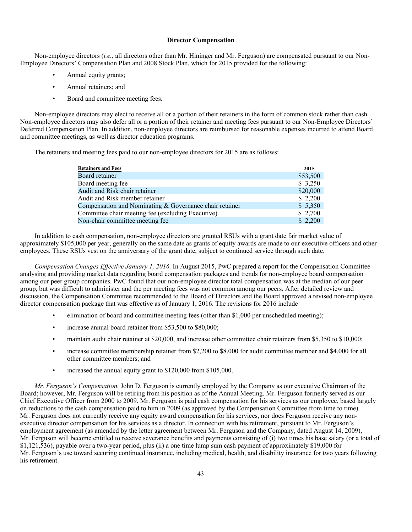### **Director Compensation**

Non-employee directors (*i.e.,* all directors other than Mr. Hininger and Mr. Ferguson) are compensated pursuant to our Non-Employee Directors' Compensation Plan and 2008 Stock Plan, which for 2015 provided for the following:

- Annual equity grants;
- Annual retainers; and
- Board and committee meeting fees.

Non-employee directors may elect to receive all or a portion of their retainers in the form of common stock rather than cash. Non-employee directors may also defer all or a portion of their retainer and meeting fees pursuant to our Non-Employee Directors' Deferred Compensation Plan. In addition, non-employee directors are reimbursed for reasonable expenses incurred to attend Board and committee meetings, as well as director education programs.

The retainers and meeting fees paid to our non-employee directors for 2015 are as follows:

| <b>Retainers and Fees</b>                               | 2015                 |
|---------------------------------------------------------|----------------------|
| Board retainer                                          | $\overline{$}53,500$ |
| Board meeting fee.                                      | \$3,250              |
| Audit and Risk chair retainer                           | \$20,000             |
| Audit and Risk member retainer                          | \$2,200              |
| Compensation and Nominating & Governance chair retainer | \$5,350              |
| Committee chair meeting fee (excluding Executive)       | \$2,700              |
| Non-chair committee meeting fee                         | \$2,200              |

In addition to cash compensation, non-employee directors are granted RSUs with a grant date fair market value of approximately \$105,000 per year, generally on the same date as grants of equity awards are made to our executive officers and other employees. These RSUs vest on the anniversary of the grant date, subject to continued service through such date.

*Compensation Changes Effective January 1, 2016.* In August 2015, PwC prepared a report for the Compensation Committee analysing and providing market data regarding board compensation packages and trends for non-employee board compensation among our peer group companies. PwC found that our non-employee director total compensation was at the median of our peer group, but was difficult to administer and the per meeting fees was not common among our peers. After detailed review and discussion, the Compensation Committee recommended to the Board of Directors and the Board approved a revised non-employee director compensation package that was effective as of January 1, 2016. The revisions for 2016 include

- elimination of board and committee meeting fees (other than \$1,000 per unscheduled meeting);
- increase annual board retainer from \$53,500 to \$80,000;
- maintain audit chair retainer at \$20,000, and increase other committee chair retainers from \$5,350 to \$10,000;
- increase committee membership retainer from \$2,200 to \$8,000 for audit committee member and \$4,000 for all other committee members; and
- increased the annual equity grant to \$120,000 from \$105,000.

*Mr. Ferguson's Compensation.* John D. Ferguson is currently employed by the Company as our executive Chairman of the Board; however, Mr. Ferguson will be retiring from his position as of the Annual Meeting. Mr. Ferguson formerly served as our Chief Executive Officer from 2000 to 2009. Mr. Ferguson is paid cash compensation for his services as our employee, based largely on reductions to the cash compensation paid to him in 2009 (as approved by the Compensation Committee from time to time). Mr. Ferguson does not currently receive any equity award compensation for his services, nor does Ferguson receive any nonexecutive director compensation for his services as a director. In connection with his retirement, pursuant to Mr. Ferguson's employment agreement (as amended by the letter agreement between Mr. Ferguson and the Company, dated August 14, 2009), Mr. Ferguson will become entitled to receive severance benefits and payments consisting of (i) two times his base salary (or a total of \$1,121,536), payable over a two-year period, plus (ii) a one time lump sum cash payment of approximately \$19,000 for Mr. Ferguson's use toward securing continued insurance, including medical, health, and disability insurance for two years following his retirement.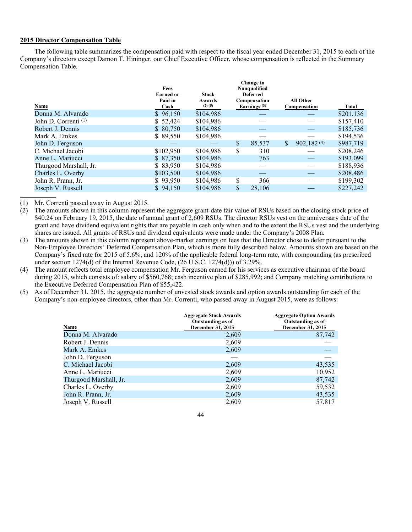# **2015 Director Compensation Table**

The following table summarizes the compensation paid with respect to the fiscal year ended December 31, 2015 to each of the Company's directors except Damon T. Hininger, our Chief Executive Officer, whose compensation is reflected in the Summary Compensation Table.

| Name                            | Fees<br><b>Earned or</b><br>Paid in<br>Cash | <b>Stock</b><br>Awards<br>$(2)$ (5) | Change in<br>Nonqualified<br><b>Deferred</b><br>Compensation<br>Earnings $(3)$ |              | <b>All Other</b><br>Compensation | Total     |
|---------------------------------|---------------------------------------------|-------------------------------------|--------------------------------------------------------------------------------|--------------|----------------------------------|-----------|
| Donna M. Alvarado               | \$96,150                                    | \$104,986                           |                                                                                |              |                                  | \$201,136 |
| John D. Correnti <sup>(1)</sup> | \$52,424                                    | \$104,986                           |                                                                                |              |                                  | \$157,410 |
| Robert J. Dennis                | \$80,750                                    | \$104,986                           |                                                                                |              |                                  | \$185,736 |
| Mark A. Emkes                   | \$89,550                                    | \$104,986                           |                                                                                |              |                                  | \$194,536 |
| John D. Ferguson                |                                             |                                     | \$<br>85,537                                                                   | $\mathbb{S}$ | 902,182(4)                       | \$987,719 |
| C. Michael Jacobi               | \$102,950                                   | \$104,986                           | \$<br>310                                                                      |              |                                  | \$208,246 |
| Anne L. Mariucci                | \$87,350                                    | \$104,986                           | 763                                                                            |              |                                  | \$193,099 |
| Thurgood Marshall, Jr.          | \$83,950                                    | \$104,986                           |                                                                                |              |                                  | \$188,936 |
| Charles L. Overby               | \$103,500                                   | \$104.986                           |                                                                                |              |                                  | \$208,486 |
| John R. Prann, Jr.              | \$93,950                                    | \$104,986                           | \$<br>366                                                                      |              |                                  | \$199,302 |
| Joseph V. Russell               | \$94,150                                    | \$104,986                           | \$<br>28,106                                                                   |              |                                  | \$227,242 |

(1) Mr. Correnti passed away in August 2015.

(2) The amounts shown in this column represent the aggregate grant-date fair value of RSUs based on the closing stock price of \$40.24 on February 19, 2015, the date of annual grant of 2,609 RSUs. The director RSUs vest on the anniversary date of the grant and have dividend equivalent rights that are payable in cash only when and to the extent the RSUs vest and the underlying shares are issued. All grants of RSUs and dividend equivalents were made under the Company's 2008 Plan.

(3) The amounts shown in this column represent above-market earnings on fees that the Director chose to defer pursuant to the Non-Employee Directors' Deferred Compensation Plan, which is more fully described below. Amounts shown are based on the Company's fixed rate for 2015 of 5.6%, and 120% of the applicable federal long-term rate, with compounding (as prescribed under section 1274(d) of the Internal Revenue Code, (26 U.S.C. 1274(d))) of 3.29%.

(4) The amount reflects total employee compensation Mr. Ferguson earned for his services as executive chairman of the board during 2015, which consists of: salary of \$560,768; cash incentive plan of \$285,992; and Company matching contributions to the Executive Deferred Compensation Plan of \$55,422.

(5) As of December 31, 2015, the aggregate number of unvested stock awards and option awards outstanding for each of the Company's non-employee directors, other than Mr. Correnti, who passed away in August 2015, were as follows:

| <b>Name</b>            | <b>Aggregate Stock Awards</b><br>Outstanding as of<br>December 31, 2015 | <b>Aggregate Option Awards</b><br>Outstanding as of<br>December 31, 2015 |
|------------------------|-------------------------------------------------------------------------|--------------------------------------------------------------------------|
| Donna M. Alvarado      | 2,609                                                                   | 87,742                                                                   |
| Robert J. Dennis       | 2,609                                                                   |                                                                          |
| Mark A. Emkes          | 2,609                                                                   |                                                                          |
| John D. Ferguson       |                                                                         |                                                                          |
| C. Michael Jacobi      | 2,609                                                                   | 43,535                                                                   |
| Anne L. Mariucci       | 2,609                                                                   | 10,952                                                                   |
| Thurgood Marshall, Jr. | 2,609                                                                   | 87,742                                                                   |
| Charles L. Overby      | 2,609                                                                   | 59,532                                                                   |
| John R. Prann, Jr.     | 2,609                                                                   | 43,535                                                                   |
| Joseph V. Russell      | 2,609                                                                   | 57.817                                                                   |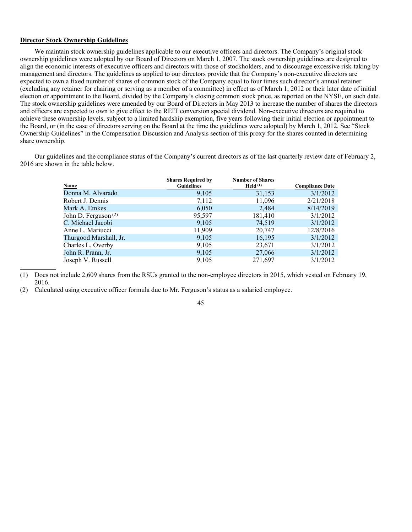# **Director Stock Ownership Guidelines**

We maintain stock ownership guidelines applicable to our executive officers and directors. The Company's original stock ownership guidelines were adopted by our Board of Directors on March 1, 2007. The stock ownership guidelines are designed to align the economic interests of executive officers and directors with those of stockholders, and to discourage excessive risk-taking by management and directors. The guidelines as applied to our directors provide that the Company's non-executive directors are expected to own a fixed number of shares of common stock of the Company equal to four times such director's annual retainer (excluding any retainer for chairing or serving as a member of a committee) in effect as of March 1, 2012 or their later date of initial election or appointment to the Board, divided by the Company's closing common stock price, as reported on the NYSE, on such date. The stock ownership guidelines were amended by our Board of Directors in May 2013 to increase the number of shares the directors and officers are expected to own to give effect to the REIT conversion special dividend. Non-executive directors are required to achieve these ownership levels, subject to a limited hardship exemption, five years following their initial election or appointment to the Board, or (in the case of directors serving on the Board at the time the guidelines were adopted) by March 1, 2012. See "Stock Ownership Guidelines" in the Compensation Discussion and Analysis section of this proxy for the shares counted in determining share ownership.

Our guidelines and the compliance status of the Company's current directors as of the last quarterly review date of February 2, 2016 are shown in the table below.

| <b>Name</b>            | <b>Shares Required by</b><br><b>Guidelines</b> | <b>Number of Shares</b><br>Held $(1)$ | <b>Compliance Date</b> |
|------------------------|------------------------------------------------|---------------------------------------|------------------------|
| Donna M. Alvarado      | 9,105                                          | 31,153                                | 3/1/2012               |
| Robert J. Dennis       | 7,112                                          | 11,096                                | 2/21/2018              |
| Mark A. Emkes          | 6,050                                          | 2,484                                 | 8/14/2019              |
| John D. Ferguson $(2)$ | 95,597                                         | 181,410                               | 3/1/2012               |
| C. Michael Jacobi      | 9,105                                          | 74,519                                | 3/1/2012               |
| Anne L. Mariucci       | 11,909                                         | 20,747                                | 12/8/2016              |
| Thurgood Marshall, Jr. | 9,105                                          | 16,195                                | 3/1/2012               |
| Charles L. Overby      | 9,105                                          | 23,671                                | 3/1/2012               |
| John R. Prann, Jr.     | 9,105                                          | 27,066                                | 3/1/2012               |
| Joseph V. Russell      | 9,105                                          | 271,697                               | 3/1/2012               |

<sup>(1)</sup> Does not include 2,609 shares from the RSUs granted to the non-employee directors in 2015, which vested on February 19, 2016.

<sup>(2)</sup> Calculated using executive officer formula due to Mr. Ferguson's status as a salaried employee.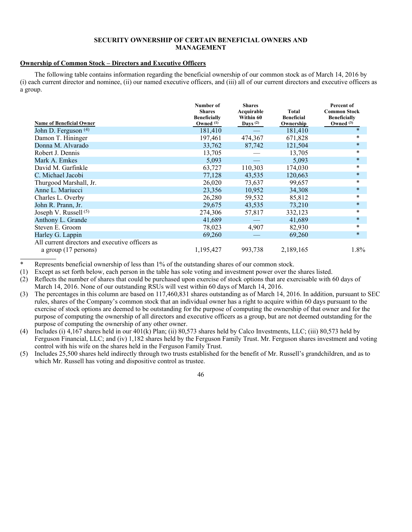# **SECURITY OWNERSHIP OF CERTAIN BENEFICIAL OWNERS AND MANAGEMENT**

# **Ownership of Common Stock – Directors and Executive Officers**

The following table contains information regarding the beneficial ownership of our common stock as of March 14, 2016 by (i) each current director and nominee, (ii) our named executive officers, and (iii) all of our current directors and executive officers as a group.

| <b>Name of Beneficial Owner</b>                                         | Number of<br><b>Shares</b><br><b>Beneficially</b><br>Owned $(1)$ | <b>Shares</b><br>Acquirable<br>Within 60<br>Days $(2)$ | <b>Total</b><br><b>Beneficial</b><br>Ownership | Percent of<br><b>Common Stock</b><br><b>Beneficially</b><br>Owned $(3)$ |
|-------------------------------------------------------------------------|------------------------------------------------------------------|--------------------------------------------------------|------------------------------------------------|-------------------------------------------------------------------------|
| John D. Ferguson (4)                                                    | 181,410                                                          |                                                        | 181,410                                        | $\ast$                                                                  |
| Damon T. Hininger                                                       | 197,461                                                          | 474,367                                                | 671,828                                        | $\ast$                                                                  |
| Donna M. Alvarado                                                       | 33,762                                                           | 87,742                                                 | 121,504                                        | $\ast$                                                                  |
| Robert J. Dennis                                                        | 13,705                                                           |                                                        | 13,705                                         | $\ast$                                                                  |
| Mark A. Emkes                                                           | 5,093                                                            |                                                        | 5,093                                          | $\ast$                                                                  |
| David M. Garfinkle                                                      | 63,727                                                           | 110,303                                                | 174,030                                        | $\ast$                                                                  |
| C. Michael Jacobi                                                       | 77,128                                                           | 43,535                                                 | 120,663                                        | $\ast$                                                                  |
| Thurgood Marshall, Jr.                                                  | 26,020                                                           | 73,637                                                 | 99,657                                         | $\ast$                                                                  |
| Anne L. Mariucci                                                        | 23,356                                                           | 10,952                                                 | 34,308                                         | $\ast$                                                                  |
| Charles L. Overby                                                       | 26,280                                                           | 59,532                                                 | 85,812                                         | $\ast$                                                                  |
| John R. Prann, Jr.                                                      | 29,675                                                           | 43,535                                                 | 73,210                                         | $\ast$                                                                  |
| Joseph V. Russell <sup>(5)</sup>                                        | 274,306                                                          | 57,817                                                 | 332,123                                        | $\ast$                                                                  |
| Anthony L. Grande                                                       | 41,689                                                           |                                                        | 41,689                                         | $\ast$                                                                  |
| Steven E. Groom                                                         | 78,023                                                           | 4,907                                                  | 82,930                                         | $\ast$                                                                  |
| Harley G. Lappin                                                        | 69,260                                                           |                                                        | 69,260                                         | $\ast$                                                                  |
| All current directors and executive officers as<br>a group (17 persons) | 1,195,427                                                        | 993,738                                                | 2,189,165                                      | $1.8\%$                                                                 |

\* Represents beneficial ownership of less than 1% of the outstanding shares of our common stock.

(1) Except as set forth below, each person in the table has sole voting and investment power over the shares listed.

(2) Reflects the number of shares that could be purchased upon exercise of stock options that are exercisable with 60 days of March 14, 2016. None of our outstanding RSUs will vest within 60 days of March 14, 2016.

- (3) The percentages in this column are based on 117,460,831 shares outstanding as of March 14, 2016. In addition, pursuant to SEC rules, shares of the Company's common stock that an individual owner has a right to acquire within 60 days pursuant to the exercise of stock options are deemed to be outstanding for the purpose of computing the ownership of that owner and for the purpose of computing the ownership of all directors and executive officers as a group, but are not deemed outstanding for the purpose of computing the ownership of any other owner.
- (4) Includes (i) 4,167 shares held in our 401(k) Plan; (ii) 80,573 shares held by Calco Investments, LLC; (iii) 80,573 held by Ferguson Financial, LLC; and (iv) 1,182 shares held by the Ferguson Family Trust. Mr. Ferguson shares investment and voting control with his wife on the shares held in the Ferguson Family Trust.
- (5) Includes 25,500 shares held indirectly through two trusts established for the benefit of Mr. Russell's grandchildren, and as to which Mr. Russell has voting and dispositive control as trustee.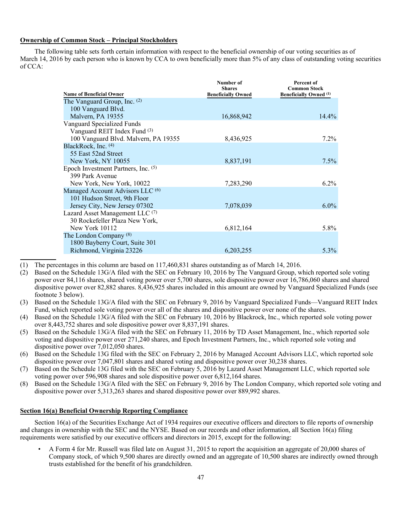## **Ownership of Common Stock – Principal Stockholders**

The following table sets forth certain information with respect to the beneficial ownership of our voting securities as of March 14, 2016 by each person who is known by CCA to own beneficially more than 5% of any class of outstanding voting securities of CCA:

|                                             | Number of<br><b>Shares</b> | Percent of<br><b>Common Stock</b> |
|---------------------------------------------|----------------------------|-----------------------------------|
| <b>Name of Beneficial Owner</b>             | <b>Beneficially Owned</b>  | <b>Beneficially Owned</b> (1)     |
| The Vanguard Group, Inc. (2)                |                            |                                   |
| 100 Vanguard Blvd.                          |                            |                                   |
| Malvern, PA 19355                           | 16,868,942                 | $14.4\%$                          |
| Vanguard Specialized Funds                  |                            |                                   |
| Vanguard REIT Index Fund (3)                |                            |                                   |
| 100 Vanguard Blvd. Malvern, PA 19355        | 8,436,925                  | $7.2\%$                           |
| BlackRock, Inc. (4)                         |                            |                                   |
| 55 East 52nd Street                         |                            |                                   |
| New York, NY 10055                          | 8,837,191                  | $7.5\%$                           |
| Epoch Investment Partners, Inc. (5)         |                            |                                   |
| 399 Park Avenue                             |                            |                                   |
| New York, New York, 10022                   | 7,283,290                  | $6.2\%$                           |
| Managed Account Advisors LLC <sup>(6)</sup> |                            |                                   |
| 101 Hudson Street, 9th Floor                |                            |                                   |
| Jersey City, New Jersey 07302               | 7,078,039                  | $6.0\%$                           |
| Lazard Asset Management LLC <sup>(7)</sup>  |                            |                                   |
| 30 Rockefeller Plaza New York,              |                            |                                   |
| New York 10112                              | 6,812,164                  | $5.8\%$                           |
| The London Company <sup>(8)</sup>           |                            |                                   |
| 1800 Bayberry Court, Suite 301              |                            |                                   |
| Richmond, Virginia 23226                    | 6,203,255                  | $5.3\%$                           |

(1) The percentages in this column are based on 117,460,831 shares outstanding as of March 14, 2016.

(2) Based on the Schedule 13G/A filed with the SEC on February 10, 2016 by The Vanguard Group, which reported sole voting power over 84,116 shares, shared voting power over 5,700 shares, sole dispositive power over 16,786,060 shares and shared dispositive power over 82,882 shares. 8,436,925 shares included in this amount are owned by Vanguard Specialized Funds (see footnote 3 below).

- (3) Based on the Schedule 13G/A filed with the SEC on February 9, 2016 by Vanguard Specialized Funds—Vanguard REIT Index Fund, which reported sole voting power over all of the shares and dispositive power over none of the shares.
- (4) Based on the Schedule 13G/A filed with the SEC on February 10, 2016 by Blackrock, Inc., which reported sole voting power over 8,443,752 shares and sole dispositive power over 8,837,191 shares.
- (5) Based on the Schedule 13G/A filed with the SEC on February 11, 2016 by TD Asset Management, Inc., which reported sole voting and dispositive power over 271,240 shares, and Epoch Investment Partners, Inc., which reported sole voting and dispositive power over 7,012,050 shares.
- (6) Based on the Schedule 13G filed with the SEC on February 2, 2016 by Managed Account Advisors LLC, which reported sole dispositive power over 7,047,801 shares and shared voting and dispositive power over 30,238 shares.
- (7) Based on the Schedule 13G filed with the SEC on February 5, 2016 by Lazard Asset Management LLC, which reported sole voting power over 596,908 shares and sole dispositive power over 6,812,164 shares.
- (8) Based on the Schedule 13G/A filed with the SEC on February 9, 2016 by The London Company, which reported sole voting and dispositive power over 5,313,263 shares and shared dispositive power over 889,992 shares.

# **Section 16(a) Beneficial Ownership Reporting Compliance**

Section 16(a) of the Securities Exchange Act of 1934 requires our executive officers and directors to file reports of ownership and changes in ownership with the SEC and the NYSE. Based on our records and other information, all Section 16(a) filing requirements were satisfied by our executive officers and directors in 2015, except for the following:

• A Form 4 for Mr. Russell was filed late on August 31, 2015 to report the acquisition an aggregate of 20,000 shares of Company stock, of which 9,500 shares are directly owned and an aggregate of 10,500 shares are indirectly owned through trusts established for the benefit of his grandchildren.